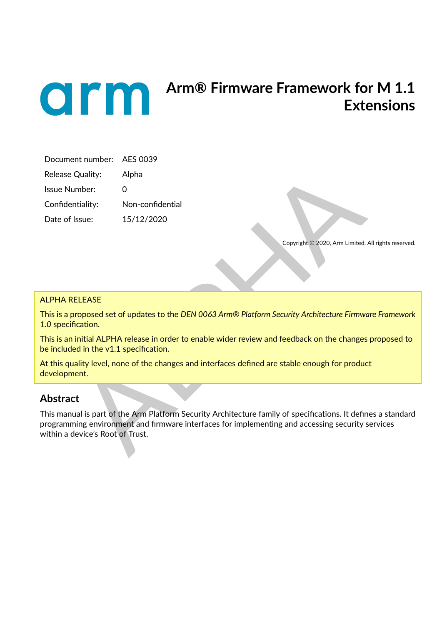

# **Arm® Firmware Framework for M 1.1 Extensions**

| Document number: AES 0039 |                  |
|---------------------------|------------------|
| Release Quality:          | Alpha            |
| Issue Number:             | O                |
| Confidentiality:          | Non-confidential |
| Date of Issue:            | 15/12/2020       |

Copyright © 2020, Arm Limited. All rights reserved.

#### ALPHA RELEASE

This is a proposed set of updates to the *DEN 0063 Arm® Platform Security Architecture Firmware Framework 1.0* specification.

This is an initial ALPHA release in order to enable wider review and feedback on the changes proposed to be included in the v1.1 specification.

At this quality level, none of the changes and interfaces defined are stable enough for product development.

## **Abstract**

Quality: Alpha<br>
mber: 0<br>
titality: Non-confidential<br>
ssue: 15/12/2020<br>
Copyright e 2020, Arm Limited. All rights<br>
copyright e 2020, Arm Limited. All rights<br>
copyright e 2020, Arm Limited. All rights<br>
copyright e 2020, Arm This manual is part of the Arm Platform Security Architecture family of specifications. It defines a standard programming environment and firmware interfaces for implementing and accessing security services within a device's Root of Trust.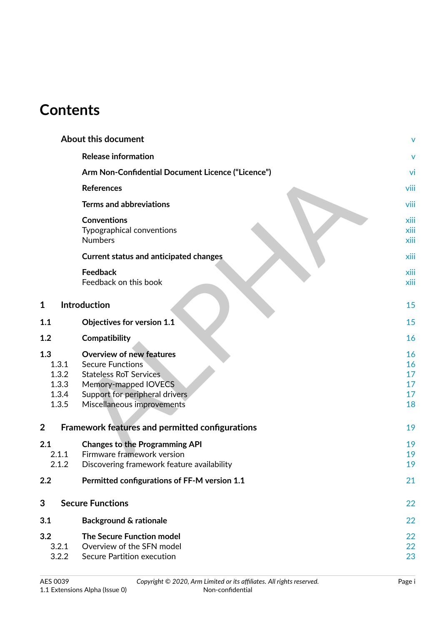# **Contents**

|                                                       | <b>About this document</b>                                                                                                                                                                                                             | ٧                                      |
|-------------------------------------------------------|----------------------------------------------------------------------------------------------------------------------------------------------------------------------------------------------------------------------------------------|----------------------------------------|
|                                                       | <b>Release information</b>                                                                                                                                                                                                             |                                        |
|                                                       | Arm Non-Confidential Document Licence ("Licence")                                                                                                                                                                                      | vi                                     |
|                                                       | <b>References</b>                                                                                                                                                                                                                      | viii                                   |
|                                                       | <b>Terms and abbreviations</b>                                                                                                                                                                                                         | viii                                   |
|                                                       | <b>Conventions</b><br>Typographical conventions<br><b>Numbers</b>                                                                                                                                                                      | xiii<br>xiii<br>xiii                   |
|                                                       | <b>Current status and anticipated changes</b>                                                                                                                                                                                          | xiii                                   |
|                                                       | <b>Feedback</b><br>Feedback on this book                                                                                                                                                                                               | xiii<br>xiii                           |
| 1                                                     | Introduction                                                                                                                                                                                                                           | 15                                     |
| 1.1                                                   | <b>Objectives for version 1.1</b>                                                                                                                                                                                                      | 15                                     |
| 1.2                                                   | Compatibility                                                                                                                                                                                                                          | 16                                     |
| 1.3<br>1.3.1<br>1.3.2<br>1.3.3<br>1.3.4<br>1.3.5<br>2 | <b>Overview of new features</b><br><b>Secure Functions</b><br><b>Stateless RoT Services</b><br>Memory-mapped IOVECS<br>Support for peripheral drivers<br>Miscellaneous improvements<br>Framework features and permitted configurations | 16<br>16<br>17<br>17<br>17<br>18<br>19 |
|                                                       |                                                                                                                                                                                                                                        |                                        |
| 2.1<br>2.1.1<br>2.1.2                                 | <b>Changes to the Programming API</b><br>Firmware framework version<br>Discovering framework feature availability                                                                                                                      | 19<br>19<br>19                         |
| 2.2                                                   | Permitted configurations of FF-M version 1.1                                                                                                                                                                                           | 21                                     |
| 3                                                     | <b>Secure Functions</b>                                                                                                                                                                                                                | 22                                     |
| 3.1                                                   | <b>Background &amp; rationale</b>                                                                                                                                                                                                      | 22                                     |
| 3.2<br>3.2.1<br>3.2.2                                 | <b>The Secure Function model</b><br>Overview of the SFN model<br>Secure Partition execution                                                                                                                                            | 22<br>22<br>23                         |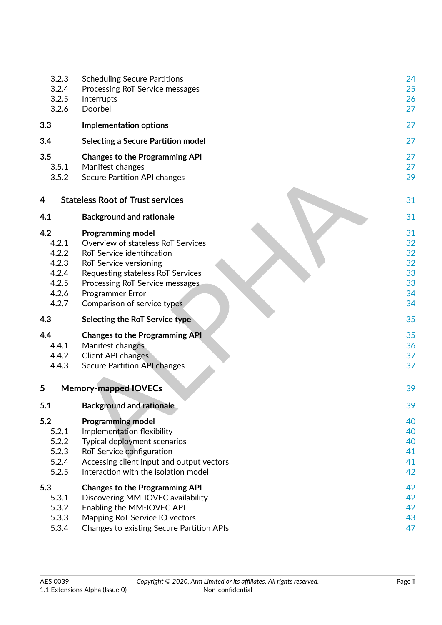| 3.2.3<br>3.2.4<br>3.2.5<br>3.2.6                                   | <b>Scheduling Secure Partitions</b><br>Processing RoT Service messages<br>Interrupts<br>Doorbell                                                                                                                                                         | 24<br>25<br>26<br>27                         |
|--------------------------------------------------------------------|----------------------------------------------------------------------------------------------------------------------------------------------------------------------------------------------------------------------------------------------------------|----------------------------------------------|
| 3.3                                                                | <b>Implementation options</b>                                                                                                                                                                                                                            | 27                                           |
| 3.4                                                                | <b>Selecting a Secure Partition model</b>                                                                                                                                                                                                                | 27                                           |
| 3.5<br>3.5.1<br>3.5.2                                              | <b>Changes to the Programming API</b><br>Manifest changes<br>Secure Partition API changes                                                                                                                                                                | 27<br>27<br>29                               |
| 4                                                                  | <b>Stateless Root of Trust services</b>                                                                                                                                                                                                                  | 31                                           |
| 4.1                                                                | <b>Background and rationale</b>                                                                                                                                                                                                                          | 31                                           |
| 4.2<br>4.2.1<br>4.2.2<br>4.2.3<br>4.2.4<br>4.2.5<br>4.2.6<br>4.2.7 | <b>Programming model</b><br>Overview of stateless RoT Services<br>RoT Service identification<br>RoT Service versioning<br>Requesting stateless RoT Services<br>Processing RoT Service messages<br><b>Programmer Error</b><br>Comparison of service types | 31<br>32<br>32<br>32<br>33<br>33<br>34<br>34 |
| 4.3                                                                | Selecting the RoT Service type                                                                                                                                                                                                                           | 35                                           |
| 4.4<br>4.4.1<br>4.4.2<br>4.4.3                                     | <b>Changes to the Programming API</b><br>Manifest changes<br><b>Client API changes</b><br>Secure Partition API changes                                                                                                                                   | 35<br>36<br>37<br>37                         |
| 5                                                                  | <b>Memory-mapped IOVECs</b>                                                                                                                                                                                                                              | 39                                           |
| 5.1                                                                | <b>Background and rationale</b>                                                                                                                                                                                                                          | 39                                           |
| 5.2<br>5.2.1<br>5.2.2<br>5.2.3<br>5.2.4<br>5.2.5                   | <b>Programming model</b><br>Implementation flexibility<br>Typical deployment scenarios<br>RoT Service configuration<br>Accessing client input and output vectors<br>Interaction with the isolation model                                                 | 40<br>40<br>40<br>41<br>41<br>42             |
| 5.3<br>5.3.1<br>5.3.2<br>5.3.3<br>5.3.4                            | <b>Changes to the Programming API</b><br>Discovering MM-IOVEC availability<br>Enabling the MM-IOVEC API<br>Mapping RoT Service IO vectors<br><b>Changes to existing Secure Partition APIs</b>                                                            | 42<br>42<br>42<br>43<br>47                   |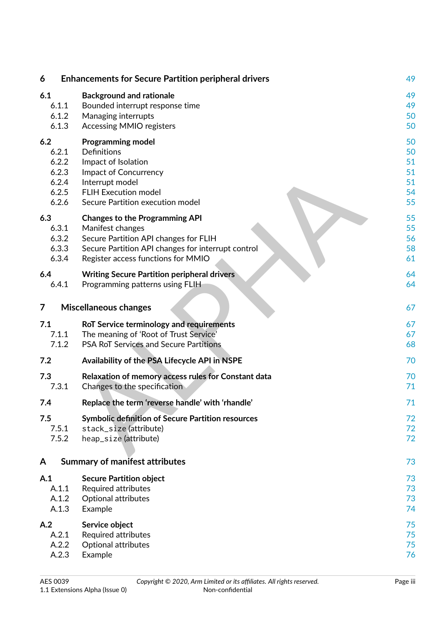| 6              | <b>Enhancements for Secure Partition peripheral drivers</b> | 49 |
|----------------|-------------------------------------------------------------|----|
| 6.1            | <b>Background and rationale</b>                             | 49 |
| 6.1.1          | Bounded interrupt response time                             | 49 |
| 6.1.2          | Managing interrupts                                         | 50 |
| 6.1.3          | <b>Accessing MMIO registers</b>                             | 50 |
| 6.2            | <b>Programming model</b>                                    | 50 |
| 6.2.1          | <b>Definitions</b>                                          | 50 |
| 6.2.2          | Impact of Isolation                                         | 51 |
| 6.2.3          | Impact of Concurrency                                       | 51 |
| 6.2.4          | Interrupt model                                             | 51 |
| 6.2.5          | <b>FLIH Execution model</b>                                 | 54 |
| 6.2.6          | Secure Partition execution model                            | 55 |
| 6.3            | <b>Changes to the Programming API</b>                       | 55 |
| 6.3.1          | Manifest changes                                            | 55 |
| 6.3.2          | Secure Partition API changes for FLIH                       | 56 |
| 6.3.3          | Secure Partition API changes for interrupt control          | 58 |
| 6.3.4          | Register access functions for MMIO                          | 61 |
| 6.4            | <b>Writing Secure Partition peripheral drivers</b>          | 64 |
| 6.4.1          | Programming patterns using FLIH                             | 64 |
| $\overline{7}$ | <b>Miscellaneous changes</b>                                | 67 |
| 7.1            | RoT Service terminology and requirements                    | 67 |
| 7.1.1          | The meaning of 'Root of Trust Service'                      | 67 |
| 7.1.2          | PSA RoT Services and Secure Partitions                      | 68 |
| 7.2            | Availability of the PSA Lifecycle API in NSPE               | 70 |
| 7.3            | Relaxation of memory access rules for Constant data         | 70 |
| 7.3.1          | Changes to the specification                                | 71 |
| 7.4            | Replace the term 'reverse handle' with 'rhandle'            | 71 |
| 7.5            | <b>Symbolic definition of Secure Partition resources</b>    | 72 |
| 7.5.1          | stack_size(attribute)                                       | 72 |
| 7.5.2          | heap_size (attribute)                                       | 72 |
| A              | <b>Summary of manifest attributes</b>                       | 73 |
| A.1            | <b>Secure Partition object</b>                              | 73 |
| A.1.1          | <b>Required attributes</b>                                  | 73 |
| A.1.2          | Optional attributes                                         | 73 |
| A.1.3          | Example                                                     | 74 |
| A.2            | Service object                                              | 75 |
| A.2.1          | Required attributes                                         | 75 |
| A.2.2          | Optional attributes                                         | 75 |
| A.2.3          | Example                                                     | 76 |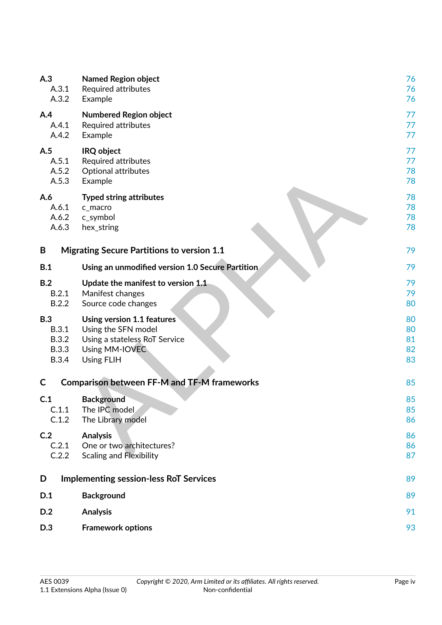| A.3          | <b>Named Region object</b>                         | 76 |
|--------------|----------------------------------------------------|----|
| A.3.1        | Required attributes                                | 76 |
| A.3.2        | Example                                            | 76 |
| A.4          | <b>Numbered Region object</b>                      | 77 |
| A.4.1        | Required attributes                                | 77 |
| A.4.2        | Example                                            | 77 |
| A.5          | IRQ object                                         | 77 |
| A.5.1        | <b>Required attributes</b>                         | 77 |
| A.5.2        | Optional attributes                                | 78 |
| A.5.3        | Example                                            | 78 |
| A.6          | <b>Typed string attributes</b>                     | 78 |
| A.6.1        | c_macro                                            | 78 |
| A.6.2        | c_symbol                                           | 78 |
| A.6.3        | hex_string                                         | 78 |
| B            | <b>Migrating Secure Partitions to version 1.1</b>  | 79 |
| B.1          | Using an unmodified version 1.0 Secure Partition   | 79 |
| B.2          | Update the manifest to version 1.1                 | 79 |
| B.2.1        | Manifest changes                                   | 79 |
| B.2.2        | Source code changes                                | 80 |
| <b>B.3</b>   | Using version 1.1 features                         | 80 |
| <b>B.3.1</b> | Using the SFN model                                | 80 |
| <b>B.3.2</b> | Using a stateless RoT Service                      | 81 |
| <b>B.3.3</b> | Using MM-IOVEC                                     | 82 |
| <b>B.3.4</b> | <b>Using FLIH</b>                                  | 83 |
| C            | <b>Comparison between FF-M and TF-M frameworks</b> | 85 |
| C.1          | <b>Background</b>                                  | 85 |
| C.1.1        | The IPC model                                      | 85 |
| C.1.2        | The Library model                                  | 86 |
| C.2          | <b>Analysis</b>                                    | 86 |
| C.2.1        | One or two architectures?                          | 86 |
| C.2.2        | <b>Scaling and Flexibility</b>                     | 87 |
| D            | <b>Implementing session-less RoT Services</b>      | 89 |
| D.1          | <b>Background</b>                                  | 89 |
| D.2          | <b>Analysis</b>                                    | 91 |
| D.3          | <b>Framework options</b>                           | 93 |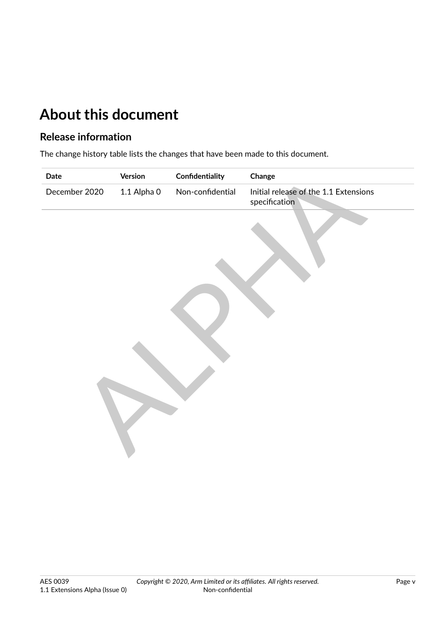# <span id="page-5-0"></span>**About this document**

## <span id="page-5-1"></span>**Release information**

The change history table lists the changes that have been made to this document.

| Date          | Version     | Confidentiality  | Change                                                 |
|---------------|-------------|------------------|--------------------------------------------------------|
| December 2020 | 1.1 Alpha 0 | Non-confidential | Initial release of the 1.1 Extensions<br>specification |
|               |             |                  |                                                        |
|               |             |                  |                                                        |
|               |             |                  |                                                        |
|               |             |                  |                                                        |
|               |             |                  |                                                        |
|               |             |                  |                                                        |
|               |             |                  |                                                        |
|               |             |                  |                                                        |
|               |             |                  |                                                        |
|               |             |                  |                                                        |
|               |             |                  |                                                        |
|               |             |                  |                                                        |
|               |             |                  |                                                        |
|               |             |                  |                                                        |
|               |             |                  |                                                        |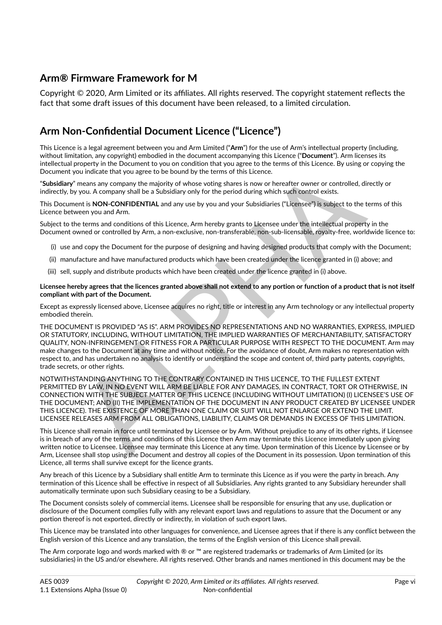## **Arm® Firmware Framework for M**

Copyright © 2020, Arm Limited or its affiliates. All rights reserved. The copyright statement reflects the fact that some draft issues of this document have been released, to a limited circulation.

# <span id="page-6-0"></span>**Arm Non-Confidential Document Licence ("Licence")**

This Licence is a legal agreement between you and Arm Limited ("**Arm**") for the use of Arm's intellectual property (including, without limitation, any copyright) embodied in the document accompanying this Licence ("**Document**"). Arm licenses its intellectual property in the Document to you on condition that you agree to the terms of this Licence. By using or copying the Document you indicate that you agree to be bound by the terms of this Licence.

"**Subsidiary**" means any company the majority of whose voting shares is now or hereafter owner or controlled, directly or indirectly, by you. A company shall be a Subsidiary only for the period during which such control exists.

This Document is **NON-CONFIDENTIAL** and any use by you and your Subsidiaries ("Licensee") is subject to the terms of this Licence between you and Arm.

Subject to the terms and conditions of this Licence, Arm hereby grants to Licensee under the intellectual property in the Document owned or controlled by Arm, a non-exclusive, non-transferable, non-sub-licensable, royalty-free, worldwide licence to:

- (i) use and copy the Document for the purpose of designing and having designed products that comply with the Document;
- (ii) manufacture and have manufactured products which have been created under the licence granted in (i) above; and
- (iii) sell, supply and distribute products which have been created under the licence granted in (i) above.

**Licensee hereby agrees that the licences granted above shall not extend to any portion or function of a product that is not itself compliant with part of the Document.**

Except as expressly licensed above, Licensee acquires no right, title or interest in any Arm technology or any intellectual property embodied therein.

ou indicate that you agree to be bound by the terms of this Licence.<br>
We are a somewhy mapping in majority of whose voiring shares is now or hereafter owner or controlled, directly or<br>
means any company than liberal Substi THE DOCUMENT IS PROVIDED "AS IS". ARM PROVIDES NO REPRESENTATIONS AND NO WARRANTIES, EXPRESS, IMPLIED OR STATUTORY, INCLUDING, WITHOUT LIMITATION, THE IMPLIED WARRANTIES OF MERCHANTABILITY, SATISFACTORY QUALITY, NON-INFRINGEMENT OR FITNESS FOR A PARTICULAR PURPOSE WITH RESPECT TO THE DOCUMENT. Arm may make changes to the Document at any time and without notice. For the avoidance of doubt, Arm makes no representation with respect to, and has undertaken no analysis to identify or understand the scope and content of, third party patents, copyrights, trade secrets, or other rights.

NOTWITHSTANDING ANYTHING TO THE CONTRARY CONTAINED IN THIS LICENCE, TO THE FULLEST EXTENT PERMITTED BY LAW, IN NO EVENT WILL ARM BE LIABLE FOR ANY DAMAGES, IN CONTRACT, TORT OR OTHERWISE, IN CONNECTION WITH THE SUBJECT MATTER OF THIS LICENCE (INCLUDING WITHOUT LIMITATION) (I) LICENSEE'S USE OF THE DOCUMENT; AND (II) THE IMPLEMENTATION OF THE DOCUMENT IN ANY PRODUCT CREATED BY LICENSEE UNDER THIS LICENCE). THE EXISTENCE OF MORE THAN ONE CLAIM OR SUIT WILL NOT ENLARGE OR EXTEND THE LIMIT. LICENSEE RELEASES ARM FROM ALL OBLIGATIONS, LIABILITY, CLAIMS OR DEMANDS IN EXCESS OF THIS LIMITATION.

This Licence shall remain in force until terminated by Licensee or by Arm. Without prejudice to any of its other rights, if Licensee is in breach of any of the terms and conditions of this Licence then Arm may terminate this Licence immediately upon giving written notice to Licensee. Licensee may terminate this Licence at any time. Upon termination of this Licence by Licensee or by Arm, Licensee shall stop using the Document and destroy all copies of the Document in its possession. Upon termination of this Licence, all terms shall survive except for the licence grants.

Any breach of this Licence by a Subsidiary shall entitle Arm to terminate this Licence as if you were the party in breach. Any termination of this Licence shall be effective in respect of all Subsidiaries. Any rights granted to any Subsidiary hereunder shall automatically terminate upon such Subsidiary ceasing to be a Subsidiary.

The Document consists solely of commercial items. Licensee shall be responsible for ensuring that any use, duplication or disclosure of the Document complies fully with any relevant export laws and regulations to assure that the Document or any portion thereof is not exported, directly or indirectly, in violation of such export laws.

This Licence may be translated into other languages for convenience, and Licensee agrees that if there is any conflict between the English version of this Licence and any translation, the terms of the English version of this Licence shall prevail.

The Arm corporate logo and words marked with  $\mathcal{R}$  or  $\mathbb{M}$  are registered trademarks or trademarks of Arm Limited (or its subsidiaries) in the US and/or elsewhere. All rights reserved. Other brands and names mentioned in this document may be the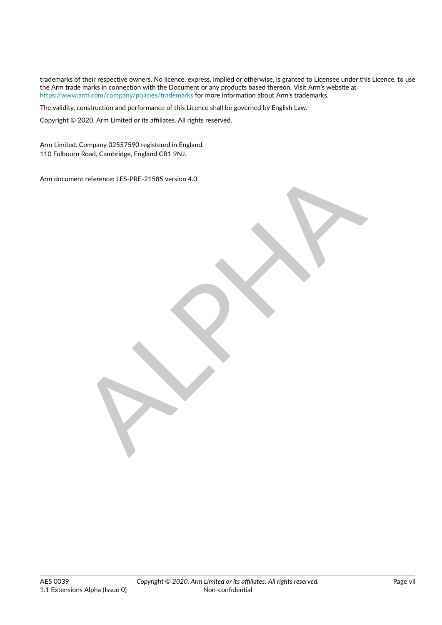trademarks of their respective owners. No licence, express, implied or otherwise, is granted to Licensee under this Licence, to use the Arm trade marks in connection with the Document or any products based thereon. Visit Arm's website at <https://www.arm.com/company/policies/trademarks> for more information about Arm's trademarks.

The validity, construction and performance of this Licence shall be governed by English Law.

Copyright © 2020, Arm Limited or its affiliates. All rights reserved.

Arm Limited. Company 02557590 registered in England. 110 Fulbourn Road, Cambridge, England CB1 9NJ.

Arm document reference: LES-PRE-21585 version 4.0

ent reference: LES-PRE-21585 version 4.0<br>
ALPHA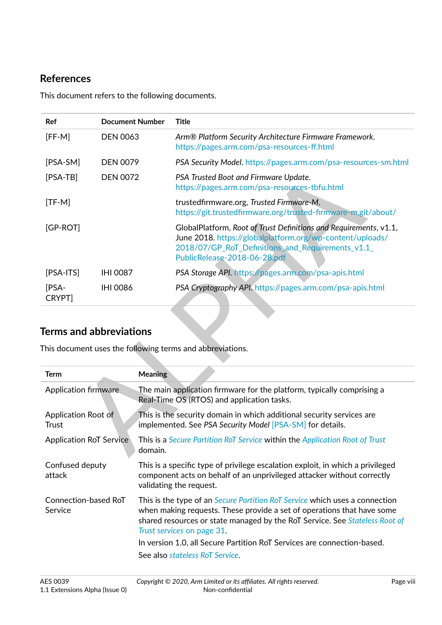## <span id="page-8-0"></span>**References**

This document refers to the following documents.

<span id="page-8-9"></span><span id="page-8-6"></span><span id="page-8-5"></span><span id="page-8-2"></span>

| Ref                                 | <b>Document Number</b> |                | <b>Title</b>                                                                                                                                                                                                       |
|-------------------------------------|------------------------|----------------|--------------------------------------------------------------------------------------------------------------------------------------------------------------------------------------------------------------------|
| $[FF-M]$                            | <b>DEN 0063</b>        |                | Arm® Platform Security Architecture Firmware Framework.<br>https://pages.arm.com/psa-resources-ff.html                                                                                                             |
| [PSA-SM]                            | <b>DEN 0079</b>        |                | PSA Security Model. https://pages.arm.com/psa-resources-sm.html                                                                                                                                                    |
| $[PSA-TB]$                          | <b>DEN 0072</b>        |                | PSA Trusted Boot and Firmware Update.<br>https://pages.arm.com/psa-resources-tbfu.html                                                                                                                             |
| $[TF-M]$                            |                        |                | trustedfirmware.org, Trusted Firmware-M.<br>https://git.trustedfirmware.org/trusted-firmware-m.git/about/                                                                                                          |
| [GP-ROT]                            |                        |                | GlobalPlatform, Root of Trust Definitions and Requirements, v1.1,<br>June 2018. https://globalplatform.org/wp-content/uploads/<br>2018/07/GP_RoT_Definitions_and_Requirements_v1.1<br>PublicRelease-2018-06-28.pdf |
| $[PSA-ITS]$                         | <b>IHI 0087</b>        |                | PSA Storage API. https://pages.arm.com/psa-apis.html                                                                                                                                                               |
| [PSA-<br>CRYPT]                     | <b>IHI 0086</b>        |                | PSA Cryptography API. https://pages.arm.com/psa-apis.html                                                                                                                                                          |
| <b>Terms and abbreviations</b>      |                        |                | This document uses the following terms and abbreviations.                                                                                                                                                          |
| <b>Term</b>                         |                        | <b>Meaning</b> |                                                                                                                                                                                                                    |
| Application firmware                |                        |                | The main application firmware for the platform, typically comprising a<br>Real-Time OS (RTOS) and application tasks.                                                                                               |
| <b>Application Root of</b><br>Trust |                        |                | This is the security domain in which additional security services are<br>implemented. See PSA Security Model [PSA-SM] for details.                                                                                 |
| <b>Application RoT Service</b>      |                        | domain.        | This is a Secure Partition RoT Service within the Application Root of Trust                                                                                                                                        |

# <span id="page-8-10"></span><span id="page-8-7"></span><span id="page-8-1"></span>**Terms and abbreviations**

<span id="page-8-8"></span><span id="page-8-4"></span><span id="page-8-3"></span>

| Term                            | <b>Meaning</b>                                                                                                                                                                                                                                                            |
|---------------------------------|---------------------------------------------------------------------------------------------------------------------------------------------------------------------------------------------------------------------------------------------------------------------------|
| Application firmware            | The main application firmware for the platform, typically comprising a<br>Real-Time OS (RTOS) and application tasks.                                                                                                                                                      |
| Application Root of<br>Trust    | This is the security domain in which additional security services are<br>implemented. See PSA Security Model [PSA-SM] for details.                                                                                                                                        |
| <b>Application RoT Service</b>  | This is a Secure Partition RoT Service within the Application Root of Trust<br>domain.                                                                                                                                                                                    |
| Confused deputy<br>attack       | This is a specific type of privilege escalation exploit, in which a privileged<br>component acts on behalf of an unprivileged attacker without correctly<br>validating the request.                                                                                       |
| Connection-based RoT<br>Service | This is the type of an <i>Secure Partition RoT Service</i> which uses a connection<br>when making requests. These provide a set of operations that have some<br>shared resources or state managed by the RoT Service. See Stateless Root of<br>Trust services on page 31. |
|                                 | In version 1.0, all Secure Partition RoT Services are connection-based.                                                                                                                                                                                                   |
|                                 | See also stateless RoT Service.                                                                                                                                                                                                                                           |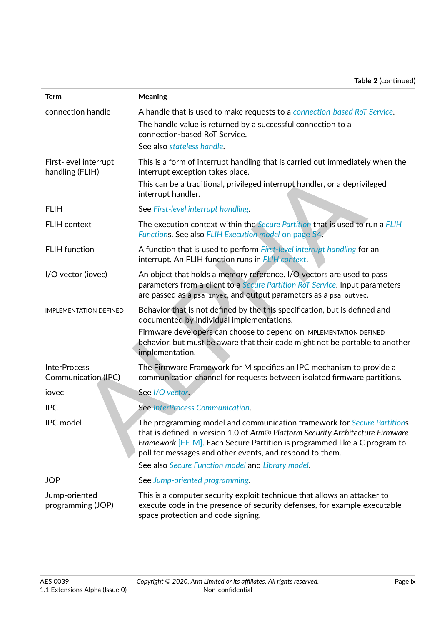<span id="page-9-9"></span><span id="page-9-8"></span><span id="page-9-7"></span><span id="page-9-6"></span><span id="page-9-5"></span><span id="page-9-4"></span><span id="page-9-3"></span><span id="page-9-2"></span><span id="page-9-1"></span><span id="page-9-0"></span>

| <b>Term</b>                                | <b>Meaning</b>                                                                                                                                                                                                                                                                                                                                          |
|--------------------------------------------|---------------------------------------------------------------------------------------------------------------------------------------------------------------------------------------------------------------------------------------------------------------------------------------------------------------------------------------------------------|
| connection handle                          | A handle that is used to make requests to a connection-based RoT Service.<br>The handle value is returned by a successful connection to a<br>connection-based RoT Service.<br>See also stateless handle.                                                                                                                                                |
| First-level interrupt<br>handling (FLIH)   | This is a form of interrupt handling that is carried out immediately when the<br>interrupt exception takes place.<br>This can be a traditional, privileged interrupt handler, or a deprivileged<br>interrupt handler.                                                                                                                                   |
| <b>FLIH</b>                                | See First-level interrupt handling.                                                                                                                                                                                                                                                                                                                     |
| <b>FLIH</b> context                        | The execution context within the <i>Secure Partition</i> that is used to run a FLIH<br>Functions. See also FLIH Execution model on page 54.                                                                                                                                                                                                             |
| <b>FLIH</b> function                       | A function that is used to perform First-level interrupt handling for an<br>interrupt. An FLIH function runs in FLIH context.                                                                                                                                                                                                                           |
| I/O vector (iovec)                         | An object that holds a memory reference. I/O vectors are used to pass<br>parameters from a client to a Secure Partition RoT Service. Input parameters<br>are passed as a psa_invec, and output parameters as a psa_outvec.                                                                                                                              |
| <b>IMPLEMENTATION DEFINED</b>              | Behavior that is not defined by the this specification, but is defined and<br>documented by individual implementations.                                                                                                                                                                                                                                 |
|                                            | Firmware developers can choose to depend on IMPLEMENTATION DEFINED<br>behavior, but must be aware that their code might not be portable to another<br>implementation.                                                                                                                                                                                   |
| <b>InterProcess</b><br>Communication (IPC) | The Firmware Framework for M specifies an IPC mechanism to provide a<br>communication channel for requests between isolated firmware partitions.                                                                                                                                                                                                        |
| jovec                                      | See I/O vector.                                                                                                                                                                                                                                                                                                                                         |
| <b>IPC</b>                                 | See InterProcess Communication.                                                                                                                                                                                                                                                                                                                         |
| IPC model                                  | The programming model and communication framework for Secure Partitions<br>that is defined in version 1.0 of Arm® Platform Security Architecture Firmware<br>Framework [FF-M]. Each Secure Partition is programmed like a C program to<br>poll for messages and other events, and respond to them.<br>See also Secure Function model and Library model. |
| <b>JOP</b>                                 | See Jump-oriented programming.                                                                                                                                                                                                                                                                                                                          |
| Jump-oriented<br>programming (JOP)         | This is a computer security exploit technique that allows an attacker to<br>execute code in the presence of security defenses, for example executable<br>space protection and code signing.                                                                                                                                                             |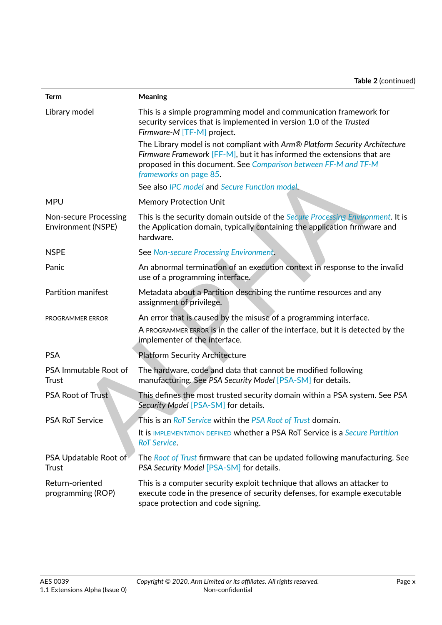<span id="page-10-5"></span><span id="page-10-4"></span><span id="page-10-3"></span><span id="page-10-2"></span><span id="page-10-1"></span><span id="page-10-0"></span>

| <b>Term</b>                                        | <b>Meaning</b>                                                                                                                                                                                                                                     |
|----------------------------------------------------|----------------------------------------------------------------------------------------------------------------------------------------------------------------------------------------------------------------------------------------------------|
| Library model                                      | This is a simple programming model and communication framework for<br>security services that is implemented in version 1.0 of the Trusted<br>Firmware-M [TF-M] project.                                                                            |
|                                                    | The Library model is not compliant with Arm® Platform Security Architecture<br>Firmware Framework [FF-M], but it has informed the extensions that are<br>proposed in this document. See Comparison between FF-M and TF-M<br>frameworks on page 85. |
|                                                    | See also IPC model and Secure Function model.                                                                                                                                                                                                      |
| <b>MPU</b>                                         | <b>Memory Protection Unit</b>                                                                                                                                                                                                                      |
| Non-secure Processing<br><b>Environment (NSPE)</b> | This is the security domain outside of the Secure Processing Environment. It is<br>the Application domain, typically containing the application firmware and<br>hardware.                                                                          |
| <b>NSPE</b>                                        | See Non-secure Processing Environment.                                                                                                                                                                                                             |
| Panic                                              | An abnormal termination of an execution context in response to the invalid<br>use of a programming interface.                                                                                                                                      |
| Partition manifest                                 | Metadata about a Partition describing the runtime resources and any<br>assignment of privilege.                                                                                                                                                    |
| PROGRAMMER ERROR                                   | An error that is caused by the misuse of a programming interface.<br>A PROGRAMMER ERROR is in the caller of the interface, but it is detected by the<br>implementer of the interface.                                                              |
| <b>PSA</b>                                         | <b>Platform Security Architecture</b>                                                                                                                                                                                                              |
| PSA Immutable Root of<br>Trust                     | The hardware, code and data that cannot be modified following<br>manufacturing. See PSA Security Model [PSA-SM] for details.                                                                                                                       |
| <b>PSA Root of Trust</b>                           | This defines the most trusted security domain within a PSA system. See PSA<br>Security Model [PSA-SM] for details.                                                                                                                                 |
| PSA RoT Service                                    | This is an RoT Service within the PSA Root of Trust domain.                                                                                                                                                                                        |
|                                                    | It is IMPLEMENTATION DEFINED whether a PSA RoT Service is a Secure Partition<br>RoT Service.                                                                                                                                                       |
| PSA Updatable Root of<br>Trust                     | The Root of Trust firmware that can be updated following manufacturing. See<br>PSA Security Model [PSA-SM] for details.                                                                                                                            |
| Return-oriented<br>programming (ROP)               | This is a computer security exploit technique that allows an attacker to<br>execute code in the presence of security defenses, for example executable<br>space protection and code signing.                                                        |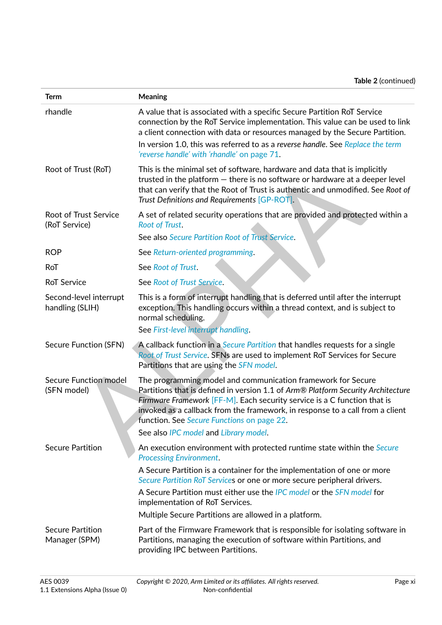<span id="page-11-8"></span><span id="page-11-7"></span><span id="page-11-6"></span><span id="page-11-5"></span><span id="page-11-4"></span><span id="page-11-3"></span><span id="page-11-2"></span><span id="page-11-1"></span><span id="page-11-0"></span>

| <b>Term</b>                                   | <b>Meaning</b>                                                                                                                                                                                                                                                                                                                                                                                       |
|-----------------------------------------------|------------------------------------------------------------------------------------------------------------------------------------------------------------------------------------------------------------------------------------------------------------------------------------------------------------------------------------------------------------------------------------------------------|
| rhandle                                       | A value that is associated with a specific Secure Partition RoT Service<br>connection by the RoT Service implementation. This value can be used to link<br>a client connection with data or resources managed by the Secure Partition.<br>In version 1.0, this was referred to as a reverse handle. See Replace the term<br>'reverse handle' with 'rhandle' on page 71.                              |
| Root of Trust (RoT)                           | This is the minimal set of software, hardware and data that is implicitly<br>trusted in the platform $-$ there is no software or hardware at a deeper level<br>that can verify that the Root of Trust is authentic and unmodified. See Root of<br>Trust Definitions and Requirements [GP-ROT].                                                                                                       |
| <b>Root of Trust Service</b><br>(RoT Service) | A set of related security operations that are provided and protected within a<br><b>Root of Trust.</b><br>See also Secure Partition Root of Trust Service.                                                                                                                                                                                                                                           |
| <b>ROP</b>                                    | See Return-oriented programming.                                                                                                                                                                                                                                                                                                                                                                     |
| RoT                                           | See Root of Trust.                                                                                                                                                                                                                                                                                                                                                                                   |
|                                               |                                                                                                                                                                                                                                                                                                                                                                                                      |
| <b>RoT Service</b>                            | See Root of Trust Service.                                                                                                                                                                                                                                                                                                                                                                           |
| Second-level interrupt<br>handling (SLIH)     | This is a form of interrupt handling that is deferred until after the interrupt<br>exception. This handling occurs within a thread context, and is subject to<br>normal scheduling.                                                                                                                                                                                                                  |
|                                               | See First-level interrupt handling.                                                                                                                                                                                                                                                                                                                                                                  |
| Secure Function (SFN)                         | A callback function in a Secure Partition that handles requests for a single<br>Root of Trust Service. SFNs are used to implement RoT Services for Secure<br>Partitions that are using the SFN model.                                                                                                                                                                                                |
| Secure Function model<br>(SFN model)          | The programming model and communication framework for Secure<br>Partitions that is defined in version 1.1 of Arm® Platform Security Architecture<br>Firmware Framework [FF-M]. Each security service is a C function that is<br>invoked as a callback from the framework, in response to a call from a client<br>function. See Secure Functions on page 22.<br>See also IPC model and Library model. |
| <b>Secure Partition</b>                       | An execution environment with protected runtime state within the Secure<br><b>Processing Environment.</b>                                                                                                                                                                                                                                                                                            |
|                                               | A Secure Partition is a container for the implementation of one or more<br>Secure Partition RoT Services or one or more secure peripheral drivers.<br>A Secure Partition must either use the IPC model or the SFN model for<br>implementation of RoT Services.                                                                                                                                       |
|                                               | Multiple Secure Partitions are allowed in a platform.                                                                                                                                                                                                                                                                                                                                                |
| <b>Secure Partition</b><br>Manager (SPM)      | Part of the Firmware Framework that is responsible for isolating software in<br>Partitions, managing the execution of software within Partitions, and<br>providing IPC between Partitions.                                                                                                                                                                                                           |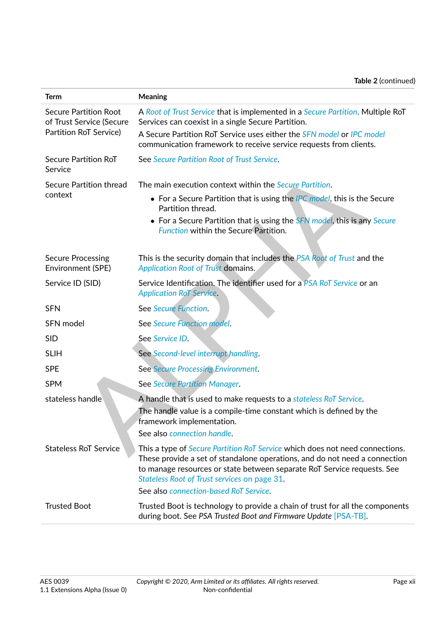<span id="page-12-6"></span><span id="page-12-5"></span><span id="page-12-4"></span><span id="page-12-3"></span><span id="page-12-2"></span><span id="page-12-1"></span><span id="page-12-0"></span>

| <b>Term</b>                                              | <b>Meaning</b>                                                                                                                                                                                                                                                                               |
|----------------------------------------------------------|----------------------------------------------------------------------------------------------------------------------------------------------------------------------------------------------------------------------------------------------------------------------------------------------|
| <b>Secure Partition Root</b><br>of Trust Service (Secure | A Root of Trust Service that is implemented in a Secure Partition. Multiple RoT<br>Services can coexist in a single Secure Partition.                                                                                                                                                        |
| Partition RoT Service)                                   | A Secure Partition RoT Service uses either the SFN model or IPC model<br>communication framework to receive service requests from clients.                                                                                                                                                   |
| Secure Partition RoT<br>Service                          | See Secure Partition Root of Trust Service.                                                                                                                                                                                                                                                  |
| Secure Partition thread                                  | The main execution context within the <i>Secure Partition</i> .                                                                                                                                                                                                                              |
| context                                                  | • For a Secure Partition that is using the IPC model, this is the Secure<br>Partition thread.                                                                                                                                                                                                |
|                                                          | • For a Secure Partition that is using the SFN model, this is any Secure<br><b>Function within the Secure Partition.</b>                                                                                                                                                                     |
| <b>Secure Processing</b><br>Environment (SPE)            | This is the security domain that includes the PSA Root of Trust and the<br><b>Application Root of Trust domains.</b>                                                                                                                                                                         |
| Service ID (SID)                                         | Service Identification. The identifier used for a PSA RoT Service or an<br><b>Application RoT Service.</b>                                                                                                                                                                                   |
| <b>SFN</b>                                               | See Secure Function.                                                                                                                                                                                                                                                                         |
| SFN model                                                | See Secure Function model.                                                                                                                                                                                                                                                                   |
| <b>SID</b>                                               | See Service ID.                                                                                                                                                                                                                                                                              |
| <b>SLIH</b>                                              | See Second-level interrupt handling.                                                                                                                                                                                                                                                         |
| <b>SPE</b>                                               | See Secure Processing Environment.                                                                                                                                                                                                                                                           |
| <b>SPM</b>                                               | See Secure Partition Manager.                                                                                                                                                                                                                                                                |
| stateless handle                                         | A handle that is used to make requests to a stateless RoT Service.<br>The handle value is a compile-time constant which is defined by the<br>framework implementation.                                                                                                                       |
|                                                          | See also connection handle.                                                                                                                                                                                                                                                                  |
| <b>Stateless RoT Service</b>                             | This a type of <i>Secure Partition RoT Service</i> which does not need connections.<br>These provide a set of standalone operations, and do not need a connection<br>to manage resources or state between separate RoT Service requests. See<br>Stateless Root of Trust services on page 31. |
|                                                          | See also connection-based RoT Service.                                                                                                                                                                                                                                                       |
| <b>Trusted Boot</b>                                      | Trusted Boot is technology to provide a chain of trust for all the components<br>during boot. See PSA Trusted Boot and Firmware Update [PSA-TB].                                                                                                                                             |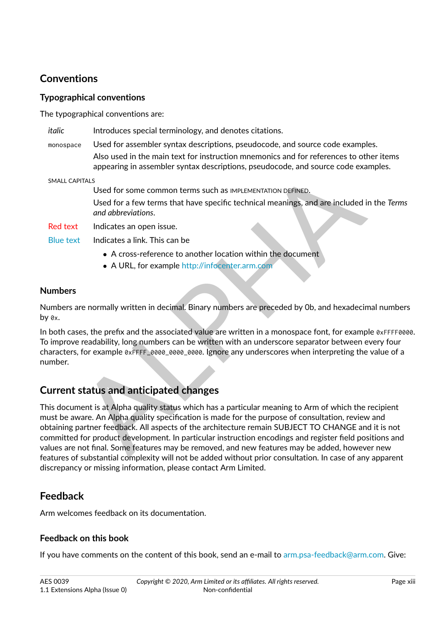# <span id="page-13-0"></span>**Conventions**

## <span id="page-13-1"></span>**Typographical conventions**

The typographical conventions are:

- *italic* Introduces special terminology, and denotes citations.
- monospace Used for assembler syntax descriptions, pseudocode, and source code examples. Also used in the main text for instruction mnemonics and for references to other items appearing in assembler syntax descriptions, pseudocode, and source code examples.

SMALL CAPITALS

Used for some common terms such as IMPLEMENTATION DEFINED.

Used for a few terms that have specific technical meanings, and are included in the *Terms and abbreviations*.

Red text Indicates an open issue.

Blue text Indicates a link. This can be

- ∙ A cross-reference to another location within the document
- ∙ A URL, for example http://infocenter.arm.com

## <span id="page-13-2"></span>**Numbers**

Numbers are normally written in decimal. Binary numbers are preceded by 0b, and hexadecimal numbers by 0x.

In both cases, the prefix and the associated value are written in a monospace font, for example 0xFFFF0000. To improve readability, long numbers can be written with an underscore separator between every four characters, for example 0xFFFF\_0000\_0000\_0000. Ignore any underscores when interpreting the value of a number.

# <span id="page-13-3"></span>**Current status and anticipated changes**

appearing in assembler syntax descriptions, pseudocode, and source code examples<br>
Used for some common terms such as IMPLEMENTATION DEFINED.<br>
Used for a few terms that have specific technical meanings, and are included in This document is at Alpha quality status which has a particular meaning to Arm of which the recipient must be aware. An Alpha quality specification is made for the purpose of consultation, review and obtaining partner feedback. All aspects of the architecture remain SUBJECT TO CHANGE and it is not committed for product development. In particular instruction encodings and register field positions and values are not final. Some features may be removed, and new features may be added, however new features of substantial complexity will not be added without prior consultation. In case of any apparent discrepancy or missing information, please contact Arm Limited.

# <span id="page-13-4"></span>**Feedback**

Arm welcomes feedback on its documentation.

## <span id="page-13-5"></span>**Feedback on this book**

If you have comments on the content of this book, send an e-mail to [arm.psa-feedback@arm.com.](mailto:arm.psa-feedback@arm.com) Give: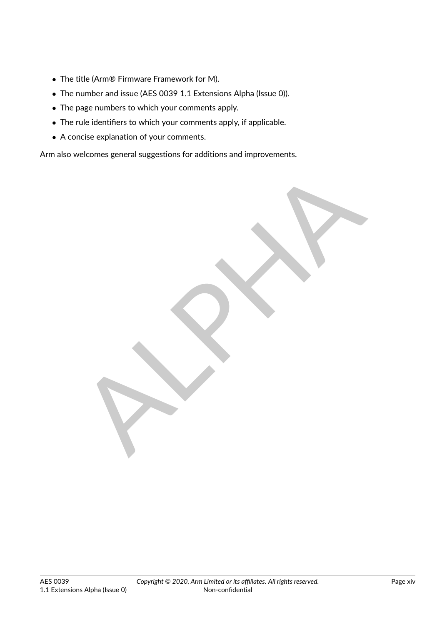- ∙ The title (Arm® Firmware Framework for M).
- ∙ The number and issue (AES 0039 1.1 Extensions Alpha (Issue 0)).
- ∙ The page numbers to which your comments apply.
- ∙ The rule identifiers to which your comments apply, if applicable.
- ∙ A concise explanation of your comments.

Arm also welcomes general suggestions for additions and improvements.

RIVE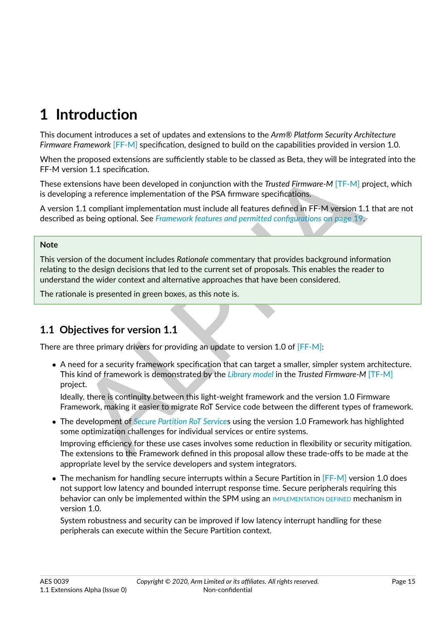# <span id="page-15-0"></span>**1 Introduction**

This document introduces a set of updates and extensions to the *Arm® Platform Security Architecture Firmware Framework* [\[FF-M\]](#page-8-5) specification, designed to build on the capabilities provided in version 1.0.

When the proposed extensions are sufficiently stable to be classed as Beta, they will be integrated into the FF-M version 1.1 specification.

These extensions have been developed in conjunction with the *Trusted Firmware-M* [TF-M] project, which is developing a reference implementation of the PSA firmware specifications.

A version 1.1 compliant implementation must include all features defined in FF-M version 1.1 that are not described as being optional. See *Framework features and permitted configurations* on page 19.

#### **Note**

This version of the document includes *Rationale* commentary that provides background information relating to the design decisions that led to the current set of proposals. This enables the reader to understand the wider context and alternative approaches that have been considered.

The rationale is presented in green boxes, as this note is.

# <span id="page-15-1"></span>**1.1 Objectives for version 1.1**

There are three primary drivers for providing an update to version 1.0 of [FF-M]:

ion 1.1 specification.<br>
emsions have been developed in conjunction with the *Tusted Firmware-M* [TF-M] project,<br>
emsions have been developed in conjunction with the *Tusted Firmware-M* [TF-M] project,<br>
1.1 compliant implem ∙ A need for a security framework specification that can target a smaller, simpler system architecture. This kind of framework is demonstrated by the *Library model* in the *Trusted Firmware-M* [\[TF-M\]](#page-8-6) project.

Ideally, there is continuity between this light-weight framework and the version 1.0 Firmware Framework, making it easier to migrate RoT Service code between the different types of framework.

∙ The development of *Secure Partition RoT Service*s using the version 1.0 Framework has highlighted some optimization challenges for individual services or entire systems.

Improving efficiency for these use cases involves some reduction in flexibility or security mitigation. The extensions to the Framework defined in this proposal allow these trade-offs to be made at the appropriate level by the service developers and system integrators.

∙ The mechanism for handling secure interrupts within a Secure Partition in [\[FF-M\]](#page-8-5) version 1.0 does not support low latency and bounded interrupt response time. Secure peripherals requiring this behavior can only be implemented within the SPM using an [IMPLEMENTATION DEFINED](#page-9-7) mechanism in version 1.0.

System robustness and security can be improved if low latency interrupt handling for these peripherals can execute within the Secure Partition context.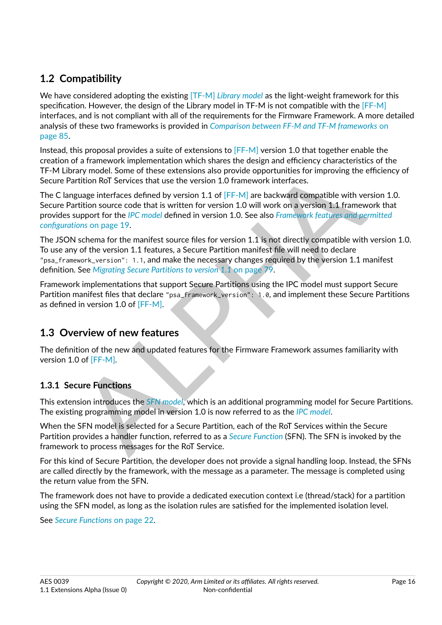# <span id="page-16-0"></span>**1.2 Compatibility**

We have considered adopting the existing [\[TF-M\]](#page-8-6) *[Library model](#page-10-0)* as the light-weight framework for this specification. However, the design of the Library model in TF-M is not compatible with the [\[FF-M\]](#page-8-5) interfaces, and is not compliant with all of the requirements for the Firmware Framework. A more detailed analysis of these two frameworks is provided in *[Comparison between FF-M and TF-M frameworks](#page-85-0)* [on](#page-85-0) [page](#page-85-0) [85.](#page-85-0)

Instead, this proposal provides a suite of extensions to [\[FF-M\]](#page-8-5) version 1.0 that together enable the creation of a framework implementation which shares the design and efficiency characteristics of the TF-M Library model. Some of these extensions also provide opportunities for improving the efficiency of Secure Partition RoT Services that use the version 1.0 framework interfaces.

The C language interfaces defined by version 1.1 of [FF-M] are backward compatible with version 1.0. Secure Partition source code that is written for version 1.0 will work on a version 1.1 framework that provides support for the *IPC model* defined in version 1.0. See also *[Framework features and permitted](#page-19-0) configurations* on page 19.

ary model. Some of these extensions also provide opportunities for improving the efficient<br>
rittion RoT Services that use the version 1.0 framework interfaces.<br>
Equage interfaces defined by version 1.1 of IFF-MI are backwa The JSON schema for the manifest source files for version 1.1 is not directly compatible with version 1.0. To use any of the version 1.1 features, a Secure Partition manifest file will need to declare "psa\_framework\_version": 1.1, and make the necessary changes required by the version 1.1 manifest definition. See *Migrating Secure Partitions to version 1.1* on page 79.

Framework implementations that support Secure Partitions using the IPC model must support Secure Partition manifest files that declare "psa\_framework\_version": 1.0, and implement these Secure Partitions as defined in version 1.0 of [FF-M].

# <span id="page-16-1"></span>**1.3 Overview of new features**

The definition of the new and updated features for the Firmware Framework assumes familiarity with version 1.0 of [FF-M].

## <span id="page-16-2"></span>**1.3.1 Secure Functions**

This extension introduces the *SFN model*, which is an additional programming model for Secure Partitions. The existing programming model in version 1.0 is now referred to as the *IPC model*.

When the SFN model is selected for a Secure Partition, each of the RoT Services within the Secure Partition provides a handler function, referred to as a *Secure Function* (SFN). The SFN is invoked by the framework to process messages for the RoT Service.

For this kind of Secure Partition, the developer does not provide a signal handling loop. Instead, the SFNs are called directly by the framework, with the message as a parameter. The message is completed using the return value from the SFN.

The framework does not have to provide a dedicated execution context i.e (thread/stack) for a partition using the SFN model, as long as the isolation rules are satisfied for the implemented isolation level.

See *[Secure Functions](#page-22-0)* [on page](#page-22-0) [22.](#page-22-0)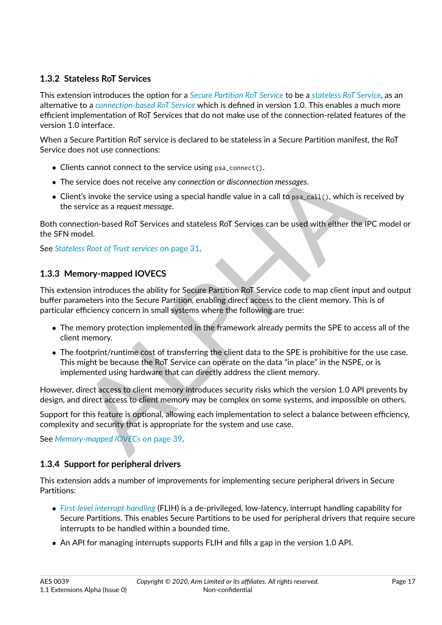## <span id="page-17-0"></span>**1.3.2 Stateless RoT Services**

This extension introduces the option for a *[Secure Partition RoT Service](#page-12-0)* to be a *[stateless RoT Service](#page-12-1)*, as an alternative to a *[connection-based RoT Service](#page-8-4)* which is defined in version 1.0. This enables a much more efficient implementation of RoT Services that do not make use of the connection-related features of the version 1.0 interface.

When a Secure Partition RoT service is declared to be stateless in a Secure Partition manifest, the RoT Service does not use connections:

- ∙ Clients cannot connect to the service using psa\_connect().
- ∙ The service does not receive any *connection* or *disconnection messages*.
- ∙ Client's invoke the service using a special handle value in a call to psa\_call(), which is received by the service as a *request message*.

Both connection-based RoT Services and stateless RoT Services can be used with either the IPC model or the SFN model.

See *Stateless Root of Trust services* on page 31.

## <span id="page-17-1"></span>**1.3.3 Memory-mapped IOVECS**

nts cannot connect to the service using  $p$ sa.connect().<br>
service does not receive any connection or disconnection messages.<br> [A](#page-39-0)lt's invoke the service using a special handle value in a call to  $p$ sa.ca11(), which is receiv This extension introduces the ability for Secure Partition RoT Service code to map client input and output buffer parameters into the Secure Partition, enabling direct access to the client memory. This is of particular efficiency concern in small systems where the following are true:

- ∙ The memory protection implemented in the framework already permits the SPE to access all of the client memory.
- ∙ The footprint/runtime cost of transferring the client data to the SPE is prohibitive for the use case. This might be because the RoT Service can operate on the data "in place" in the NSPE, or is implemented using hardware that can directly address the client memory.

However, direct access to client memory introduces security risks which the version 1.0 API prevents by design, and direct access to client memory may be complex on some systems, and impossible on others.

Support for this feature is optional, allowing each implementation to select a balance between efficiency, complexity and security that is appropriate for the system and use case.

See *Memory-mapped IOVECs* on page 39.

## <span id="page-17-2"></span>**1.3.4 Support for peripheral drivers**

This extension adds a number of improvements for implementing secure peripheral drivers in Secure Partitions:

- ∙ *[First-level interrupt handling](#page-9-0)* (FLIH) is a de-privileged, low-latency, interrupt handling capability for Secure Partitions. This enables Secure Partitions to be used for peripheral drivers that require secure interrupts to be handled within a bounded time.
- ∙ An API for managing interrupts supports FLIH and fills a gap in the version 1.0 API.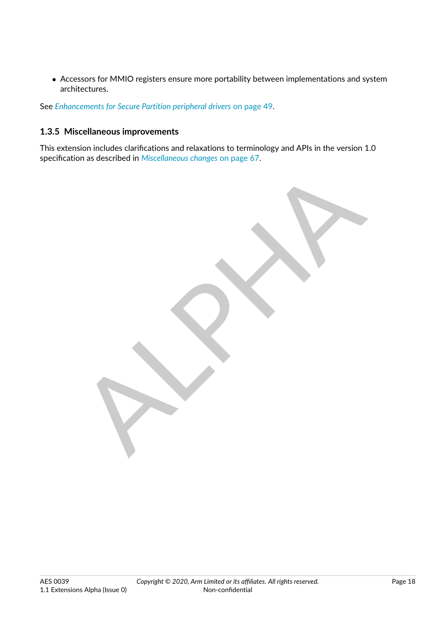∙ Accessors for MMIO registers ensure more portability between implementations and system architectures.

See *[Enhancements for Secure Partition peripheral drivers](#page-49-0)* [on page](#page-49-0) [49.](#page-49-0)

## <span id="page-18-0"></span>**1.3.5 Miscellaneous improvements**

This extension includes clarifications and relaxations to terminology and APIs in the version 1.0 specification as described in *[Miscellaneous changes](#page-67-0)* [on page](#page-67-0) [67.](#page-67-0)

RIVE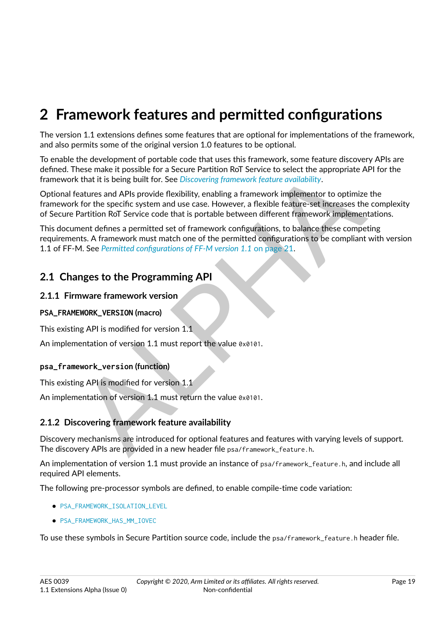# <span id="page-19-0"></span>**2 Framework features and permitted configurations**

The version 1.1 extensions defines some features that are optional for implementations of the framework, and also permits some of the original version 1.0 features to be optional.

To enable the development of portable code that uses this framework, some feature discovery APIs are defined. These make it possible for a Secure Partition RoT Service to select the appropriate API for the framework that it is being built for. See *Discovering framework feature availability*.

hese make it possible for a Secure Partition RoT Service to select the appropriate [A](#page-19-3)PI for<br>that it is being built for. See Discovering framework feature availability.<br>Faultains being that it is being that that it is derive Optional features and APIs provide flexibility, enabling a framework implementor to optimize the framework for the specific system and use case. However, a flexible feature-set increases the complexity of Secure Partition RoT Service code that is portable between different framework implementations.

This document defines a permitted set of framework configurations, to balance these competing requirements. A framework must match one of the permitted configurations to be compliant with version 1.1 of FF-M. See *Permitted configurations of FF-M version 1.1* on page 21.

## <span id="page-19-1"></span>**2.1 Changes to the Programming API**

## <span id="page-19-2"></span>**2.1.1 Firmware framework version**

#### **PSA\_FRAMEWORK\_VERSION (macro)**

This existing API is modified for version 1.1

An implementation of version 1.1 must report the value 0x0101.

#### **psa\_framework\_version (function)**

This existing API is modified for version 1.1

An implementation of version 1.1 must return the value 0x0101.

## <span id="page-19-3"></span>**2.1.2 Discovering framework feature availability**

Discovery mechanisms are introduced for optional features and features with varying levels of support. The discovery APIs are provided in a new header file psa/framework\_feature.h.

An implementation of version 1.1 must provide an instance of psa/framework\_feature.h, and include all required API elements.

The following pre-processor symbols are defined, to enable compile-time code variation:

- ∙ [PSA\\_FRAMEWORK\\_ISOLATION\\_LEVEL](#page-20-0)
- ∙ [PSA\\_FRAMEWORK\\_HAS\\_MM\\_IOVEC](#page-20-1)

To use these symbols in Secure Partition source code, include the psa/framework\_feature.h header file.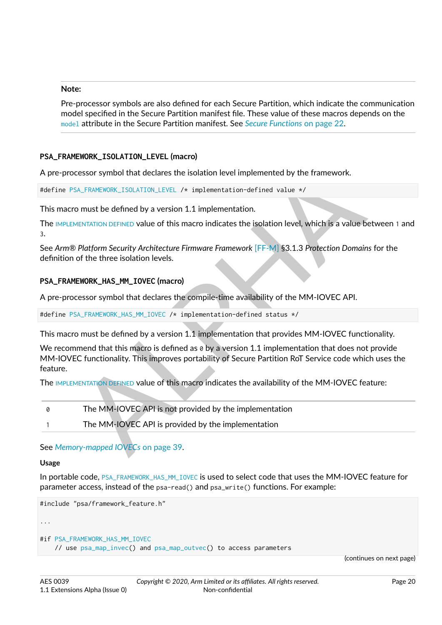#### **Note:**

Pre-processor symbols are also defined for each Secure Partition, which indicate the communication model specified in the Secure Partition manifest file. These value of these macros depends on the [model](#page-27-5) attribute in the Secure Partition manifest. See *[Secure Functions](#page-22-0)* [on page](#page-22-0) [22.](#page-22-0)

#### <span id="page-20-0"></span>**PSA\_FRAMEWORK\_ISOLATION\_LEVEL (macro)**

A pre-processor symbol that declares the isolation level implemented by the framework.

#define PSA\_FRAMEWORK\_ISOLATION\_LEVEL /\* implementation-defined value \*/

This macro must be defined by a version 1.1 implementation.

The IMPLEMENTATION DEFINED value of this macro indicates the isolation level, which is a value between 1 and 3.

See *Arm® Platform Security Architecture Firmware Framework* [FF-M] §3.1.3 *Protection Domains* for the definition of the three isolation levels.

#### <span id="page-20-1"></span>**PSA\_FRAMEWORK\_HAS\_MM\_IOVEC (macro)**

A pre-processor symbol that declares the compile-time availability of the MM-IOVEC API.

#define PSA\_FRAMEWORK\_HAS\_MM\_IOVEC /\* implementation-defined status \*/

This macro must be defined by a version 1.1 implementation that provides MM-IOVEC functionality.

ESSION TH[A](#page-39-0)T declares the isolation level implemented by the framework.<br>
SA\_FRAMEWORK\_ISO[L](#page-20-1)ATION\_LEVEL /\* implementation-defined value \*/<br>
o must be defined by a version 1.1 implementation-defined value \*/<br>
MENTATION DEFINED We recommend that this macro is defined as  $\theta$  by a version 1.1 implementation that does not provide MM-IOVEC functionality. This improves portability of Secure Partition RoT Service code which uses the feature.

The IMPLEMENTATION DEFINED value of this macro indicates the availability of the MM-IOVEC feature:

0 The MM-IOVEC API is not provided by the implementation 1 The MM-IOVEC API is provided by the implementation

See *Memory-mapped IOVECs* on page 39.

#### **Usage**

In portable code, [PSA\\_FRAMEWORK\\_HAS\\_MM\\_IOVEC](#page-20-1) is used to select code that uses the MM-IOVEC feature for parameter access, instead of the psa-read() and psa\_write() functions. For example:

```
#include "psa/framework_feature.h"
...
```

```
#if PSA_FRAMEWORK_HAS_MM_IOVEC
    // use psa_map_invec() and psa_map_outvec() to access parameters
```
(continues on next page)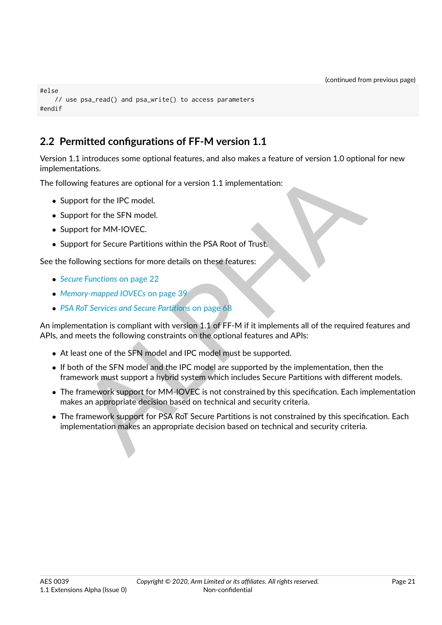```
#else
   // use psa_read() and psa_write() to access parameters
#endif
```
# <span id="page-21-0"></span>**2.2 Permitted configurations of FF-M version 1.1**

Version 1.1 introduces some optional features, and also makes a feature of version 1.0 optional for new implementations.

The following features are optional for a version 1.1 implementation:

- ∙ Support for the IPC model.
- ∙ Support for the SFN model.
- ∙ Support for MM-IOVEC.
- ∙ Support for Secure Partitions within the PSA Root of Trust.

See the following sections for more details on these features:

- ∙ *Secure Functions* on page 22
- ∙ *Memory-mapped IOVECs* on page 39
- ∙ *PSA RoT Services and Secure Partitions* on page 68

tations.<br>
Explores are optional for a version 1.1 implementation:<br>
Soort for the IPC model.<br>
Doort for Secure Partitions within the PSA Root of Trust.<br>
Explore for MM-IOVEC.<br>
Explore Partitions on page 22<br>
RoT Services and An implementation is compliant with version 1.1 of FF-M if it implements all of the required features and APIs, and meets the following constraints on the optional features and APIs:

- ∙ At least one of the SFN model and IPC model must be supported.
- ∙ If both of the SFN model and the IPC model are supported by the implementation, then the framework must support a hybrid system which includes Secure Partitions with different models.
- ∙ The framework support for MM-IOVEC is not constrained by this specification. Each implementation makes an appropriate decision based on technical and security criteria.
- ∙ The framework support for PSA RoT Secure Partitions is not constrained by this specification. Each implementation makes an appropriate decision based on technical and security criteria.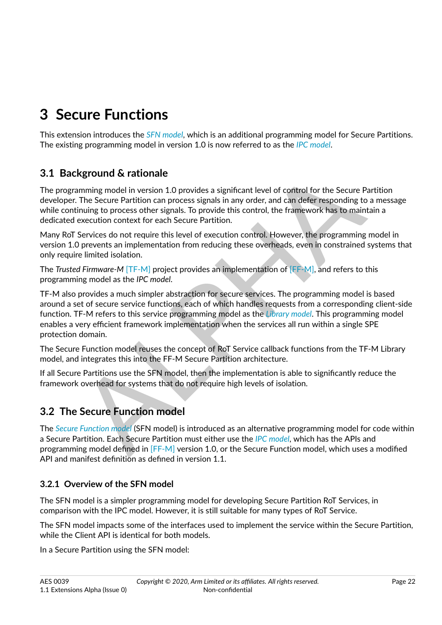# <span id="page-22-0"></span>**3 Secure Functions**

This extension introduces the *[SFN model](#page-12-5)*, which is an additional programming model for Secure Partitions. The existing programming model in version 1.0 is now referred to as the *[IPC model](#page-9-6)*.

# **3.1 Background & rationale**

The programming model in version 1.0 provides a significant level of control for the Secure Partition developer. The Secure Partition can process signals in any order, and can defer responding to a message while continuing to process other signals. To provide this control, the framework has to maintain a dedicated execution context for each Secure Partition.

Many RoT Services do not require this level of execution control. However, the programming model in version 1.0 prevents an implementation from reducing these overheads, even in constrained systems that only require limited isolation.

The *Trusted Firmware-M* [TF-M] project provides an implementation of [FF-M], and refers to this programming model as the *IPC model*.

<span id="page-22-1"></span>**Expround & rationale**<br> **Exprosime [A](#page-8-5)nd The Departmic Solution** can provides a significant level of control for the Secure Partition<br>
The Secure Partition can process signals in any order, and can defer responding to a meso TF-M also provides a much simpler abstraction for secure services. The programming model is based around a set of secure service functions, each of which handles requests from a corresponding client-side function. TF-M refers to this service programming model as the *Library model*. This programming model enables a very efficient framework implementation when the services all run within a single SPE protection domain.

The Secure Function model reuses the concept of RoT Service callback functions from the TF-M Library model, and integrates this into the FF-M Secure Partition architecture.

If all Secure Partitions use the SFN model, then the implementation is able to significantly reduce the framework overhead for systems that do not require high levels of isolation.

# <span id="page-22-2"></span>**3.2 The Secure Function model**

The *[Secure Function model](#page-11-1)* (SFN model) is introduced as an alternative programming model for code within a Secure Partition. Each Secure Partition must either use the *IPC model*, which has the APIs and programming model defined in [FF-M] version 1.0, or the Secure Function model, which uses a modified API and manifest definition as defined in version 1.1.

## <span id="page-22-3"></span>**3.2.1 Overview of the SFN model**

The SFN model is a simpler programming model for developing Secure Partition RoT Services, in comparison with the IPC model. However, it is still suitable for many types of RoT Service.

The SFN model impacts some of the interfaces used to implement the service within the Secure Partition, while the Client API is identical for both models.

In a Secure Partition using the SFN model: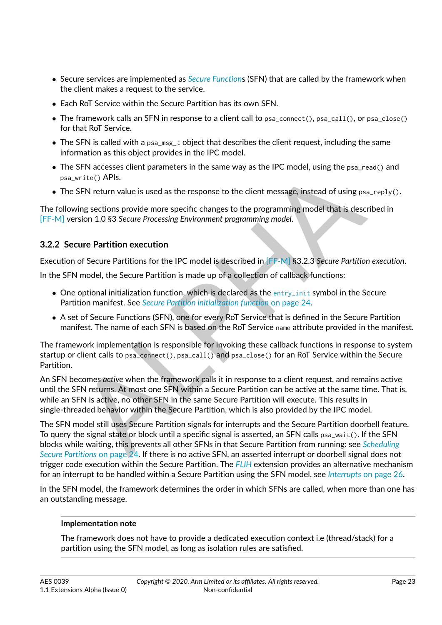- ∙ Secure services are implemented as *[Secure Function](#page-11-5)*s (SFN) that are called by the framework when the client makes a request to the service.
- ∙ Each RoT Service within the Secure Partition has its own SFN.
- ∙ The framework calls an SFN in response to a client call to psa\_connect(), psa\_call(), or psa\_close() for that RoT Service.
- ∙ The SFN is called with a psa\_msg\_t object that describes the client request, including the same information as this object provides in the IPC model.
- ∙ The SFN accesses client parameters in the same way as the IPC model, using the psa\_read() and psa\_write() APIs.
- The SFN return value is used as the response to the client message, instead of using psa\_reply().

The following sections provide more specific changes to the programming model that is described in [\[FF-M\]](#page-8-5) version 1.0 §3 *Secure Processing Environment programming model*.

## <span id="page-23-0"></span>**3.2.2 Secure Partition execution**

Execution of Secure Partitions for the IPC model is described in [FF-M] §3.2.3 *Secure Partition execution*.

In the SFN model, the Secure Partition is made up of a collection of callback functions:

- ∙ One optional initialization function, which is declared as the entry\_init symbol in the Secure Partition manifest. See *Secure Partition initialization function* on page 24.
- ∙ A set of Secure Functions (SFN), one for every RoT Service that is defined in the Secure Partition manifest. The name of each SFN is based on the RoT Service name attribute provided in the manifest.

The framework implementation is responsible for invoking these callback functions in response to system startup or client calls to psa\_connect(), psa\_call() and psa\_close() for an RoT Service within the Secure Partition.

SFN accesses client parameters in the same way as the IPC model, using the psa\_read() a<br>since section applies is used as the response to the client message, instead of using psa\_rept<br>since SFN return value is used as the r An SFN becomes *active* when the framework calls it in response to a client request, and remains active until the SFN returns. At most one SFN within a Secure Partition can be active at the same time. That is, while an SFN is active, no other SFN in the same Secure Partition will execute. This results in single-threaded behavior within the Secure Partition, which is also provided by the IPC model.

The SFN model still uses Secure Partition signals for interrupts and the Secure Partition doorbell feature. To query the signal state or block until a specific signal is asserted, an SFN calls psa\_wait(). If the SFN blocks while waiting, this prevents all other SFNs in that Secure Partition from running: see *[Scheduling](#page-24-0) Secure Partitions* on page 24. If there is no active SFN, an asserted interrupt or doorbell signal does not trigger code execution within the Secure Partition. The *[FLIH](#page-9-9)* extension provides an alternative mechanism for an interrupt to be handled within a Secure Partition using the SFN model, see *[Interrupts](#page-26-0)* [on page](#page-26-0) [26.](#page-26-0)

In the SFN model, the framework determines the order in which SFNs are called, when more than one has an outstanding message.

## **Implementation note**

The framework does not have to provide a dedicated execution context i.e (thread/stack) for a partition using the SFN model, as long as isolation rules are satisfied.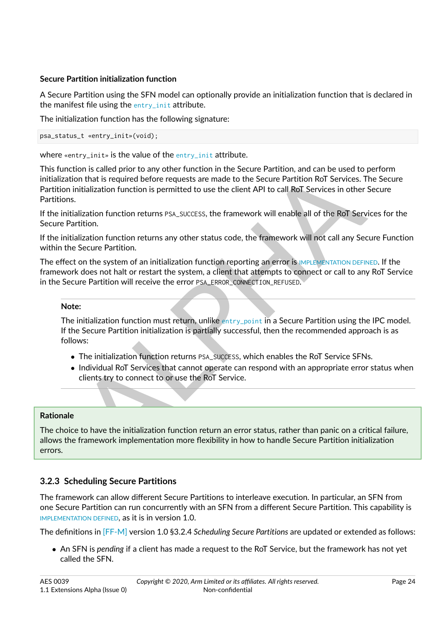## <span id="page-24-1"></span>**Secure Partition initialization function**

A Secure Partition using the SFN model can optionally provide an initialization function that is declared in the manifest file using the [entry\\_init](#page-28-0) attribute.

The initialization function has the following signature:

psa\_status\_t «entry\_init»(void);

where «entry\_init» is the value of the [entry\\_init](#page-28-0) attribute.

ion is called prior to any other function in the Secure [P](#page-28-1)artition, and can be used to perform<br>on that is required before requests are made to the Secure Partition RoT Services. The Secure<br>initialization function is permitt This function is called prior to any other function in the Secure Partition, and can be used to perform initialization that is required before requests are made to the Secure Partition RoT Services. The Secure Partition initialization function is permitted to use the client API to call RoT Services in other Secure Partitions.

If the initialization function returns PSA\_SUCCESS, the framework will enable all of the RoT Services for the Secure Partition.

If the initialization function returns any other status code, the framework will not call any Secure Function within the Secure Partition.

The effect on the system of an initialization function reporting an error is IMPLEMENTATION DEFINED. If the framework does not halt or restart the system, a client that attempts to connect or call to any RoT Service in the Secure Partition will receive the error PSA\_ERROR\_CONNECTION\_REFUSED.

## **Note:**

The initialization function must return, unlike entry\_point in a Secure Partition using the IPC model. If the Secure Partition initialization is partially successful, then the recommended approach is as follows:

- ∙ The initialization function returns PSA\_SUCCESS, which enables the RoT Service SFNs.
- ∙ Individual RoT Services that cannot operate can respond with an appropriate error status when clients try to connect to or use the RoT Service.

## **Rationale**

The choice to have the initialization function return an error status, rather than panic on a critical failure, allows the framework implementation more flexibility in how to handle Secure Partition initialization errors.

## <span id="page-24-0"></span>**3.2.3 Scheduling Secure Partitions**

The framework can allow different Secure Partitions to interleave execution. In particular, an SFN from one Secure Partition can run concurrently with an SFN from a different Secure Partition. This capability is [IMPLEMENTATION DEFINED](#page-9-7), as it is in version 1.0.

The definitions in [\[FF-M\]](#page-8-5) version 1.0 §3.2.4 *Scheduling Secure Partitions* are updated or extended as follows:

∙ An SFN is *pending* if a client has made a request to the RoT Service, but the framework has not yet called the SFN.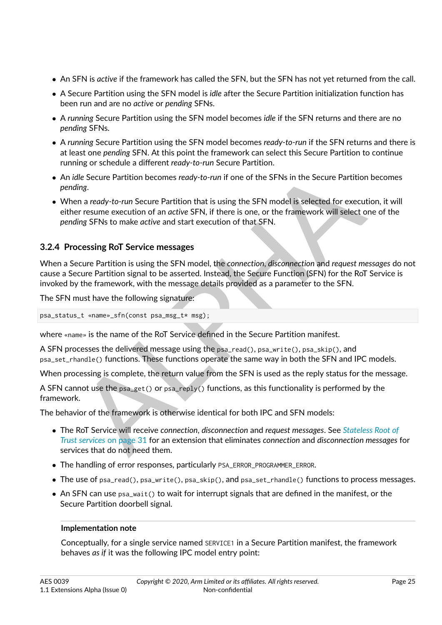- ∙ An SFN is *active* if the framework has called the SFN, but the SFN has not yet returned from the call.
- ∙ A Secure Partition using the SFN model is *idle* after the Secure Partition initialization function has been run and are no *active* or *pending* SFNs.
- ∙ A *running* Secure Partition using the SFN model becomes *idle* if the SFN returns and there are no *pending* SFNs.
- ∙ A *running* Secure Partition using the SFN model becomes *ready-to-run* if the SFN returns and there is at least one *pending* SFN. At this point the framework can select this Secure Partition to continue running or schedule a different *ready-to-run* Secure Partition.
- ∙ An *idle* Secure Partition becomes *ready-to-run* if one of the SFNs in the Secure Partition becomes *pending*.
- ∙ When a *ready-to-run* Secure Partition that is using the SFN model is selected for execution, it will either resume execution of an *active* SFN, if there is one, or the framework will select one of the *pending* SFNs to make *active* and start execution of that SFN.

## <span id="page-25-0"></span>**3.2.4 Processing RoT Service messages**

When a Secure Partition is using the SFN model, the *connection*, *disconnection* and *request messages* do not cause a Secure Partition signal to be asserted. Instead, the Secure Function (SFN) for the RoT Service is invoked by the framework, with the message details provided as a parameter to the SFN.

The SFN must have the following signature:

```
psa_status_t «name»_sfn(const psa_msg_t* msg);
```
where «name» is the name of the RoT Service defined in the Secure Partition manifest.

A SFN processes the delivered message using the psa\_read(), psa\_write(), psa\_skip(), and psa\_set\_rhandle() functions. These functions operate the same way in both the SFN and IPC models.

When processing is complete, the return value from the SFN is used as the reply status for the message.

A SFN cannot use the psa\_get() or psa\_reply() functions, as this functionality is performed by the framework.

The behavior of the framework is otherwise identical for both IPC and SFN models:

- dle Secure Partition becomes *ready-to-run* if one of the SFNs in the Secure Partition becoing<br>ing.<br>dle Secure Partition becomes *ready-to-run* Secure Partition that is using the SFN model is selected for execution, it<br>are ∙ The RoT Service will receive *connection*, *disconnection* and *request messages*. See *[Stateless Root of](#page-31-0) Trust services* on page 31 for an extension that eliminates *connection* and *disconnection messages* for services that do not need them.
- ∙ The handling of error responses, particularly PSA\_ERROR\_PROGRAMMER\_ERROR.
- ∙ The use of psa\_read(), psa\_write(), psa\_skip(), and psa\_set\_rhandle() functions to process messages.
- ∙ An SFN can use psa\_wait() to wait for interrupt signals that are defined in the manifest, or the Secure Partition doorbell signal.

#### **Implementation note**

Conceptually, for a single service named SERVICE1 in a Secure Partition manifest, the framework behaves *as if* it was the following IPC model entry point: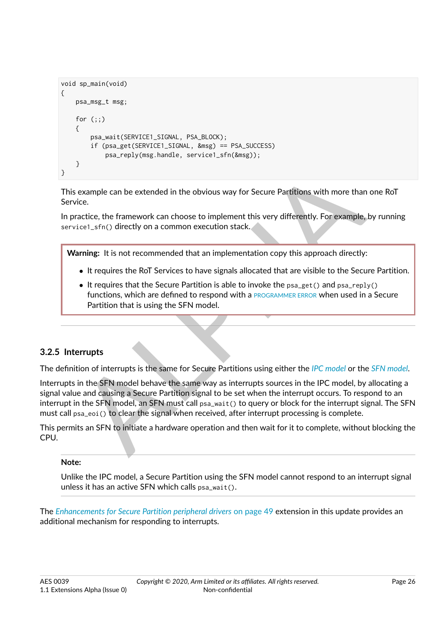```
void sp_main(void)
{
    psa_msg_t msg;
    for (;;)
    {
        psa_wait(SERVICE1_SIGNAL, PSA_BLOCK);
        if (psa_get(SERVICE1_SIGNAL, &msg) == PSA_SUCCESS)
            psa_reply(msg.handle, service1_sfn(&msg));
    }
}
```
This example can be extended in the obvious way for Secure Partitions with more than one RoT Service.

In practice, the framework can choose to implement this very differently. For example, by running service1\_sfn() directly on a common execution stack.

**Warning:** It is not recommended that an implementation copy this approach directly:

- ∙ It requires the RoT Services to have signals allocated that are visible to the Secure Partition.
- ∙ It requires that the Secure Partition is able to invoke the psa\_get() and psa\_reply() functions, which are defined to respond with a PROGRAMMER ERROR when used in a Secure Partition that is using the SFN model.

## <span id="page-26-0"></span>**3.2.5 Interrupts**

The definition of interrupts is the same for Secure Partitions using either the *IPC model* or the *[SFN model](#page-12-5)*.

example can be extended in the obvious way for Secure Partitions with more than one R<br>
ice.<br>
reactice, the framework can choose to implement this very differently. For example, by rur<br>
reisel\_sfri() directly on a common ex Interrupts in the SFN model behave the same way as interrupts sources in the IPC model, by allocating a signal value and causing a Secure Partition signal to be set when the interrupt occurs. To respond to an interrupt in the SFN model, an SFN must call psa\_wait() to query or block for the interrupt signal. The SFN must call psa\_eoi() to clear the signal when received, after interrupt processing is complete.

This permits an SFN to initiate a hardware operation and then wait for it to complete, without blocking the CPU.

#### **Note:**

Unlike the IPC model, a Secure Partition using the SFN model cannot respond to an interrupt signal unless it has an active SFN which calls psa\_wait().

The *[Enhancements for Secure Partition peripheral drivers](#page-49-0)* [on page](#page-49-0) [49](#page-49-0) extension in this update provides an additional mechanism for responding to interrupts.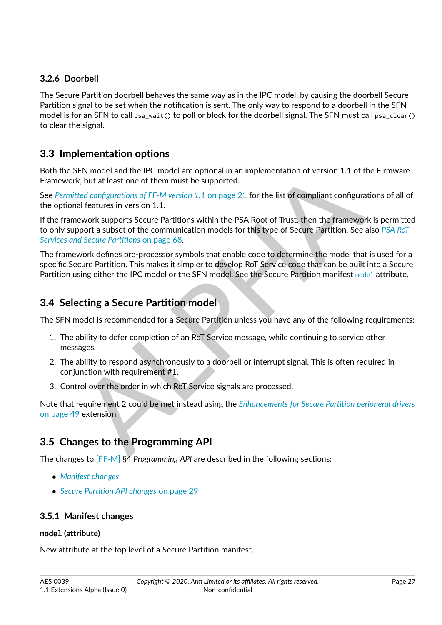## <span id="page-27-0"></span>**3.2.6 Doorbell**

The Secure Partition doorbell behaves the same way as in the IPC model, by causing the doorbell Secure Partition signal to be set when the notification is sent. The only way to respond to a doorbell in the SFN model is for an SFN to call psa\_wait() to poll or block for the doorbell signal. The SFN must call psa\_clear() to clear the signal.

## <span id="page-27-1"></span>**3.3 Implementation options**

Both the SFN model and the IPC model are optional in an implementation of version 1.1 of the Firmware Framework, but at least one of them must be supported.

See *Permitted configurations of FF-M version 1.1* on page 21 for the list of compliant configurations of all of the optional features in version 1.1.

If the framework supports Secure Partitions within the PSA Root of Trust, then the framework is permitted to only support a subset of the communication models for this type of Secure Partition. See also *[PSA RoT](#page-68-0) Services and Secure Partitions* on page 68.

SFN model and the IPC model are optional in an implementation of version 1.1 of the Firm<br>  $k$ , but at least one of them must be supported.<br>  $k$ , but at least one of them must be supported.<br>
Hotel configurations of FF-M ver The framework defines pre-processor symbols that enable code to determine the model that is used for a specific Secure Partition. This makes it simpler to develop RoT Service code that can be built into a Secure Partition using either the IPC model or the SFN model. See the Secure Partition manifest [model](#page-27-5) attribute.

## <span id="page-27-2"></span>**3.4 Selecting a Secure Partition model**

The SFN model is recommended for a Secure Partition unless you have any of the following requirements:

- 1. The ability to defer completion of an RoT Service message, while continuing to service other messages.
- 2. The ability to respond asynchronously to a doorbell or interrupt signal. This is often required in conjunction with requirement #1.
- 3. Control over the order in which RoT Service signals are processed.

Note that requirement 2 could be met instead using the *[Enhancements for Secure Partition peripheral drivers](#page-49-0)* [on page](#page-49-0) [49](#page-49-0) extension.

# <span id="page-27-3"></span>**3.5 Changes to the Programming API**

The changes to [\[FF-M\]](#page-8-5) §4 *Programming API* are described in the following sections:

- ∙ *[Manifest changes](#page-27-4)*
- ∙ *[Secure Partition API changes](#page-29-0)* [on page](#page-29-0) [29](#page-29-0)

## <span id="page-27-4"></span>**3.5.1 Manifest changes**

## <span id="page-27-5"></span>**model (attribute)**

New attribute at the top level of a Secure Partition manifest.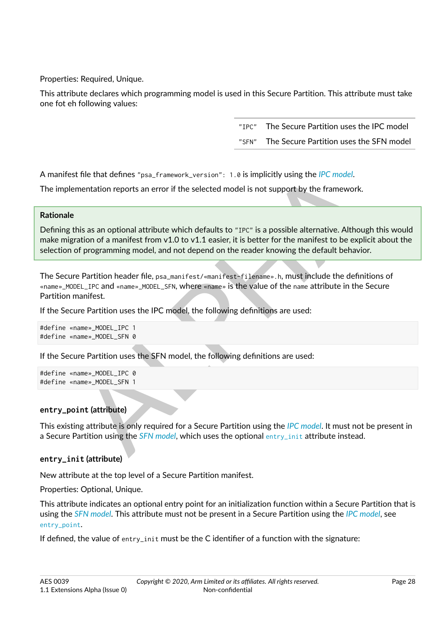Properties: Required, Unique.

This attribute declares which programming model is used in this Secure Partition. This attribute must take one fot eh following values:

> "IPC" The Secure Partition uses the IPC model "SFN" The Secure Partition uses the SFN model

A manifest file that defines "psa\_framework\_version": 1.0 is implicitly using the *IPC model*.

The implementation reports an error if the selected model is not support by the framework.

## **Rationale**

t file that defines "psa\_framework\_version": 1.8 is implicitly using the *IPC model*.<br>mentation reports an error if the selected model is not support by the framework.<br>mentation reports an error if the selected model is no Defining this as an optional attribute which defaults to "IPC" is a possible alternative. Although this would make migration of a manifest from  $v1.0$  to  $v1.1$  easier, it is better for the manifest to be explicit about the selection of programming model, and not depend on the reader knowing the default behavior.

The Secure Partition header file, psa\_manifest/«manifest-filename».h, must include the definitions of «name»\_MODEL\_IPC and «name»\_MODEL\_SFN, where «name» is the value of the name attribute in the Secure Partition manifest.

If the Secure Partition uses the IPC model, the following definitions are used:

#define «name»\_MODEL\_IPC 1 #define «name»\_MODEL\_SFN 0

If the Secure Partition uses the SFN model, the following definitions are used:

#define «name»\_MODEL\_IPC 0 #define «name»\_MODEL\_SFN 1

## <span id="page-28-1"></span>**entry\_point (attribute)**

This existing attribute is only required for a Secure Partition using the *IPC model*. It must not be present in a Secure Partition using the *SFN model*, which uses the optional entry\_init attribute instead.

## <span id="page-28-0"></span>**entry\_init (attribute)**

New attribute at the top level of a Secure Partition manifest.

Properties: Optional, Unique.

This attribute indicates an optional entry point for an initialization function within a Secure Partition that is using the *[SFN model](#page-12-5)*. This attribute must not be present in a Secure Partition using the *[IPC model](#page-9-6)*, see [entry\\_point](#page-28-1).

If defined, the value of entry\_init must be the C identifier of a function with the signature: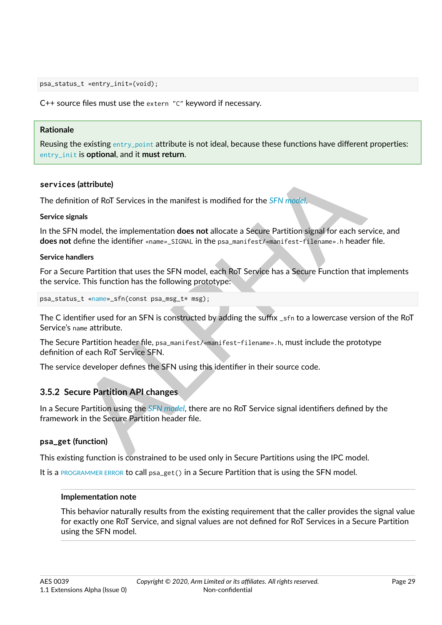psa\_status\_t «entry\_init»(void);

C++ source files must use the extern "C" keyword if necessary.

#### **Rationale**

Reusing the existing [entry\\_point](#page-28-1) attribute is not ideal, because these functions have different properties: [entry\\_init](#page-28-0) is **optional**, and it **must return**.

#### **services (attribute)**

The definition of RoT Services in the manifest is modified for the *SFN model*.

#### **Service signals**

In the SFN model, the implementation **does not** allocate a Secure Partition signal for each service, and **does not** define the identifier «name» SIGNAL in the psa\_manifest/«manifest-filename».h header file.

#### **Service handlers**

For a Secure Partition that uses the SFN model, each RoT Service has a Secure Function that implements the service. This function has the following prototype:

```
psa_status_t «name»_sfn(const psa_msg_t* msg);
```
The C identifier used for an SFN is constructed by adding the suffix \_sfn to a lowercase version of the RoT Service's name attribute.

The Secure Partition header file, psa\_manifest/«manifest-filename».h, must include the prototype definition of each RoT Service SFN.

The service developer defines the SFN using this identifier in their source code.

## <span id="page-29-0"></span>**3.5.2 Secure Partition API changes**

(attribute)<br>
ition of RoT Services in the manifest is modified for the *SFN* model.<br>
Imadel, the implementation does not allocate a Secure Partition signal for each service,<br>
alefine the identifier «name»...STGNL in the ps In a Secure Partition using the *SFN model*, there are no RoT Service signal identifiers defined by the framework in the Secure Partition header file.

#### **psa\_get (function)**

This existing function is constrained to be used only in Secure Partitions using the IPC model.

It is a [PROGRAMMER ERROR](#page-10-5) to call psa\_get() in a Secure Partition that is using the SFN model.

#### **Implementation note**

This behavior naturally results from the existing requirement that the caller provides the signal value for exactly one RoT Service, and signal values are not defined for RoT Services in a Secure Partition using the SFN model.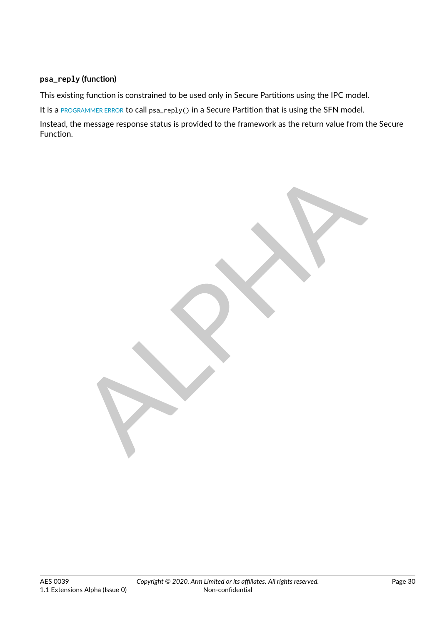## **psa\_reply (function)**

This existing function is constrained to be used only in Secure Partitions using the IPC model.

It is a [PROGRAMMER ERROR](#page-10-5) to call psa\_reply() in a Secure Partition that is using the SFN model.

Instead, the message response status is provided to the framework as the return value from the Secure Function.

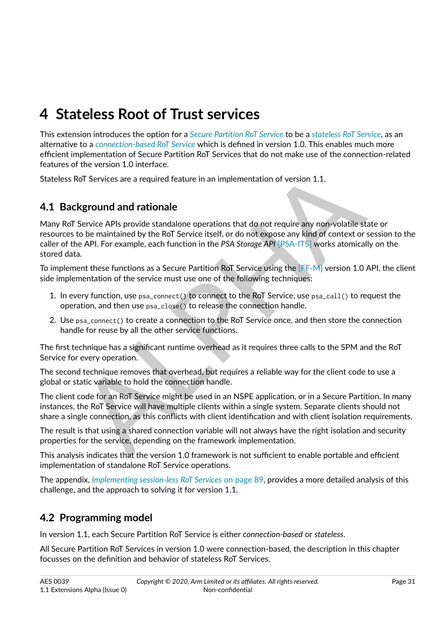# <span id="page-31-0"></span>**4 Stateless Root of Trust services**

This extension introduces the option for a *[Secure Partition RoT Service](#page-12-0)* to be a *[stateless RoT Service](#page-12-1)*, as an alternative to a *[connection-based RoT Service](#page-8-4)* which is defined in version 1.0. This enables much more efficient implementation of Secure Partition RoT Services that do not make use of the connection-related features of the version 1.0 interface.

Stateless RoT Services are a required feature in an implementation of version 1.1.

# <span id="page-31-1"></span>**4.1 Background and rationale**

Roll Services are a required feature in an implementation of version 1.1.<br>
Roll Services are a required feature in an implementation of version 1.1.<br>
Reground and rationale<br>
Service APIs provide standalone operations that Many RoT Service APIs provide standalone operations that do not require any non-volatile state or resources to be maintained by the RoT Service itself, or do not expose any kind of context or session to the caller of the API. For example, each function in the *PSA Storage API* [PSA-ITS] works atomically on the stored data.

To implement these functions as a Secure Partition RoT Service using the [FF-M] version 1.0 API, the client side implementation of the service must use one of the following techniques:

- 1. In every function, use psa\_connect() to connect to the RoT Service, use psa\_call() to request the operation, and then use psa\_close() to release the connection handle.
- 2. Use psa\_connect() to create a connection to the RoT Service once, and then store the connection handle for reuse by all the other service functions.

The first technique has a significant runtime overhead as it requires three calls to the SPM and the RoT Service for every operation.

The second technique removes that overhead, but requires a reliable way for the client code to use a global or static variable to hold the connection handle.

The client code for an RoT Service might be used in an NSPE application, or in a Secure Partition. In many instances, the RoT Service will have multiple clients within a single system. Separate clients should not share a single connection, as this conflicts with client identification and with client isolation requirements.

The result is that using a shared connection variable will not always have the right isolation and security properties for the service, depending on the framework implementation.

This analysis indicates that the version 1.0 framework is not sufficient to enable portable and efficient implementation of standalone RoT Service operations.

The appendix, *[Implementing session-less RoT Services](#page-89-0)* [on page](#page-89-0) [89,](#page-89-0) provides a more detailed analysis of this challenge, and the approach to solving it for version 1.1.

# <span id="page-31-2"></span>**4.2 Programming model**

In version 1.1, each Secure Partition RoT Service is either *connection-based* or *stateless*.

All Secure Partition RoT Services in version 1.0 were connection-based, the description in this chapter focusses on the definition and behavior of stateless RoT Services.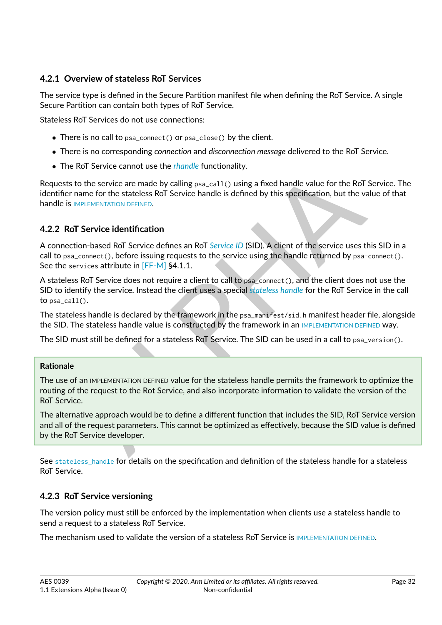## <span id="page-32-0"></span>**4.2.1 Overview of stateless RoT Services**

The service type is defined in the Secure Partition manifest file when defining the RoT Service. A single Secure Partition can contain both types of RoT Service.

Stateless RoT Services do not use connections:

- ∙ There is no call to psa\_connect() or psa\_close() by the client.
- ∙ There is no corresponding *connection* and *disconnection message* delivered to the RoT Service.
- ∙ The RoT Service cannot use the *[rhandle](#page-11-8)* functionality.

Requests to the service are made by calling psa\_call() using a fixed handle value for the RoT Service. The identifier name for the stateless RoT Service handle is defined by this specification, but the value of that handle is IMPLEMENTATION DEFINED.

## <span id="page-32-1"></span>**4.2.2 RoT Service identification**

A connection-based RoT Service defines an RoT *Service ID* (SID). A client of the service uses this SID in a call to  $psa\_connect()$ , before issuing requests to the service using the handle returned by  $psa-connect()$ . See the services attribute in [FF-M] §4.1.1.

Not be service cannot by ealing psa\_call () using a fixed handle value for the RoT Service<br>to the service are made by calling psa\_call () using a fixed handle value for the RoT Service<br>than the form the stateless RoT Servi A stateless RoT Service does not require a client to call to psa\_connect(), and the client does not use the SID to identify the service. Instead the client uses a special *stateless handle* for the RoT Service in the call to psa\_call().

The stateless handle is declared by the framework in the psa\_manifest/sid.h manifest header file, alongside the SID. The stateless handle value is constructed by the framework in an IMPLEMENTATION DEFINED way.

The SID must still be defined for a stateless RoT Service. The SID can be used in a call to psa\_version().

#### **Rationale**

The use of an IMPLEMENTATION DEFINED value for the stateless handle permits the framework to optimize the routing of the request to the Rot Service, and also incorporate information to validate the version of the RoT Service.

The alternative approach would be to define a different function that includes the SID, RoT Service version and all of the request parameters. This cannot be optimized as effectively, because the SID value is defined by the RoT Service developer.

See [stateless\\_handle](#page-36-1) for details on the specification and definition of the stateless handle for a stateless RoT Service.

## <span id="page-32-2"></span>**4.2.3 RoT Service versioning**

The version policy must still be enforced by the implementation when clients use a stateless handle to send a request to a stateless RoT Service.

The mechanism used to validate the version of a stateless RoT Service is [IMPLEMENTATION DEFINED](#page-9-7).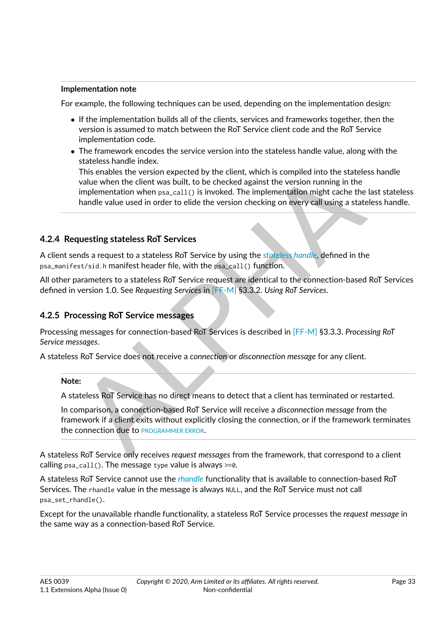#### **Implementation note**

For example, the following techniques can be used, depending on the implementation design:

- ∙ If the implementation builds all of the clients, services and frameworks together, then the version is assumed to match between the RoT Service client code and the RoT Service implementation code.
- ∙ The framework encodes the service version into the stateless handle value, along with the stateless handle index.

This enables the version expected by the client, which is compiled into the stateless han value when the client was built, to be checked against the version running in the stateless hand implementation when psa\_ca11() is i This enables the version expected by the client, which is compiled into the stateless handle value when the client was built, to be checked against the version running in the implementation when psa\_call() is invoked. The implementation might cache the last stateless handle value used in order to elide the version checking on every call using a stateless handle.

## <span id="page-33-0"></span>**4.2.4 Requesting stateless RoT Services**

A client sends a request to a stateless RoT Service by using the *stateless handle*, defined in the psa\_manifest/sid.h manifest header file, with the psa\_call() function.

All other parameters to a stateless RoT Service request are identical to the connection-based RoT Services defined in version 1.0. See *Requesting Services* in [FF-M] §3.3.2. *Using RoT Services*.

## <span id="page-33-1"></span>**4.2.5 Processing RoT Service messages**

Processing messages for connection-based RoT Services is described in [FF-M] §3.3.3. *Processing RoT Service messages*.

A stateless RoT Service does not receive a *connection* or *disconnection message* for any client.

## **Note:**

A stateless RoT Service has no direct means to detect that a client has terminated or restarted.

In comparison, a connection-based RoT Service will receive a *disconnection message* from the framework if a client exits without explicitly closing the connection, or if the framework terminates the connection due to PROGRAMMER ERROR.

A stateless RoT Service only receives *request messages* from the framework, that correspond to a client calling  $psa_{cal}($ ). The message type value is always  $>=0$ .

A stateless RoT Service cannot use the *[rhandle](#page-11-8)* functionality that is available to connection-based RoT Services. The rhandle value in the message is always NULL, and the RoT Service must not call psa\_set\_rhandle().

Except for the unavailable rhandle functionality, a stateless RoT Service processes the *request message* in the same way as a connection-based RoT Service.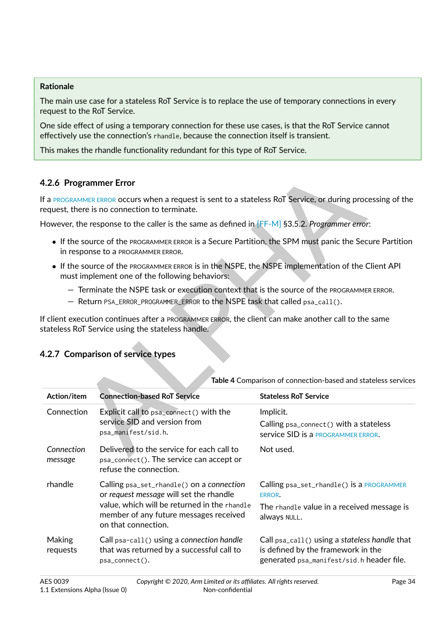#### **Rationale**

The main use case for a stateless RoT Service is to replace the use of temporary connections in every request to the RoT Service.

One side effect of using a temporary connection for these use cases, is that the RoT Service cannot effectively use the connection's rhandle, because the connection itself is transient.

This makes the rhandle functionality redundant for this type of RoT Service.

## **4.2.6 Programmer Error**

- ∙ If the source of the PROGRAMMER ERROR is a Secure Partition, the SPM must panic the Secure Partition in response to a PROGRAMMER ERROR.
- ∙ If the source of the PROGRAMMER ERROR is in the NSPE, the NSPE implementation of the Client API must implement one of the following behaviors:
	- Terminate the NSPE task or execution context that is the source of the PROGRAMMER ERROR.
	- Return PSA\_ERROR\_PROGRAMMER\_ERROR to the NSPE task that called psa\_call().

<span id="page-34-0"></span>

| 4.2.6 Programmer Error    |                                                                                                                                                                                                                           |                                                                                                                                  |
|---------------------------|---------------------------------------------------------------------------------------------------------------------------------------------------------------------------------------------------------------------------|----------------------------------------------------------------------------------------------------------------------------------|
|                           | If a PROGRAMMER ERROR OCCUrs when a request is sent to a stateless RoT Service, or during processing of the<br>request, there is no connection to terminate.                                                              |                                                                                                                                  |
|                           | However, the response to the caller is the same as defined in $[FF-M]$ §3.5.2. Programmer error:                                                                                                                          |                                                                                                                                  |
|                           | • If the source of the PROGRAMMER ERROR is a Secure Partition, the SPM must panic the Secure Partition<br>in response to a PROGRAMMER ERROR.                                                                              |                                                                                                                                  |
|                           | • If the source of the PROGRAMMER ERROR is in the NSPE, the NSPE implementation of the Client API<br>must implement one of the following behaviors:                                                                       |                                                                                                                                  |
|                           | - Terminate the NSPE task or execution context that is the source of the PROGRAMMER ERROR.<br>- Return PSA_ERROR_PROGRAMMER_ERROR to the NSPE task that called psa_call().                                                |                                                                                                                                  |
|                           | If client execution continues after a <code>programmer</code> <code>error</code> , the client can make another call to the same<br>stateless RoT Service using the stateless handle.<br>4.2.7 Comparison of service types |                                                                                                                                  |
|                           |                                                                                                                                                                                                                           | Table 4 Comparison of connection-based and stateless services                                                                    |
| Action/item<br>Connection | <b>Connection-based RoT Service</b><br>Explicit call to psa_connect() with the<br>service SID and version from<br>psa_manifest/sid.h.                                                                                     | <b>Stateless RoT Service</b><br>Implicit.<br>Calling psa_connect() with a stateless<br>service SID is a PROGRAMMER ERROR.        |
| Connection<br>message     | Delivered to the service for each call to<br>psa_connect(). The service can accept or<br>refuse the connection.                                                                                                           | Not used.                                                                                                                        |
| rhandle                   | Calling psa_set_rhandle() on a connection<br>or request message will set the rhandle<br>value, which will be returned in the rhandle<br>member of any future messages received<br>on that connection.                     | Calling psa_set_rhandle() is a PROGRAMMER<br>ERROR.<br>The rhandle value in a received message is<br>always NULL.                |
| Making<br>requests        | Call psa-call() using a connection handle<br>that was returned by a successful call to<br>psa_connect().                                                                                                                  | Call psa_ca11() using a stateless handle that<br>is defined by the framework in the<br>generated psa_manifest/sid.h header file. |

## <span id="page-34-1"></span>**4.2.7 Comparison of service types**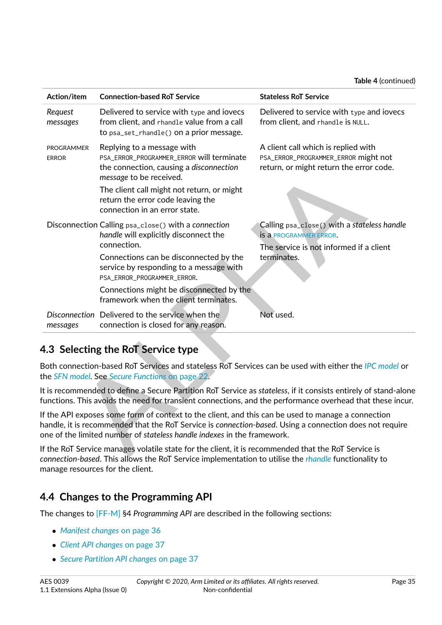**Table 4** (continued)

| Action/item                       | <b>Connection-based RoT Service</b>                                                                                                                                                                                                                                                                                  | <b>Stateless RoT Service</b>                                                                                                           |
|-----------------------------------|----------------------------------------------------------------------------------------------------------------------------------------------------------------------------------------------------------------------------------------------------------------------------------------------------------------------|----------------------------------------------------------------------------------------------------------------------------------------|
| Request<br>messages               | Delivered to service with type and iovecs<br>from client, and rhandle value from a call<br>to psa_set_rhandle() on a prior message.                                                                                                                                                                                  | Delivered to service with type and iovecs<br>from client, and rhandle is NULL.                                                         |
| <b>PROGRAMMER</b><br><b>ERROR</b> | Replying to a message with<br>PSA_ERROR_PROGRAMMER_ERROR will terminate<br>the connection, causing a disconnection<br>message to be received.<br>The client call might not return, or might<br>return the error code leaving the<br>connection in an error state.                                                    | A client call which is replied with<br>PSA_ERROR_PROGRAMMER_ERROR might not<br>return, or might return the error code.                 |
|                                   | Disconnection Calling psa_close() with a connection<br>handle will explicitly disconnect the<br>connection.<br>Connections can be disconnected by the<br>service by responding to a message with<br>PSA_ERROR_PROGRAMMER_ERROR.<br>Connections might be disconnected by the<br>framework when the client terminates. | Calling psa_close() with a stateless handle<br><b>is a PROGRAMMER ERROR.</b><br>The service is not informed if a client<br>terminates. |
| messages                          | Disconnection Delivered to the service when the<br>connection is closed for any reason.                                                                                                                                                                                                                              | Not used.                                                                                                                              |
|                                   | 4.3 Selecting the RoT Service type                                                                                                                                                                                                                                                                                   |                                                                                                                                        |
|                                   | Both connection-based RoT Services and stateless RoT Services can be used with either the IPC model or<br>he SFN model. See Secure Functions on page 22.                                                                                                                                                             |                                                                                                                                        |
|                                   | t is recommended to define a Secure Partition RoT Service as stateless, if it consists entirely of stand-alone<br>unctions. This avoids the need for transient connections, and the performance overhead that these incur.                                                                                           |                                                                                                                                        |
|                                   | f the API exposes some form of context to the client, and this can be used to manage a connection<br>iandle, it is recommended that the RoT Service is connection-based. Using a connection does not require<br>one of the limited number of stateless handle indexes in the framework.                              |                                                                                                                                        |
|                                   | f the RoT Service manages volatile state for the client, it is recommended that the RoT Service is<br>and the change of the collection that DeT Constantine there existent are not then the collection of a Constitution of                                                                                          |                                                                                                                                        |

# <span id="page-35-0"></span>**4.3 Selecting the RoT Service type**

If the RoT Service manages volatile state for the client, it is recommended that the RoT Service is *connection-based*. This allows the RoT Service implementation to utilise the *[rhandle](#page-11-8)* functionality to manage resources for the client.

# <span id="page-35-1"></span>**4.4 Changes to the Programming API**

The changes to [\[FF-M\]](#page-8-5) §4 *Programming API* are described in the following sections:

- ∙ *[Manifest changes](#page-36-0)* [on page](#page-36-0) [36](#page-36-0)
- ∙ *[Client API changes](#page-37-0)* [on page](#page-37-0) [37](#page-37-0)
- ∙ *[Secure Partition API changes](#page-37-1)* [on page](#page-37-1) [37](#page-37-1)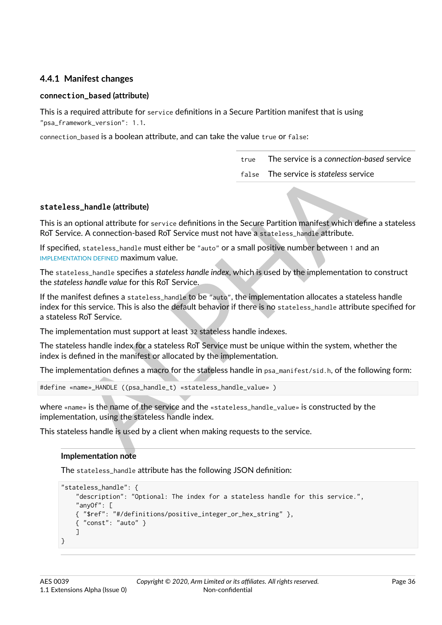## **4.4.1 Manifest changes**

## **connection\_based (attribute)**

This is a required attribute for service definitions in a Secure Partition manifest that is using "psa\_framework\_version": 1.1.

connection\_based is a boolean attribute, and can take the value true or false:

true The service is a *connection-based* service false The service is *stateless* service

## **stateless\_handle (attribute)**

This is an optional attribute for service definitions in the Secure Partition manifest which define a stateless RoT Service. A connection-based RoT Service must not have a stateless handle attribute.

If specified, stateless\_handle must either be "auto" or a small positive number between 1 and an [IMPLEMENTATION DEFINED](#page-9-0) maximum value.

The stateless\_handle specifies a *stateless handle index*, which is used by the implementation to construct the *stateless handle value* for this RoT Service.

false The service is stateless service<br>
s\_handle (attribute)<br>
optional attribute)<br>
optional attribute for service definitions in the Secure Partition manifest which define a s<br>
d, stateless\_handle must either be "auto" or If the manifest defines a stateless handle to be "auto", the implementation allocates a stateless handle index for this service. This is also the default behavior if there is no stateless\_handle attribute specified for a stateless RoT Service.

The implementation must support at least 32 stateless handle indexes.

The stateless handle index for a stateless RoT Service must be unique within the system, whether the index is defined in the manifest or allocated by the implementation.

The implementation defines a macro for the stateless handle in psa\_manifest/sid.h, of the following form:

#define «name»\_HANDLE ((psa\_handle\_t) «stateless\_handle\_value» )

where «name» is the name of the service and the «stateless\_handle\_value» is constructed by the implementation, using the stateless handle index.

This stateless handle is used by a client when making requests to the service.

#### **Implementation note**

The stateless\_handle attribute has the following JSON definition:

```
"stateless_handle": {
    "description": "Optional: The index for a stateless handle for this service.",
    "anyOf": [
    { "$ref": "#/definitions/positive_integer_or_hex_string" },
    { "const": "auto" }
    ]
}
```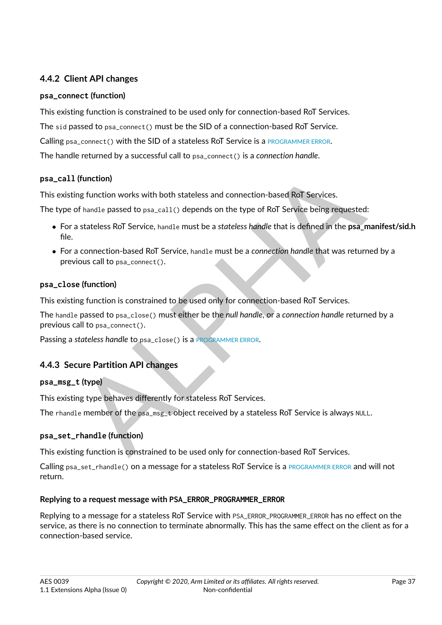# **4.4.2 Client API changes**

## **psa\_connect (function)**

This existing function is constrained to be used only for connection-based RoT Services.

The sid passed to psa\_connect() must be the SID of a connection-based RoT Service.

Calling psa\_connect() with the SID of a stateless RoT Service is a [PROGRAMMER ERROR](#page-10-0).

The handle returned by a successful call to psa\_connect() is a *connection handle*.

## **psa\_call (function)**

This existing function works with both stateless and connection-based RoT Services.

The type of handle passed to psa\_call() depends on the type of RoT Service being requested:

- ∙ For a stateless RoT Service, handle must be a *stateless handle* that is defined in the **psa\_manifest/sid.h** file.
- (function)<br>
Ing function works with both stateless and connection-based RoT Services.<br>
Differences of handle passed to psa<sub>c</sub>call() depends on the type of RoT Service being requested:<br>
a stateless RoT Service, handle must ∙ For a connection-based RoT Service, handle must be a *connection handle* that was returned by a previous call to psa\_connect().

## **psa\_close (function)**

This existing function is constrained to be used only for connection-based RoT Services.

The handle passed to psa\_close() must either be the *null handle*, or a *connection handle* returned by a previous call to psa\_connect().

Passing a *stateless handle* to psa\_close() is a PROGRAMMER ERROR.

# **4.4.3 Secure Partition API changes**

## **psa\_msg\_t (type)**

This existing type behaves differently for stateless RoT Services.

The rhandle member of the psa\_msg\_t object received by a stateless RoT Service is always NULL.

## **psa\_set\_rhandle (function)**

This existing function is constrained to be used only for connection-based RoT Services.

Calling psa\_set\_rhandle() on a message for a stateless RoT Service is a [PROGRAMMER ERROR](#page-10-0) and will not return.

## **Replying to a request message with PSA\_ERROR\_PROGRAMMER\_ERROR**

Replying to a message for a stateless RoT Service with PSA\_ERROR\_PROGRAMMER\_ERROR has no effect on the service, as there is no connection to terminate abnormally. This has the same effect on the client as for a connection-based service.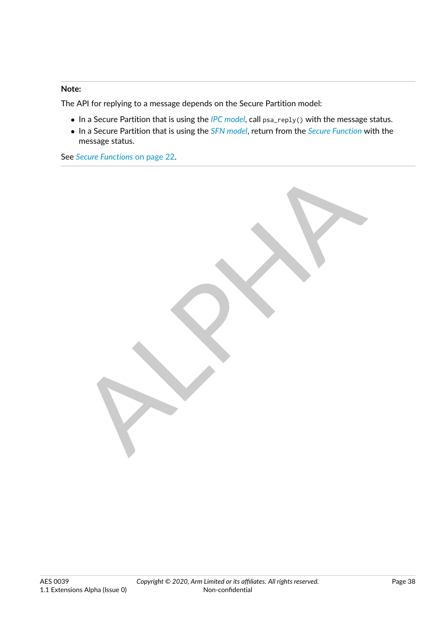#### **Note:**

The API for replying to a message depends on the Secure Partition model:

- ∙ In a Secure Partition that is using the *[IPC model](#page-9-1)*, call psa\_reply() with the message status.
- ∙ In a Secure Partition that is using the *[SFN model](#page-12-0)*, return from the *[Secure Function](#page-11-0)* with the message status.

See *[Secure Functions](#page-22-0)* [on page](#page-22-0) [22.](#page-22-0)

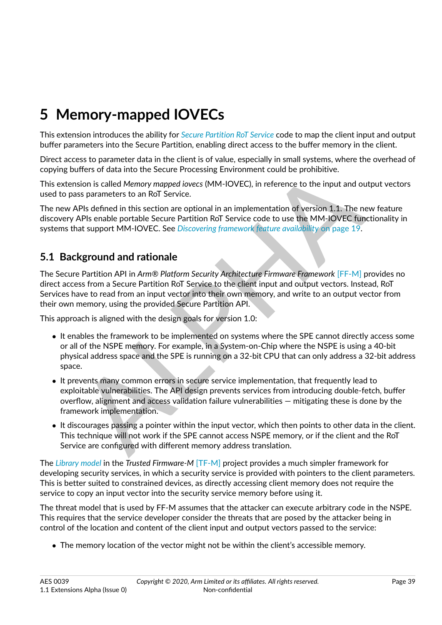# **5 Memory-mapped IOVECs**

This extension introduces the ability for *[Secure Partition RoT Service](#page-12-1)* code to map the client input and output buffer parameters into the Secure Partition, enabling direct access to the buffer memory in the client.

Direct access to parameter data in the client is of value, especially in small systems, where the overhead of copying buffers of data into the Secure Processing Environment could be prohibitive.

This extension is called *Memory mapped iovecs* (MM-IOVEC), in reference to the input and output vectors used to pass parameters to an RoT Service.

The new APIs defined in this section are optional in an implementation of version 1.1. The new feature discovery APIs enable portable Secure Partition RoT Service code to use the MM-IOVEC functionality in systems that support MM-IOVEC. See *Discovering framework feature availability* on page 19.

# **5.1 Background and rationale**

uffers of data into the Secure Processing Environment could be prohibitive.<br>
Sison is called M*emory mappel oivecs* (MM-IQVEC), in reference to the input and output v<br>
Sison straineters to an RoT Service.<br>
APIs defined in The Secure Partition API in *Arm® Platform Security Architecture Firmware Framework* [FF-M] provides no direct access from a Secure Partition RoT Service to the client input and output vectors. Instead, RoT Services have to read from an input vector into their own memory, and write to an output vector from their own memory, using the provided Secure Partition API.

This approach is aligned with the design goals for version 1.0:

- ∙ It enables the framework to be implemented on systems where the SPE cannot directly access some or all of the NSPE memory. For example, in a System-on-Chip where the NSPE is using a 40-bit physical address space and the SPE is running on a 32-bit CPU that can only address a 32-bit address space.
- ∙ It prevents many common errors in secure service implementation, that frequently lead to exploitable vulnerabilities. The API design prevents services from introducing double-fetch, buffer overflow, alignment and access validation failure vulnerabilities — mitigating these is done by the framework implementation.
- ∙ It discourages passing a pointer within the input vector, which then points to other data in the client. This technique will not work if the SPE cannot access NSPE memory, or if the client and the RoT Service are configured with different memory address translation.

The *[Library model](#page-10-1)* in the *Trusted Firmware-M* [\[TF-M\]](#page-8-1) project provides a much simpler framework for developing security services, in which a security service is provided with pointers to the client parameters. This is better suited to constrained devices, as directly accessing client memory does not require the service to copy an input vector into the security service memory before using it.

The threat model that is used by FF-M assumes that the attacker can execute arbitrary code in the NSPE. This requires that the service developer consider the threats that are posed by the attacker being in control of the location and content of the client input and output vectors passed to the service:

∙ The memory location of the vector might not be within the client's accessible memory.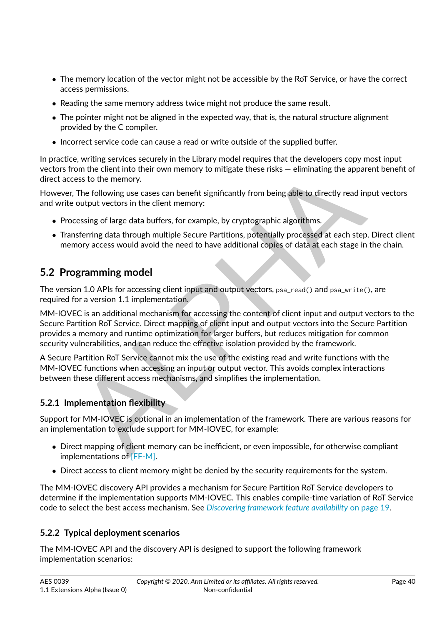- ∙ The memory location of the vector might not be accessible by the RoT Service, or have the correct access permissions.
- ∙ Reading the same memory address twice might not produce the same result.
- ∙ The pointer might not be aligned in the expected way, that is, the natural structure alignment provided by the C compiler.
- ∙ Incorrect service code can cause a read or write outside of the supplied buffer.

In practice, writing services securely in the Library model requires that the developers copy most input vectors from the client into their own memory to mitigate these risks — eliminating the apparent benefit of direct access to the memory.

However, The following use cases can benefit significantly from being able to directly read input vectors and write output vectors in the client memory:

- ∙ Processing of large data buffers, for example, by cryptographic algorithms.
- ∙ Transferring data through multiple Secure Partitions, potentially processed at each step. Direct client memory access would avoid the need to have additional copies of data at each stage in the chain.

# **5.2 Programming model**

The version 1.0 APIs for accessing client input and output vectors, psa\_read() and psa\_write(), are required for a version 1.1 implementation.

om the client into their own memory to mitigate these risks — eliminating the apparent be<br>sess to the memory.<br>The following use cases can benefit significantly from being able to directly read input ve<br>output vectors in th MM-IOVEC is an additional mechanism for accessing the content of client input and output vectors to the Secure Partition RoT Service. Direct mapping of client input and output vectors into the Secure Partition provides a memory and runtime optimization for larger buffers, but reduces mitigation for common security vulnerabilities, and can reduce the effective isolation provided by the framework.

A Secure Partition RoT Service cannot mix the use of the existing read and write functions with the MM-IOVEC functions when accessing an input or output vector. This avoids complex interactions between these different access mechanisms, and simplifies the implementation.

# **5.2.1 Implementation flexibility**

Support for MM-IOVEC is optional in an implementation of the framework. There are various reasons for an implementation to exclude support for MM-IOVEC, for example:

- ∙ Direct mapping of client memory can be inefficient, or even impossible, for otherwise compliant implementations of [\[FF-M\].](#page-8-0)
- ∙ Direct access to client memory might be denied by the security requirements for the system.

The MM-IOVEC discovery API provides a mechanism for Secure Partition RoT Service developers to determine if the implementation supports MM-IOVEC. This enables compile-time variation of RoT Service code to select the best access mechanism. See *[Discovering framework feature availability](#page-19-0)* [on page](#page-19-0) [19.](#page-19-0)

# **5.2.2 Typical deployment scenarios**

The MM-IOVEC API and the discovery API is designed to support the following framework implementation scenarios: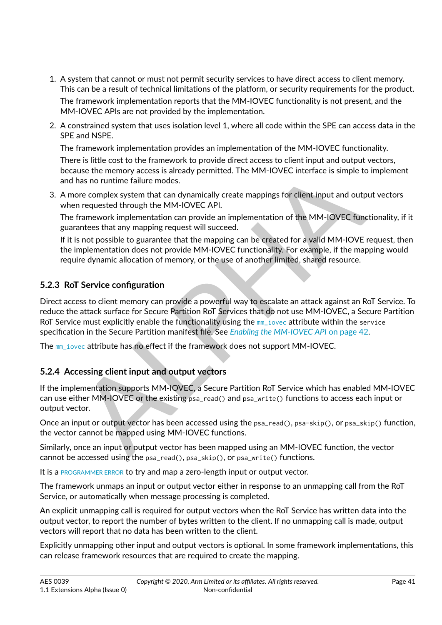- 1. A system that cannot or must not permit security services to have direct access to client memory. This can be a result of technical limitations of the platform, or security requirements for the product. The framework implementation reports that the MM-IOVEC functionality is not present, and the MM-IOVEC APIs are not provided by the implementation.
- 2. A constrained system that uses isolation level 1, where all code within the SPE can access data in the SPE and NSPE.

The framework implementation provides an implementation of the MM-IOVEC functionality. There is little cost to the framework to provide direct access to client input and output vectors,

because the memory access is already permitted. The MM-IOVEC interface is simple to implement and has no runtime failure modes.

3. A more complex system that can dynamically create mappings for client input and output vectors when requested through the MM-IOVEC API.

The framework implementation can provide an implementation of the MM-IOVEC functionality, if it guarantees that any mapping request will succeed.

If it is not possible to guarantee that the mapping can be created for a valid MM-IOVE request, then the implementation does not provide MM-IOVEC functionality. For example, if the mapping would require dynamic allocation of memory, or the use of another limited, shared resource.

# **5.2.3 RoT Service configuration**

also in curting failure modes.<br>
thas no curting failure modes.<br>
thas no curting failure modes or cannoted through the parameteristic are a procedure of complex system that can dynamically create mappings for elient input a Direct access to client memory can provide a powerful way to escalate an attack against an RoT Service. To reduce the attack surface for Secure Partition RoT Services that do not use MM-IOVEC, a Secure Partition RoT Service must explicitly enable the functionality using the  $mm$  jovec attribute within the service specification in the Secure Partition manifest file. See *Enabling the MM-IOVEC API* on page 42.

The [mm\\_iovec](#page-42-0) attribute has no effect if the framework does not support MM-IOVEC.

# **5.2.4 Accessing client input and output vectors**

If the implementation supports MM-IOVEC, a Secure Partition RoT Service which has enabled MM-IOVEC can use either MM-IOVEC or the existing psa\_read() and psa\_write() functions to access each input or output vector.

Once an input or output vector has been accessed using the psa\_read(), psa-skip(), or psa\_skip() function, the vector cannot be mapped using MM-IOVEC functions.

Similarly, once an input or output vector has been mapped using an MM-IOVEC function, the vector cannot be accessed using the psa\_read(), psa\_skip(), or psa\_write() functions.

It is a [PROGRAMMER ERROR](#page-10-0) to try and map a zero-length input or output vector.

The framework unmaps an input or output vector either in response to an unmapping call from the RoT Service, or automatically when message processing is completed.

An explicit unmapping call is required for output vectors when the RoT Service has written data into the output vector, to report the number of bytes written to the client. If no unmapping call is made, output vectors will report that no data has been written to the client.

Explicitly unmapping other input and output vectors is optional. In some framework implementations, this can release framework resources that are required to create the mapping.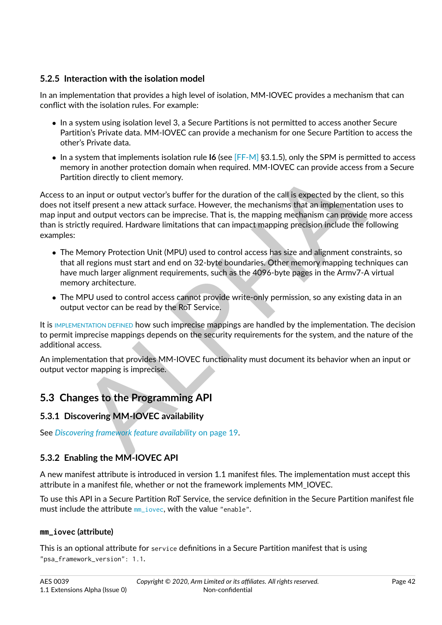# **5.2.5 Interaction with the isolation model**

In an implementation that provides a high level of isolation, MM-IOVEC provides a mechanism that can conflict with the isolation rules. For example:

- ∙ In a system using isolation level 3, a Secure Partitions is not permitted to access another Secure Partition's Private data. MM-IOVEC can provide a mechanism for one Secure Partition to access the other's Private data.
- ∙ In a system that implements isolation rule **I6** (see [\[FF-M\]](#page-8-0) §3.1.5), only the SPM is permitted to access memory in another protection domain when required. MM-IOVEC can provide access from a Secure Partition directly to client memory.

In or more protection domain when required. MM-IOVEC can provide access from a<br>
idion directly to client memory.<br>
an input or output vector's buffer for the duration of the call is expected by the client, so<br>
steelf presen Access to an input or output vector's buffer for the duration of the call is expected by the client, so this does not itself present a new attack surface. However, the mechanisms that an implementation uses to map input and output vectors can be imprecise. That is, the mapping mechanism can provide more access than is strictly required. Hardware limitations that can impact mapping precision include the following examples:

- ∙ The Memory Protection Unit (MPU) used to control access has size and alignment constraints, so that all regions must start and end on 32-byte boundaries. Other memory mapping techniques can have much larger alignment requirements, such as the 4096-byte pages in the Armv7-A virtual memory architecture.
- ∙ The MPU used to control access cannot provide write-only permission, so any existing data in an output vector can be read by the RoT Service.

It is IMPLEMENTATION DEFINED how such imprecise mappings are handled by the implementation. The decision to permit imprecise mappings depends on the security requirements for the system, and the nature of the additional access.

An implementation that provides MM-IOVEC functionality must document its behavior when an input or output vector mapping is imprecise.

# **5.3 Changes to the Programming API**

# **5.3.1 Discovering MM-IOVEC availability**

See *Discovering framework feature availability* on page 19.

## <span id="page-42-1"></span>**5.3.2 Enabling the MM-IOVEC API**

A new manifest attribute is introduced in version 1.1 manifest files. The implementation must accept this attribute in a manifest file, whether or not the framework implements MM\_IOVEC.

To use this API in a Secure Partition RoT Service, the service definition in the Secure Partition manifest file must include the attribute [mm\\_iovec](#page-42-0), with the value "enable".

#### <span id="page-42-0"></span>**mm\_iovec (attribute)**

This is an optional attribute for service definitions in a Secure Partition manifest that is using "psa\_framework\_version": 1.1.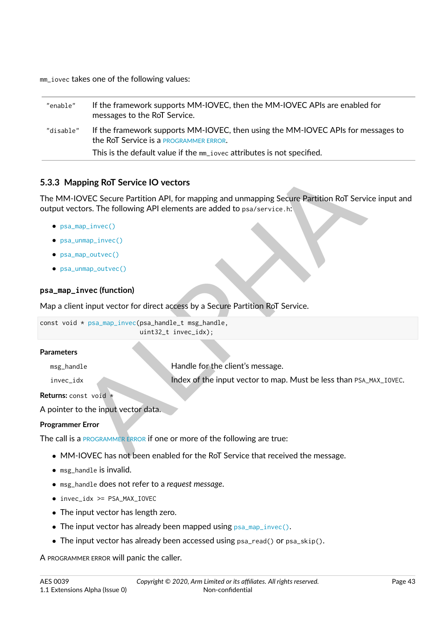mm\_iovec takes one of the following values:

| "enable"  | If the framework supports MM-IOVEC, then the MM-IOVEC APIs are enabled for<br>messages to the RoT Service.                 |
|-----------|----------------------------------------------------------------------------------------------------------------------------|
| "disable" | If the framework supports MM-IOVEC, then using the MM-IOVEC APIs for messages to<br>the RoT Service is a PROGRAMMER ERROR. |
|           | This is the default value if the mm_iovec attributes is not specified.                                                     |

## **5.3.3 Mapping RoT Service IO vectors**

The MM-IOVEC Secure Partition API, for mapping and unmapping Secure Partition RoT Service input and output vectors. The following API elements are added to psa/service.h:

- ∙ [psa\\_map\\_invec\(\)](#page-43-0)
- ∙ [psa\\_unmap\\_invec\(\)](#page-44-0)
- ∙ [psa\\_map\\_outvec\(\)](#page-45-0)
- ∙ [psa\\_unmap\\_outvec\(\)](#page-46-0)

## <span id="page-43-0"></span>**psa\_map\_invec (function)**

Map a client input vector for direct access by a Secure Partition RoT Service.

```
const void * psa_map_invec(psa_handle_t msg_handle,
                           uint32_t invec_idx);
```
#### **Parameters**

**alphony RoT Service IO vectors**<br>
COVEC Secure Partition [A](#page-10-0)PI, for mapping and unmapping Secure Partition RoT Service into<br>
the following API elements are added to psa/service.html<br>
map\_invec()<br>
unmap\_sutvec()<br>
imap\_sutvec( msg\_handle **Handle For the client's message.** invec\_idx Index of the input vector to map. Must be less than PSA\_MAX\_IOVEC.

**Returns:** const void \*

A pointer to the input vector data.

## **Programmer Error**

The call is a PROGRAMMER ERROR if one or more of the following are true:

- ∙ MM-IOVEC has not been enabled for the RoT Service that received the message.
- ∙ msg\_handle is invalid.
- ∙ msg\_handle does not refer to a *request message*.
- ∙ invec\_idx >= PSA\_MAX\_IOVEC
- ∙ The input vector has length zero.
- ∙ The input vector has already been mapped using [psa\\_map\\_invec\(\)](#page-43-0).
- ∙ The input vector has already been accessed using psa\_read() or psa\_skip().

A PROGRAMMER ERROR will panic the caller.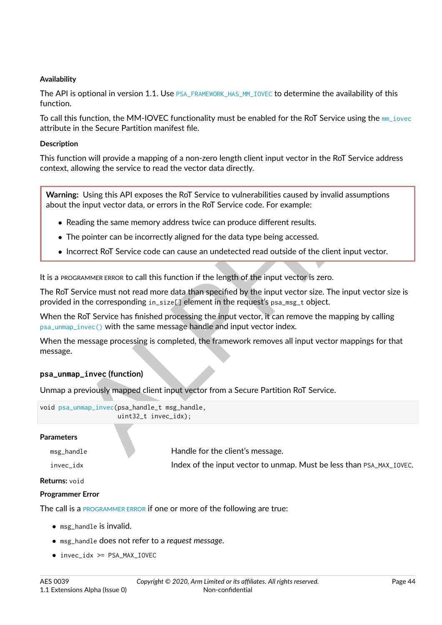#### **Availability**

The API is optional in version 1.1. Use [PSA\\_FRAMEWORK\\_HAS\\_MM\\_IOVEC](#page-20-0) to determine the availability of this function.

To call this function, the MM-IOVEC functionality must be enabled for the RoT Service using the [mm\\_iovec](#page-42-0) attribute in the Secure Partition manifest file.

#### **Description**

This function will provide a mapping of a non-zero length client input vector in the RoT Service address context, allowing the service to read the vector data directly.

Ilowing the service to read the vector data directly.<br>
1. Using this API exposes the RoT Service to vulnerabilities caused by invalid assumptions<br>
ie input vector data, or errors in the RoT Service code. For example:<br>
adin **Warning:** Using this API exposes the RoT Service to vulnerabilities caused by invalid assumptions about the input vector data, or errors in the RoT Service code. For example:

- ∙ Reading the same memory address twice can produce different results.
- ∙ The pointer can be incorrectly aligned for the data type being accessed.
- ∙ Incorrect RoT Service code can cause an undetected read outside of the client input vector.

It is a PROGRAMMER ERROR to call this function if the length of the input vector is zero.

The RoT Service must not read more data than specified by the input vector size. The input vector size is provided in the corresponding in\_size[] element in the request's psa\_msg\_t object.

When the RoT Service has finished processing the input vector, it can remove the mapping by calling [psa\\_unmap\\_invec\(\)](#page-44-0) with the same message handle and input vector index.

When the message processing is completed, the framework removes all input vector mappings for that message.

#### <span id="page-44-0"></span>**psa\_unmap\_invec (function)**

Unmap a previously mapped client input vector from a Secure Partition RoT Service.

| void psa_unmap_invec(psa_handle_t msg_handle, |
|-----------------------------------------------|
| $uint32_t$ invec_idx);                        |

#### **Parameters**

msg\_handle **Handle for the client's message.** 

invec\_idx **Index of the input vector to unmap. Must be less than PSA\_MAX\_IOVEC.** 

#### **Returns:** void

#### **Programmer Error**

The call is a [PROGRAMMER ERROR](#page-10-0) if one or more of the following are true:

- ∙ msg\_handle is invalid.
- ∙ msg\_handle does not refer to a *request message*.
- ∙ invec\_idx >= PSA\_MAX\_IOVEC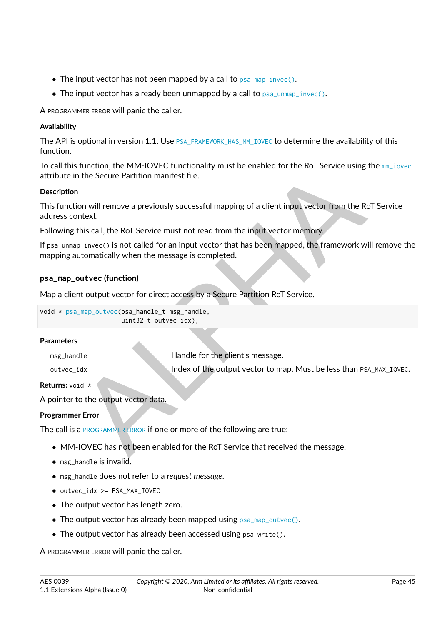- ∙ The input vector has not been mapped by a call to [psa\\_map\\_invec\(\)](#page-43-0).
- ∙ The input vector has already been unmapped by a call to [psa\\_unmap\\_invec\(\)](#page-44-0).

A PROGRAMMER ERROR will panic the caller.

## **Availability**

The API is optional in version 1.1. Use [PSA\\_FRAMEWORK\\_HAS\\_MM\\_IOVEC](#page-20-0) to determine the availability of this function.

To call this function, the MM-IOVEC functionality must be enabled for the RoT Service using the [mm\\_iovec](#page-42-0) attribute in the Secure Partition manifest file.

## **Description**

## <span id="page-45-0"></span>**psa\_map\_outvec (function)**

void \* psa\_map\_outvec(psa\_handle\_t msg\_handle, uint32\_t outvec\_idx);

#### **Parameters**

| ribute in the Secure Partition manifest file.                        | Call this function, the MIM-TOVEC functionality must be enabled for the ROT 3ervice using the init_fovec |
|----------------------------------------------------------------------|----------------------------------------------------------------------------------------------------------|
| scription                                                            |                                                                                                          |
| dress context.                                                       | is function will remove a previously successful mapping of a client input vector from the RoT Service    |
|                                                                      | lowing this call, the RoT Service must not read from the input vector memory.                            |
| pping automatically when the message is completed.                   | sa_unmap_invec() is not called for an input vector that has been mapped, the framework will remove th    |
| a_map_outvec(function)                                               |                                                                                                          |
|                                                                      | p a client output vector for direct access by a Secure Partition RoT Service.                            |
| d * psa_map_outvec(psa_handle_t msg_handle,<br>uint32_t outvec_idx); |                                                                                                          |
| <b>ameters</b>                                                       |                                                                                                          |
| msg_handle                                                           | Handle for the client's message.                                                                         |
| outvec_idx                                                           | Index of the output vector to map. Must be less than PSA_MAX_IOVEC.                                      |
| :urns: void *                                                        |                                                                                                          |
| oointer to the output vector data.                                   |                                                                                                          |
| grammer Error                                                        |                                                                                                          |
|                                                                      | e call is a PROGRAMMER ERROR if one or more of the following are true:                                   |
|                                                                      | • MM-IOVEC has not been enabled for the RoT Service that received the message.                           |
|                                                                      |                                                                                                          |

**Returns:** void \*

A pointer to the output vector data.

## **Programmer Error**

- ∙ MM-IOVEC has not been enabled for the RoT Service that received the message.
- ∙ msg\_handle is invalid.
- ∙ msg\_handle does not refer to a *request message*.
- ∙ outvec\_idx >= PSA\_MAX\_IOVEC
- ∙ The output vector has length zero.
- ∙ The output vector has already been mapped using [psa\\_map\\_outvec\(\)](#page-45-0).
- ∙ The output vector has already been accessed using psa\_write().

A PROGRAMMER ERROR will panic the caller.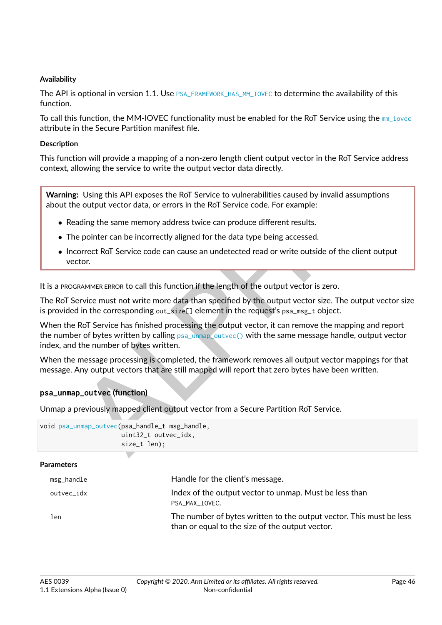#### **Availability**

The API is optional in version 1.1. Use [PSA\\_FRAMEWORK\\_HAS\\_MM\\_IOVEC](#page-20-0) to determine the availability of this function.

To call this function, the MM-IOVEC functionality must be enabled for the RoT Service using the [mm\\_iovec](#page-42-0) attribute in the Secure Partition manifest file.

#### **Description**

This function will provide a mapping of a non-zero length client output vector in the RoT Service address context, allowing the service to write the output vector data directly.

**Warning:** Using this API exposes the RoT Service to vulnerabilities caused by invalid assumptions about the output vector data, or errors in the RoT Service code. For example:

- ∙ Reading the same memory address twice can produce different results.
- ∙ The pointer can be incorrectly aligned for the data type being accessed.
- ∙ Incorrect RoT Service code can cause an undetected read or write outside of the client output vector.

It is a PROGRAMMER ERROR to call this function if the length of the output vector is zero.

The RoT Service must not write more data than specified by the output vector size. The output vector size is provided in the corresponding  $out\_size[$ ] element in the request's  $psa\_msg_t$  object.

Ilowing the service to write the output vector data directly.<br>
1. Using this API exposes the RoT Service to vulnerabilities caused by invalid assumptions<br>
e output vector data, or errors in the RoT Service code. For exampl When the RoT Service has finished processing the output vector, it can remove the mapping and report the number of bytes written by calling  $psa_l$  unmap outvec() with the same message handle, output vector index, and the number of bytes written.

When the message processing is completed, the framework removes all output vector mappings for that message. Any output vectors that are still mapped will report that zero bytes have been written.

#### <span id="page-46-0"></span>**psa\_unmap\_outvec (function)**

Unmap a previously mapped client output vector from a Secure Partition RoT Service.

```
void psa_unmap_outvec(psa_handle_t msg_handle,
                      uint32_t outvec_idx,
                      size_t len);
```
**Parameters**

| msg_handle | Handle for the client's message.                                                                                       |
|------------|------------------------------------------------------------------------------------------------------------------------|
| outvec_idx | Index of the output vector to unmap. Must be less than<br>PSA MAX IOVEC.                                               |
| len        | The number of bytes written to the output vector. This must be less<br>than or equal to the size of the output vector. |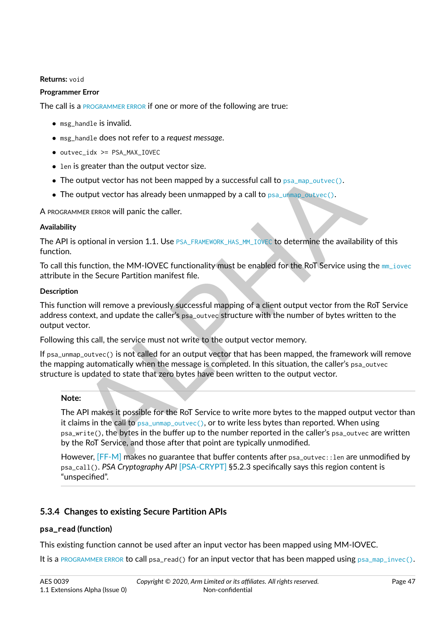#### **Returns:** void

#### **Programmer Error**

The call is a [PROGRAMMER ERROR](#page-10-0) if one or more of the following are true:

- ∙ msg\_handle is invalid.
- ∙ msg\_handle does not refer to a *request message*.
- ∙ outvec\_idx >= PSA\_MAX\_IOVEC
- ∙ len is greater than the output vector size.
- ∙ The output vector has not been mapped by a successful call to psa\_map\_outvec().
- ∙ The output vector has already been unmapped by a call to psa\_unmap\_outvec().

A PROGRAMMER ERROR will panic the caller.

#### **Availability**

The API is optional in version 1.1. Use PSA\_FRAMEWORK\_HAS\_MM\_IOVEC to determine the availability of this function.

To call this function, the MM-IOVEC functionality must be enabled for the RoT Service using the [mm\\_iovec](#page-42-0) attribute in the Secure Partition manifest file.

#### **Description**

This function will remove a previously successful mapping of a client output vector from the RoT Service address context, and update the caller's psa\_outvec structure with the number of bytes written to the output vector.

Following this call, the service must not write to the output vector memory.

If psa\_unmap\_outvec() is not called for an output vector that has been mapped, the framework will remove the mapping automatically when the message is completed. In this situation, the caller's psa\_outvec structure is updated to state that zero bytes have been written to the output vector.

#### **Note:**

Sylectic than the output vector size.<br>
output vector has not been mapped by a successful call to psa\_map\_outvec().<br>
output vector has already been unrapped by a call to psa\_map\_outvec().<br>
soutput vector has already been un The API makes it possible for the RoT Service to write more bytes to the mapped output vector than it claims in the call to psa\_unmap\_outvec(), or to write less bytes than reported. When using psa\_write(), the bytes in the buffer up to the number reported in the caller's psa\_outvec are written by the RoT Service, and those after that point are typically unmodified.

However, [\[FF-M\]](#page-8-0) makes no guarantee that buffer contents after psa\_outvec::len are unmodified by psa\_call(). *PSA Cryptography API* [\[PSA-CRYPT\]](#page-8-2) §5.2.3 specifically says this region content is "unspecified".

## **5.3.4 Changes to existing Secure Partition APIs**

#### **psa\_read (function)**

This existing function cannot be used after an input vector has been mapped using MM-IOVEC.

It is a [PROGRAMMER ERROR](#page-10-0) to call psa\_read() for an input vector that has been mapped using  $psa_{\text{map\_invec}}()$ .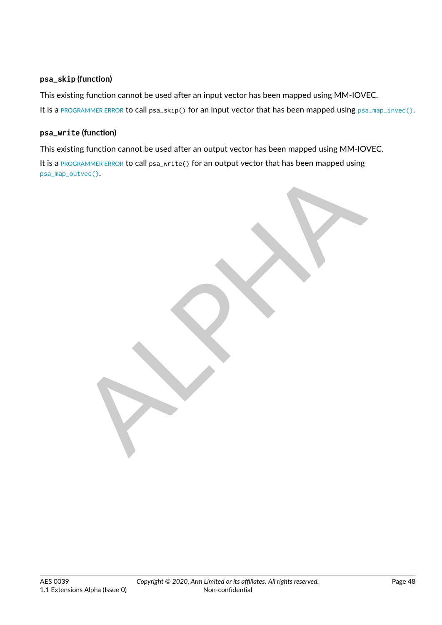## **psa\_skip (function)**

This existing function cannot be used after an input vector has been mapped using MM-IOVEC. It is a [PROGRAMMER ERROR](#page-10-0) to call psa\_skip() for an input vector that has been mapped using [psa\\_map\\_invec\(\)](#page-43-0).

## **psa\_write (function)**

This existing function cannot be used after an output vector has been mapped using MM-IOVEC.

It is a [PROGRAMMER ERROR](#page-10-0) to call psa\_write() for an output vector that has been mapped using [psa\\_map\\_outvec\(\)](#page-45-0).

RAND PROPERTY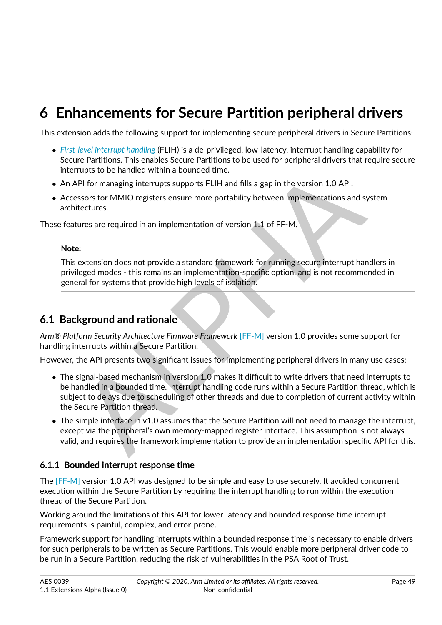# **6 Enhancements for Secure Partition peripheral drivers**

This extension adds the following support for implementing secure peripheral drivers in Secure Partitions:

- ∙ *[First-level interrupt handling](#page-9-2)* (FLIH) is a de-privileged, low-latency, interrupt handling capability for Secure Partitions. This enables Secure Partitions to be used for peripheral drivers that require secure interrupts to be handled within a bounded time.
- ∙ An API for managing interrupts supports FLIH and fills a gap in the version 1.0 API.
- ∙ Accessors for MMIO registers ensure more portability between implementations and system architectures.

These features are required in an implementation of version 1.1 of FF-M.

#### **Note:**

This extension does not provide a standard framework for running secure interrupt handlers in privileged modes - this remains an implementation-specific option, and is not recommended in general for systems that provide high levels of isolation.

# **6.1 Background and rationale**

*Arm® Platform Security Architecture Firmware Framework* [FF-M] version 1.0 provides some support for handling interrupts within a Secure Partition.

However, the API presents two significant issues for implementing peripheral drivers in many use cases:

- rrupts to be handled within a bounded time.<br>
A[P](#page-8-0)I for managing interrupts supports FLIH and fills a gap in the version 1.0 API.<br>
API for managing interrupts supports FLIH and fills a gap in the version 1.0 API.<br>
Intervalsio ∙ The signal-based mechanism in version 1.0 makes it difficult to write drivers that need interrupts to be handled in a bounded time. Interrupt handling code runs within a Secure Partition thread, which is subject to delays due to scheduling of other threads and due to completion of current activity within the Secure Partition thread.
- ∙ The simple interface in v1.0 assumes that the Secure Partition will not need to manage the interrupt, except via the peripheral's own memory-mapped register interface. This assumption is not always valid, and requires the framework implementation to provide an implementation specific API for this.

## **6.1.1 Bounded interrupt response time**

The [\[FF-M\]](#page-8-0) version 1.0 API was designed to be simple and easy to use securely. It avoided concurrent execution within the Secure Partition by requiring the interrupt handling to run within the execution thread of the Secure Partition.

Working around the limitations of this API for lower-latency and bounded response time interrupt requirements is painful, complex, and error-prone.

Framework support for handling interrupts within a bounded response time is necessary to enable drivers for such peripherals to be written as Secure Partitions. This would enable more peripheral driver code to be run in a Secure Partition, reducing the risk of vulnerabilities in the PSA Root of Trust.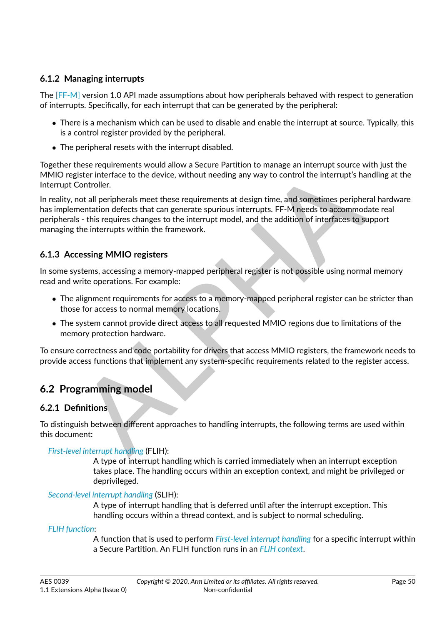# **6.1.2 Managing interrupts**

The [\[FF-M\]](#page-8-0) version 1.0 API made assumptions about how peripherals behaved with respect to generation of interrupts. Specifically, for each interrupt that can be generated by the peripheral:

- ∙ There is a mechanism which can be used to disable and enable the interrupt at source. Typically, this is a control register provided by the peripheral.
- ∙ The peripheral resets with the interrupt disabled.

Together these requirements would allow a Secure Partition to manage an interrupt source with just the MMIO register interface to the device, without needing any way to control the interrupt's handling at the Interrupt Controller.

means requirements wou anow a secure ration to missing an interting source wirry as the state interface to the device, without needing any way to control the interrupt's handling<br>Controller.<br>The mentation defects that can In reality, not all peripherals meet these requirements at design time, and sometimes peripheral hardware has implementation defects that can generate spurious interrupts. FF-M needs to accommodate real peripherals - this requires changes to the interrupt model, and the addition of interfaces to support managing the interrupts within the framework.

# **6.1.3 Accessing MMIO registers**

In some systems, accessing a memory-mapped peripheral register is not possible using normal memory read and write operations. For example:

- ∙ The alignment requirements for access to a memory-mapped peripheral register can be stricter than those for access to normal memory locations.
- ∙ The system cannot provide direct access to all requested MMIO regions due to limitations of the memory protection hardware.

To ensure correctness and code portability for drivers that access MMIO registers, the framework needs to provide access functions that implement any system-specific requirements related to the register access.

# **6.2 Programming model**

## **6.2.1 Definitions**

To distinguish between different approaches to handling interrupts, the following terms are used within this document:

## *[First-level interrupt handling](#page-9-2)* (FLIH):

A type of interrupt handling which is carried immediately when an interrupt exception takes place. The handling occurs within an exception context, and might be privileged or deprivileged.

## *[Second-level interrupt handling](#page-11-1)* (SLIH):

A type of interrupt handling that is deferred until after the interrupt exception. This handling occurs within a thread context, and is subject to normal scheduling.

## *[FLIH function](#page-9-3)*:

A function that is used to perform *[First-level interrupt handling](#page-9-2)* for a specific interrupt within a Secure Partition. An FLIH function runs in an *[FLIH context](#page-9-4)*.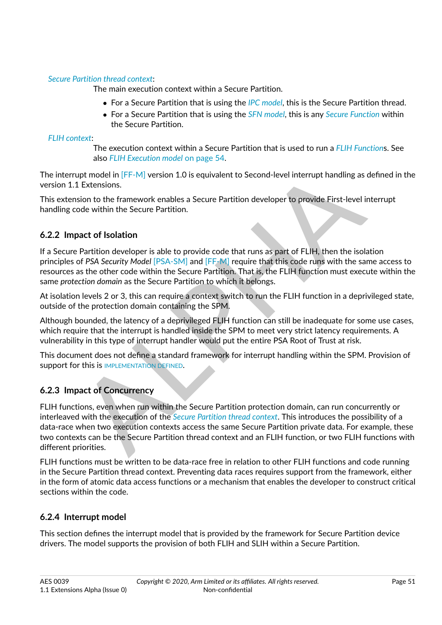## *[Secure Partition thread context](#page-12-2)*:

The main execution context within a Secure Partition.

- ∙ For a Secure Partition that is using the *[IPC model](#page-9-1)*, this is the Secure Partition thread.
- ∙ For a Secure Partition that is using the *[SFN model](#page-12-0)*, this is any *[Secure Function](#page-11-0)* within the Secure Partition.

*[FLIH context](#page-9-4)*:

The execution context within a Secure Partition that is used to run a *[FLIH Function](#page-9-3)*s. See also *[FLIH Execution model](#page-54-0)* [on page](#page-54-0) [54.](#page-54-0)

The interrupt model in [FF-M] version 1.0 is equivalent to Second-level interrupt handling as defined in the version 1.1 Extensions.

This extension to the framework enables a Secure Partition developer to provide First-level interrupt handling code within the Secure Partition.

# **6.2.2 Impact of Isolation**

If a Secure Partition developer is able to provide code that runs as part of FLIH, then the isolation principles of *PSA Security Model* [PSA-SM] and [FF-M] require that this code runs with the same access to resources as the other code within the Secure Partition. That is, the FLIH function must execute within the same *protection domain* as the Secure Partition to which it belongs.

At isolation levels 2 or 3, this can require a context switch to run the FLIH function in a deprivileged state, outside of the protection domain containing the SPM.

Although bounded, the latency of a deprivileged FLIH function can still be inadequate for some use cases, which require that the interrupt is handled inside the SPM to meet very strict latency requirements. A vulnerability in this type of interrupt handler would put the entire PSA Root of Trust at risk.

This document does not define a standard framework for interrupt handling within the SPM. Provision of support for this is IMPLEMENTATION DEFINED.

# **6.2.3 Impact of Concurrency**

upt model in [FF-M] version 1.0 is equivalent to Second-level interrupt handling as define<br>1 Extensions.<br>1 Extensions.<br>1 Extensions.<br>2 Extensions to the framework enables a Secure Partition developer to provide First-level FLIH functions, even when run within the Secure Partition protection domain, can run concurrently or interleaved with the execution of the *Secure Partition thread context*. This introduces the possibility of a data-race when two execution contexts access the same Secure Partition private data. For example, these two contexts can be the Secure Partition thread context and an FLIH function, or two FLIH functions with different priorities.

FLIH functions must be written to be data-race free in relation to other FLIH functions and code running in the Secure Partition thread context. Preventing data races requires support from the framework, either in the form of atomic data access functions or a mechanism that enables the developer to construct critical sections within the code.

# **6.2.4 Interrupt model**

This section defines the interrupt model that is provided by the framework for Secure Partition device drivers. The model supports the provision of both FLIH and SLIH within a Secure Partition.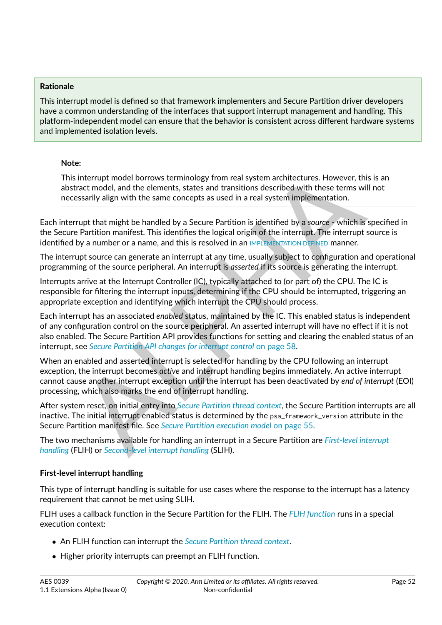#### **Rationale**

This interrupt model is defined so that framework implementers and Secure Partition driver developers have a common understanding of the interfaces that support interrupt management and handling. This platform-independent model can ensure that the behavior is consistent across different hardware systems and implemented isolation levels.

#### **Note:**

This interrupt model borrows terminology from real system architectures. However, this is an abstract model, and the elements, states and transitions described with these terms will not necessarily align with the same concepts as used in a real system implementation.

Each interrupt that might be handled by a Secure Partition is identified by a *source* - which is specified in the Secure Partition manifest. This identifies the logical origin of the interrupt. The interrupt source is identified by a number or a name, and this is resolved in an IMPLEMENTATION DEFINED manner.

The interrupt source can generate an interrupt at any time, usually subject to configuration and operational programming of the source peripheral. An interrupt is *asserted* if its source is generating the interrupt.

Interrupts arrive at the Interrupt Controller (IC), typically attached to (or part of) the CPU. The IC is responsible for filtering the interrupt inputs, determining if the CPU should be interrupted, triggering an appropriate exception and identifying which interrupt the CPU should process.

The interrupt model borrows terminology from real system architectures. However, this is an interrupt model, and the elements, states and transitions described with these terms will not essailly align with the same concept Each interrupt has an associated *enabled* status, maintained by the IC. This enabled status is independent of any configuration control on the source peripheral. An asserted interrupt will have no effect if it is not also enabled. The Secure Partition API provides functions for setting and clearing the enabled status of an interrupt, see *Secure Partition API changes for interrupt control* on page 58.

When an enabled and asserted interrupt is selected for handling by the CPU following an interrupt exception, the interrupt becomes *active* and interrupt handling begins immediately. An active interrupt cannot cause another interrupt exception until the interrupt has been deactivated by *end of interrupt* (EOI) processing, which also marks the end of interrupt handling.

After system reset, on initial entry into *Secure Partition thread context*, the Secure Partition interrupts are all inactive. The initial interrupt enabled status is determined by the psa\_framework\_version attribute in the Secure Partition manifest file. See *Secure Partition execution model* on page 55.

The two mechanisms available for handling an interrupt in a Secure Partition are *[First-level interrupt](#page-9-2) [handling](#page-9-2)* (FLIH) or *Second-level interrupt handling* (SLIH).

## **First-level interrupt handling**

This type of interrupt handling is suitable for use cases where the response to the interrupt has a latency requirement that cannot be met using SLIH.

FLIH uses a callback function in the Secure Partition for the FLIH. The *[FLIH function](#page-9-3)* runs in a special execution context:

- ∙ An FLIH function can interrupt the *[Secure Partition thread context](#page-12-2)*.
- ∙ Higher priority interrupts can preempt an FLIH function.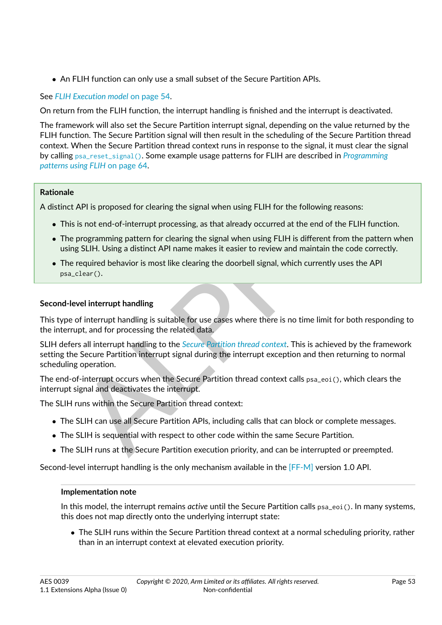∙ An FLIH function can only use a small subset of the Secure Partition APIs.

# See *[FLIH Execution model](#page-54-0)* [on page](#page-54-0) [54.](#page-54-0)

On return from the FLIH function, the interrupt handling is finished and the interrupt is deactivated.

The framework will also set the Secure Partition interrupt signal, depending on the value returned by the FLIH function. The Secure Partition signal will then result in the scheduling of the Secure Partition thread context. When the Secure Partition thread context runs in response to the signal, it must clear the signal by calling [psa\\_reset\\_signal\(\)](#page-57-0). Some example usage patterns for FLIH are described in *[Programming](#page-64-0) [patterns using FLIH](#page-64-0)* on page [64.](#page-64-0)

## **Rationale**

A distinct API is proposed for clearing the signal when using FLIH for the following reasons:

- ∙ This is not end-of-interrupt processing, as that already occurred at the end of the FLIH function.
- ∙ The programming pattern for clearing the signal when using FLIH is different from the pattern when using SLIH. Using a distinct API name makes it easier to review and maintain the code correctly.
- ∙ The required behavior is most like clearing the doorbell signal, which currently uses the API psa\_clear().

## **Second-level interrupt handling**

This type of interrupt handling is suitable for use cases where there is no time limit for both responding to the interrupt, and for processing the related data.

 $\mathcal{L}_{\text{H}}$  and  $\mathcal{L}_{\text{H}}$  on page ost,<br>API is proposed for clearing the signal when using FLIH for the following reasons:<br>is not end-of-interrupt processing, as that already occurred at the end of the FLIH function<br> SLIH defers all interrupt handling to the *Secure Partition thread context*. This is achieved by the framework setting the Secure Partition interrupt signal during the interrupt exception and then returning to normal scheduling operation.

The end-of-interrupt occurs when the Secure Partition thread context calls psa\_eoi(), which clears the interrupt signal and deactivates the interrupt.

The SLIH runs within the Secure Partition thread context:

- ∙ The SLIH can use all Secure Partition APIs, including calls that can block or complete messages.
- ∙ The SLIH is sequential with respect to other code within the same Secure Partition.
- ∙ The SLIH runs at the Secure Partition execution priority, and can be interrupted or preempted.

Second-level interrupt handling is the only mechanism available in the [\[FF-M\]](#page-8-0) version 1.0 API.

## **Implementation note**

In this model, the interrupt remains *active* until the Secure Partition calls psa\_eoi(). In many systems, this does not map directly onto the underlying interrupt state:

∙ The SLIH runs within the Secure Partition thread context at a normal scheduling priority, rather than in an interrupt context at elevated execution priority.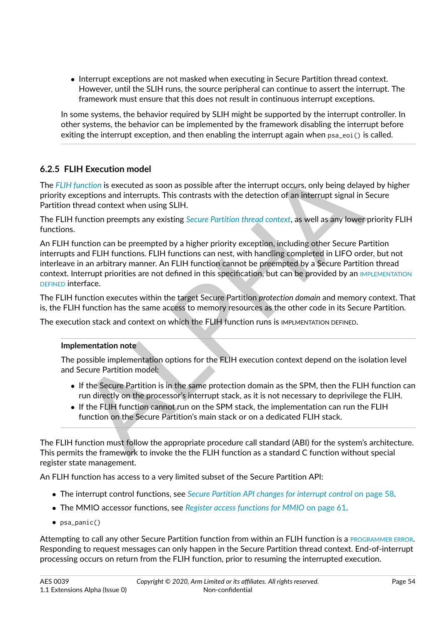∙ Interrupt exceptions are not masked when executing in Secure Partition thread context. However, until the SLIH runs, the source peripheral can continue to assert the interrupt. The framework must ensure that this does not result in continuous interrupt exceptions.

In some systems, the behavior required by SLIH might be supported by the interrupt controller. In other systems, the behavior can be implemented by the framework disabling the interrupt before exiting the interrupt exception, and then enabling the interrupt again when  $psa_eoi()$  is called.

# <span id="page-54-0"></span>**6.2.5 FLIH Execution model**

The *[FLIH function](#page-9-3)* is executed as soon as possible after the interrupt occurs, only being delayed by higher priority exceptions and interrupts. This contrasts with the detection of an interrupt signal in Secure Partition thread context when using SLIH.

The FLIH function preempts any existing *Secure Partition thread context*, as well as any lower priority FLIH functions.

IH Execution model<br>
"Unrefon is executed as soon as possible after the interrupt occurs, only being delayed by<br>
"Uncerbions and interrupts. This contrasts with the detection of an interrupt signal in Secure<br>
thered context An FLIH function can be preempted by a higher priority exception, including other Secure Partition interrupts and FLIH functions. FLIH functions can nest, with handling completed in LIFO order, but not interleave in an arbitrary manner. An FLIH function cannot be preempted by a Secure Partition thread context. Interrupt priorities are not defined in this specification, but can be provided by an [IMPLEMENTATION](#page-9-0) [DEFINED](#page-9-0) interface.

The FLIH function executes within the target Secure Partition *protection domain* and memory context. That is, the FLIH function has the same access to memory resources as the other code in its Secure Partition.

The execution stack and context on which the FLIH function runs is IMPLMENTATION DEFINED.

## **Implementation note**

The possible implementation options for the FLIH execution context depend on the isolation level and Secure Partition model:

- ∙ If the Secure Partition is in the same protection domain as the SPM, then the FLIH function can run directly on the processor's interrupt stack, as it is not necessary to deprivilege the FLIH.
- ∙ If the FLIH function cannot run on the SPM stack, the implementation can run the FLIH function on the Secure Partition's main stack or on a dedicated FLIH stack.

The FLIH function must follow the appropriate procedure call standard (ABI) for the system's architecture. This permits the framework to invoke the the FLIH function as a standard C function without special register state management.

An FLIH function has access to a very limited subset of the Secure Partition API:

- ∙ The interrupt control functions, see *[Secure Partition API changes for interrupt control](#page-58-0)* [on page](#page-58-0) [58.](#page-58-0)
- ∙ The MMIO accessor functions, see *[Register access functions for MMIO](#page-61-0)* [on page](#page-61-0) [61.](#page-61-0)
- ∙ psa\_panic()

Attempting to call any other Secure Partition function from within an FLIH function is a [PROGRAMMER ERROR](#page-10-0). Responding to request messages can only happen in the Secure Partition thread context. End-of-interrupt processing occurs on return from the FLIH function, prior to resuming the interrupted execution.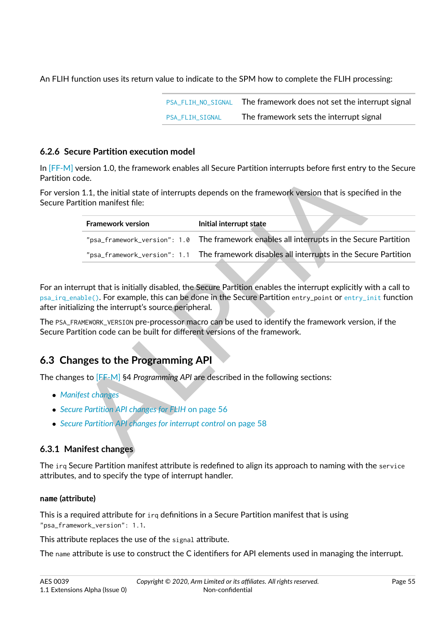An FLIH function uses its return value to indicate to the SPM how to complete the FLIH processing:

| PSA FLIH NO SIGNAL     | The framework does not set the interrupt signal |
|------------------------|-------------------------------------------------|
| <b>PSA FLIH SIGNAL</b> | The framework sets the interrupt signal         |

## <span id="page-55-0"></span>**6.2.6 Secure Partition execution model**

In [\[FF-M\]](#page-8-0) version 1.0, the framework enables all Secure Partition interrupts before first entry to the Secure Partition code.

For version 1.1, the initial state of interrupts depends on the framework version that is specified in the Secure Partition manifest file:

| ode.                                                               | version 1.0, the framework enables all Secure Partition interrupts before first entry to the Secure                                                                                                                                              |
|--------------------------------------------------------------------|--------------------------------------------------------------------------------------------------------------------------------------------------------------------------------------------------------------------------------------------------|
| rtition manifest file:                                             | n 1.1, the initial state of interrupts depends on the framework version that is specified in the                                                                                                                                                 |
| <b>Framework version</b>                                           | Initial interrupt state                                                                                                                                                                                                                          |
| "psa_framework_version": 1.0                                       | The framework enables all interrupts in the Secure Partition                                                                                                                                                                                     |
| "psa_framework_version": 1.1                                       | The framework disables all interrupts in the Secure Partition                                                                                                                                                                                    |
|                                                                    |                                                                                                                                                                                                                                                  |
| lizing the interrupt's source peripheral.                          | errupt that is initially disabled, the Secure Partition enables the interrupt explicitly with a call to<br>$\mathsf{table}()$ . For example, this can be done in the Secure Partition $\mathsf{entry\_point}$ or $\mathsf{entry\_init}$ function |
| rtition code can be built for different versions of the framework. | RAMEWORK_VERSION pre-processor macro can be used to identify the framework version, if the                                                                                                                                                       |
|                                                                    |                                                                                                                                                                                                                                                  |
| <b>nges to the Programming API</b>                                 |                                                                                                                                                                                                                                                  |
|                                                                    | res to [FF-M] §4 Programming API are described in the following sections:                                                                                                                                                                        |
| <i>ifest changes</i>                                               |                                                                                                                                                                                                                                                  |
| Ire Partition API changes for FLIH on page 56                      |                                                                                                                                                                                                                                                  |
| Ire Partition API changes for interrupt control on page 58         |                                                                                                                                                                                                                                                  |
|                                                                    |                                                                                                                                                                                                                                                  |
| nifest changes                                                     |                                                                                                                                                                                                                                                  |

For an interrupt that is initially disabled, the Secure Partition enables the interrupt explicitly with a call to psa\_irg\_enable(). For example, this can be done in the Secure Partition entry\_point or [entry\\_init](#page-28-0) function after initializing the interrupt's source peripheral.

The PSA\_FRAMEWORK\_VERSION pre-processor macro can be used to identify the framework version, if the Secure Partition code can be built for different versions of the framework.

# **6.3 Changes to the Programming API**

The changes to [FF-M] §4 *Programming API* are described in the following sections:

- ∙ *[Manifest changes](#page-55-1)*
- ∙ *Secure Partition API changes for FLIH* on page 56
- ∙ *Secure Partition API changes for interrupt control* on page 58

# <span id="page-55-1"></span>**6.3.1 Manifest changes**

The irq Secure Partition manifest attribute is redefined to align its approach to naming with the service attributes, and to specify the type of interrupt handler.

## <span id="page-55-2"></span>**name (attribute)**

This is a required attribute for irq definitions in a Secure Partition manifest that is using "psa\_framework\_version": 1.1.

This attribute replaces the use of the signal attribute.

The name attribute is use to construct the C identifiers for API elements used in managing the interrupt.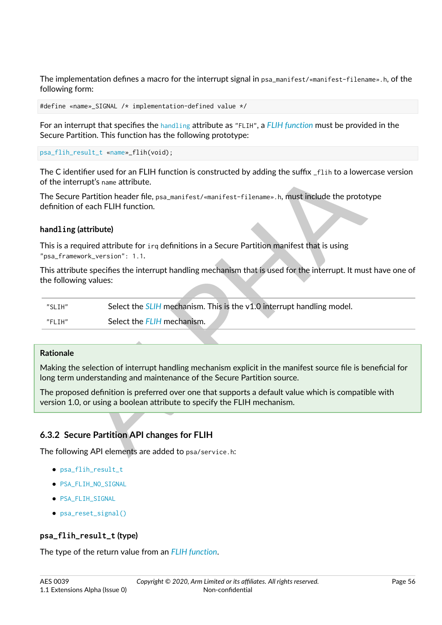The implementation defines a macro for the interrupt signal in psa\_manifest/«manifest-filename».h, of the following form:

```
#define «name»_SIGNAL /* implementation-defined value */
```
For an interrupt that specifies the [handling](#page-56-1) attribute as "FLIH", a *[FLIH function](#page-9-3)* must be provided in the Secure Partition. This function has the following prototype:

```
psa_flih_result_t «name»_flih(void);
```
The C identifier used for an FLIH function is constructed by adding the suffix \_flih to a lowercase version of the interrupt's name attribute.

## <span id="page-56-1"></span>**handling (attribute)**

This attribute specifies the interrupt handling mechanism that is used for the interrupt. It must have one of the following values:

| of the interrupt's name attribute. | The C identifier used for an FLIH function is constructed by adding the suffix $\_$ f $\,$ i $\,$ h to a lowercase ve                                                              |
|------------------------------------|------------------------------------------------------------------------------------------------------------------------------------------------------------------------------------|
| definition of each FLIH function.  | The Secure Partition header file, psa_manifest/«manifest-filename».h, must include the prototype                                                                                   |
| handling (attribute)               |                                                                                                                                                                                    |
| "psa_framework_version": 1.1.      | This is a required attribute for irq definitions in a Secure Partition manifest that is using                                                                                      |
| the following values:              | This attribute specifies the interrupt handling mechanism that is used for the interrupt. It must have o                                                                           |
| "SLIH"                             | Select the SLIH mechanism. This is the v1.0 interrupt handling model.                                                                                                              |
| "FLIH"                             | Select the FLIH mechanism.                                                                                                                                                         |
|                                    |                                                                                                                                                                                    |
| <b>Rationale</b>                   |                                                                                                                                                                                    |
|                                    | Making the selection of interrupt handling mechanism explicit in the manifest source file is beneficial<br>long term understanding and maintenance of the Secure Partition source. |
|                                    | The proposed definition is preferred over one that supports a default value which is compatible with<br>version 1.0, or using a boolean attribute to specify the FLIH mechanism.   |
|                                    |                                                                                                                                                                                    |
|                                    | 6.3.2 Secure Partition API changes for FLIH                                                                                                                                        |
|                                    | The following API elements are added to psa/service.h:                                                                                                                             |

#### **Rationale**

# <span id="page-56-0"></span>**6.3.2 Secure Partition API changes for FLIH**

- ∙ [psa\\_flih\\_result\\_t](#page-56-2)
- ∙ [PSA\\_FLIH\\_NO\\_SIGNAL](#page-57-1)
- ∙ [PSA\\_FLIH\\_SIGNAL](#page-57-2)
- ∙ [psa\\_reset\\_signal\(\)](#page-57-0)

## <span id="page-56-2"></span>**psa\_flih\_result\_t (type)**

The type of the return value from an *[FLIH function](#page-9-3)*.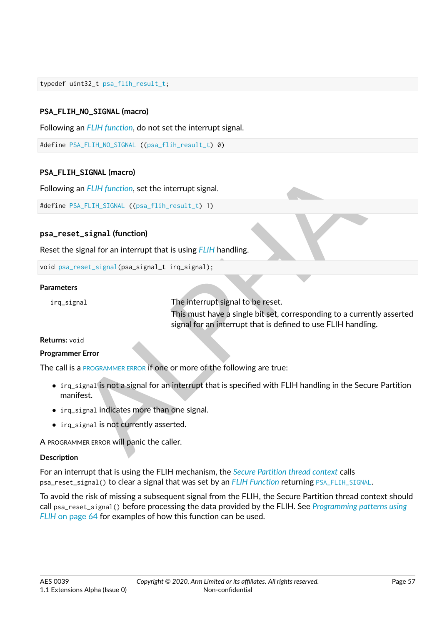typedef uint32\_t [psa\\_flih\\_result\\_t;](#page-56-2)

## <span id="page-57-1"></span>**PSA\_FLIH\_NO\_SIGNAL (macro)**

Following an *[FLIH function](#page-9-3)*, do not set the interrupt signal.

#define [PSA\\_FLIH\\_NO\\_SIGNAL](#page-57-1) ([\(psa\\_flih\\_result\\_t\)](#page-56-2) 0)

#### <span id="page-57-2"></span>**PSA\_FLIH\_SIGNAL (macro)**

Following an *FLIH function*, set the interrupt signal.

#define PSA\_FLIH\_SIGNAL ((psa\_flih\_result\_t) 1)

#### <span id="page-57-0"></span>**psa\_reset\_signal (function)**

Reset the signal for an interrupt that is using *FLIH* handling.

```
void psa_reset_signal(psa_signal_t irq_signal);
```
#### **Parameters**

irq\_signal The interrupt signal to be reset.

This must have a single bit set, corresponding to a currently asserted signal for an interrupt that is defined to use FLIH handling.

#### **Returns:** void

#### **Programmer Error**

The call is a PROGRAMMER ERROR If one or more of the following are true:

- LSTGN[AL](#page-10-0) (macro)<br>
an FLI[H](#page-9-5) function, set the interrupt signal.<br>
EXELTH\_STGNAL ((psa\_flih\_result\_t) 1)<br>
1. signal (function)<br>
signal for an interrupt that is using FLIH handling.<br>
s<br>
s<br>
anal<br>
The interrupt signal to be reset. ∙ irq\_signal is not a signal for an interrupt that is specified with FLIH handling in the Secure Partition manifest.
- ∙ irq\_signal indicates more than one signal.
- ∙ irq\_signal is not currently asserted.

A PROGRAMMER ERROR will panic the caller.

#### **Description**

For an interrupt that is using the FLIH mechanism, the *[Secure Partition thread context](#page-12-2)* calls psa\_reset\_signal() to clear a signal that was set by an *[FLIH Function](#page-9-3)* returning [PSA\\_FLIH\\_SIGNAL](#page-57-2).

To avoid the risk of missing a subsequent signal from the FLIH, the Secure Partition thread context should call psa\_reset\_signal() before processing the data provided by the FLIH. See *[Programming patterns using](#page-64-0) FLIH* [on page](#page-64-0) [64](#page-64-0) for examples of how this function can be used.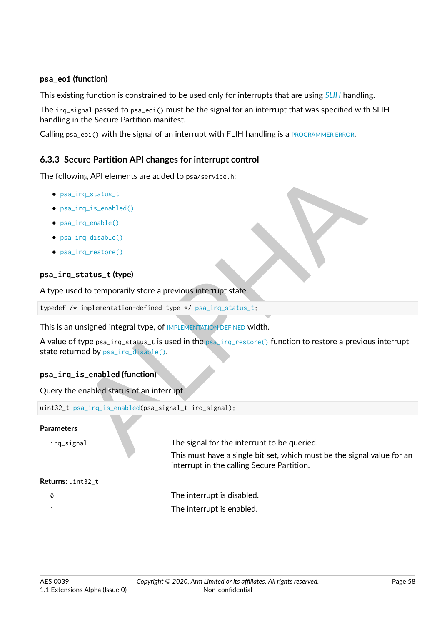#### **psa\_eoi (function)**

This existing function is constrained to be used only for interrupts that are using *[SLIH](#page-12-3)* handling.

The irq\_signal passed to psa\_eoi() must be the signal for an interrupt that was specified with SLIH handling in the Secure Partition manifest.

Calling psa\_eoi() with the signal of an interrupt with FLIH handling is a [PROGRAMMER ERROR](#page-10-0).

## <span id="page-58-0"></span>**6.3.3 Secure Partition API changes for interrupt control**

The following API elements are added to psa/service.h:

- ∙ [psa\\_irq\\_status\\_t](#page-58-1)
- ∙ [psa\\_irq\\_is\\_enabled\(\)](#page-58-2)
- ∙ [psa\\_irq\\_enable\(\)](#page-59-0)
- ∙ [psa\\_irq\\_disable\(\)](#page-59-1)
- ∙ [psa\\_irq\\_restore\(\)](#page-60-0)

## <span id="page-58-1"></span>**psa\_irq\_status\_t (type)**

A type used to temporarily store a previous interrupt state.

typedef /\* implementation-defined type \*/ psa\_irq\_status\_t;

This is an unsigned integral type, of IMPLEMENTATION DEFINED width.

wing [A](#page-58-2)PI elements are added to psa/service.h:<br>
irq.status\_t<br>
irq.status\_t<br>
irq.status\_t (type)<br>
at to temporarily store a previous interrupt state,<br>  $\begin{array}{r} \mbox{implementation-defined type + / psa_i ira_sstatus.t;} \\\\ \mbox{implementation-defined type + / psa_i ira_sstatus.t;} \\\\ \mbox{unsigned integral type, of IMPLEMENENDVEFINED$  $\begin{array}{r} \mbox{implementation-defined type + / psa_i ira_sstatus.t;} \\\\ \mbox{implementation-defined type + / psa_i ira_sstatus.t;} \\\\ \mbox{unsigned integral type, of IMPLEMENENDVEFINED$  $\begin{array}{r} \mbox{implementation-defined type + / psa_i ira_sstatus.t;} \\\\ \mbox{implementation-defined type + / psa_i ira_sstatus.t;} \\\\ \mbox{unsigned integral type, of IMPLEMENENDVEFINED$ A value of type psa\_irq\_status\_t is used in the psa\_irq\_restore() function to restore a previous interrupt state returned by psa\_irq\_disable().

## <span id="page-58-2"></span>**psa\_irq\_is\_enabled (function)**

Query the enabled status of an interrupt.

```
uint32_t psa_irq_is_enabled(psa_signal_t irq_signal);
```
## **Parameters**

irq\_signal The signal for the interrupt to be queried.

This must have a single bit set, which must be the signal value for an interrupt in the calling Secure Partition.

#### **Returns:** uint32\_t

0 The interrupt is disabled. 1 The interrupt is enabled.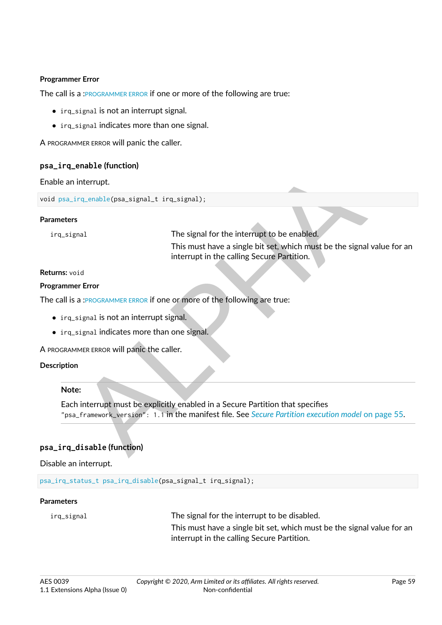#### **Programmer Error**

The call is a :[PROGRAMMER ERROR](#page-10-0) if one or more of the following are true:

- irg signal is not an interrupt signal.
- ∙ irq\_signal indicates more than one signal.

A PROGRAMMER ERROR will panic the caller.

#### <span id="page-59-0"></span>**psa\_irq\_enable (function)**

#### Enable an interrupt.

void [psa\\_irq\\_enable\(](#page-59-0)psa\_signal\_t irq\_signal);

#### **Parameters**

enable (pac.signal\_t irq\_signal);<br>
Interrupt.<br>
This must have a single bit set, which must be the signal value<br>
This must have a single bit set, which must be the signal value<br>
interrupt in the calling Secure Partition.<br>
S irq\_signal The signal for the interrupt to be enabled. This must have a single bit set, which must be the signal value for an interrupt in the calling Secure Partition.

#### **Returns:** void

#### **Programmer Error**

The call is a :PROGRAMMER ERROR if one or more of the following are true:

- ∙ irq\_signal is not an interrupt signal.
- ∙ irq\_signal indicates more than one signal.

A PROGRAMMER ERROR will panic the caller.

#### **Description**

#### **Note:**

Each interrupt must be explicitly enabled in a Secure Partition that specifies "psa\_framework\_version": 1.1 in the manifest file. See *Secure Partition execution model* [on page](#page-55-0) [55.](#page-55-0)

## <span id="page-59-1"></span>**psa\_irq\_disable (function)**

#### Disable an interrupt.

[psa\\_irq\\_status\\_t](#page-58-1) [psa\\_irq\\_disable\(](#page-59-1)psa\_signal\_t irq\_signal);

#### **Parameters**

irq\_signal The signal for the interrupt to be disabled.

This must have a single bit set, which must be the signal value for an interrupt in the calling Secure Partition.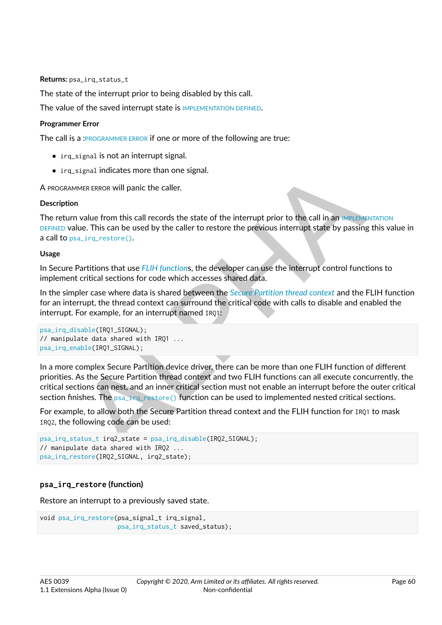**Returns:** psa\_irq\_status\_t

The state of the interrupt prior to being disabled by this call.

The value of the saved interrupt state is [IMPLEMENTATION DEFINED](#page-9-0).

#### **Programmer Error**

The call is a :[PROGRAMMER ERROR](#page-10-0) if one or more of the following are true:

- ∙ irq\_signal is not an interrupt signal.
- ∙ irq\_signal indicates more than one signal.

A PROGRAMMER ERROR will panic the caller.

#### **Description**

The return value from this call records the state of the interrupt prior to the call in an [IMPLEMENTATION](#page-9-0) [DEFINED](#page-9-0) value. This can be used by the caller to restore the previous interrupt state by passing this value in a call to psa\_irq\_restore().

#### **Usage**

In Secure Partitions that use *FLIH function*s, the developer can use the interrupt control functions to implement critical sections for code which accesses shared data.

In the simpler case where data is shared between the *Secure Partition thread context* and the FLIH function for an interrupt, the thread context can surround the critical code with calls to disable and enabled the interrupt. For example, for an interrupt named IRQ1:

```
psa_irq_disable(IRQ1_SIGNAL);
// manipulate data shared with IRQ1 ...
psa_irq_enable(IRQ1_SIGNAL);
```
signal indicates more than one signal.<br>
IMER ERROR Will panic the caller.<br> **n**<br>
VAMER ERROR Will panic the caller to restore the previous interrupt state by passing this value from this call tecords the state of the interr In a more complex Secure Partition device driver, there can be more than one FLIH function of different priorities. As the Secure Partition thread context and two FLIH functions can all execute concurrently, the critical sections can nest, and an inner critical section must not enable an interrupt before the outer critical section finishes. The psa\_irq\_restore() function can be used to implemented nested critical sections.

For example, to allow both the Secure Partition thread context and the FLIH function for IR01 to mask IRQ2, the following code can be used:

```
psa_irq_status_t irq2_state = psa_irq_disable(IRQ2_SIGNAL);
// manipulate data shared with IRQ2 ...
psa_irq_restore(IRQ2_SIGNAL, irq2_state);
```
## <span id="page-60-0"></span>**psa\_irq\_restore (function)**

Restore an interrupt to a previously saved state.

```
void psa_irq_restore(psa_signal_t irq_signal,
                     psa_irq_status_t saved_status);
```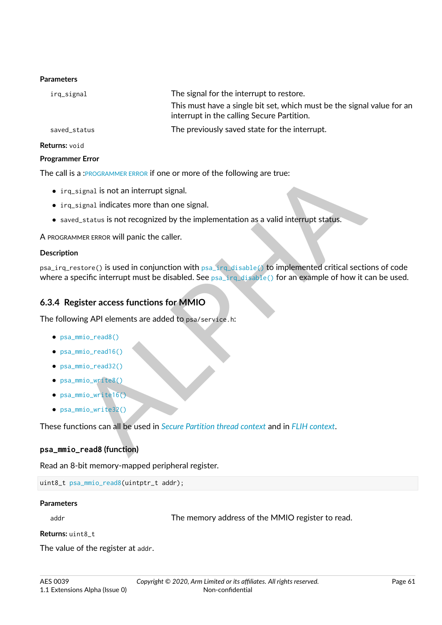#### **Parameters**

| irq_signal   | The signal for the interrupt to restore.                                                                             |
|--------------|----------------------------------------------------------------------------------------------------------------------|
|              | This must have a single bit set, which must be the signal value for an<br>interrupt in the calling Secure Partition. |
| saved_status | The previously saved state for the interrupt.                                                                        |

#### **Returns:** void

#### **Programmer Error**

The call is a :PROGRAMMER ERROR if one or more of the following are true:

- ∙ irq\_signal is not an interrupt signal.
- ∙ irq\_signal indicates more than one signal.
- ∙ saved\_status is not recognized by the implementation as a valid interrupt status.

A PROGRAMMER ERROR will panic the caller.

#### **Description**

a PROGR[A](#page-12-2)MMER ERROR IT one or more of the following are true:<br>
signal is not an interrupt signal.<br>
signal indicates more than one signal.<br>
d\_status is not recognized by the implementation as a valid interrupt status.<br>
MER E psa\_irq\_restore() is used in conjunction with psa\_irq\_disable() to implemented critical sections of code where a specific interrupt must be disabled. See  $psa$  irg disable() for an example of how it can be used.

## <span id="page-61-0"></span>**6.3.4 Register access functions for MMIO**

The following API elements are added to psa/service.h:

- ∙ [psa\\_mmio\\_read8\(\)](#page-61-1)
- ∙ [psa\\_mmio\\_read16\(\)](#page-62-0)
- ∙ [psa\\_mmio\\_read32\(\)](#page-62-1)
- ∙ [psa\\_mmio\\_write8\(\)](#page-62-2)
- ∙ [psa\\_mmio\\_write16\(\)](#page-63-0)
- ∙ [psa\\_mmio\\_write32\(\)](#page-63-1)

These functions can all be used in *Secure Partition thread context* and in *FLIH context*.

#### <span id="page-61-1"></span>**psa\_mmio\_read8 (function)**

Read an 8-bit memory-mapped peripheral register.

```
uint8_t psa_mmio_read8(uintptr_t addr);
```
## **Parameters**

addr and The memory address of the MMIO register to read.

**Returns:** uint8\_t

The value of the register at addr.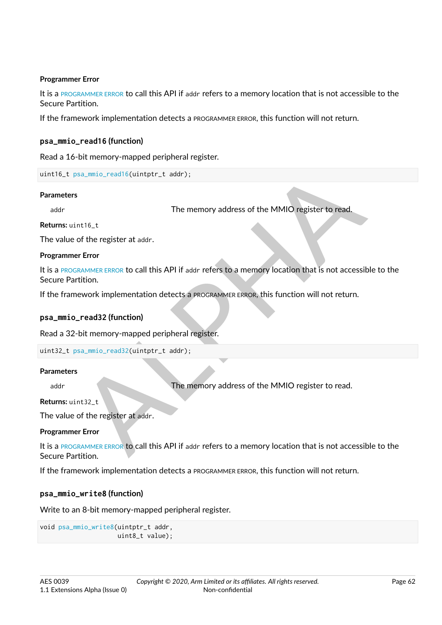#### **Programmer Error**

It is a [PROGRAMMER ERROR](#page-10-0) to call this API if addr refers to a memory location that is not accessible to the Secure Partition.

If the framework implementation detects a PROGRAMMER ERROR, this function will not return.

#### <span id="page-62-0"></span>**psa\_mmio\_read16 (function)**

Read a 16-bit memory-mapped peripheral register.

```
uint16_t psa_mmio_read16(uintptr_t addr);
```
#### **Parameters**

addr and the memory address of the MMIO register to read.

**Returns:** uint16\_t

The value of the register at addr.

#### **Programmer Error**

Sa\_milio\_read16(uintptr\_t addr);<br>
The memory address of the MMIO register to read.<br>
Int16\_t<br>
of the register at addr.<br>
The memory address to a memory location that is not accessible to thition.<br>
Lead32 (function)<br>
Literary It is a PROGRAMMER ERROR to call this API if addr refers to a memory location that is not accessible to the Secure Partition.

If the framework implementation detects a PROGRAMMER ERROR, this function will not return.

#### <span id="page-62-1"></span>**psa\_mmio\_read32 (function)**

Read a 32-bit memory-mapped peripheral register.

uint32\_t psa\_mmio\_read32(uintptr\_t addr);

#### **Parameters**

addr and The memory address of the MMIO register to read.

**Returns:** uint32\_t

The value of the register at addr.

#### **Programmer Error**

It is a PROGRAMMER ERROR to call this API if addr refers to a memory location that is not accessible to the Secure Partition.

If the framework implementation detects a PROGRAMMER ERROR, this function will not return.

#### <span id="page-62-2"></span>**psa\_mmio\_write8 (function)**

Write to an 8-bit memory-mapped peripheral register.

```
void psa_mmio_write8(uintptr_t addr,
                     uint8_t value);
```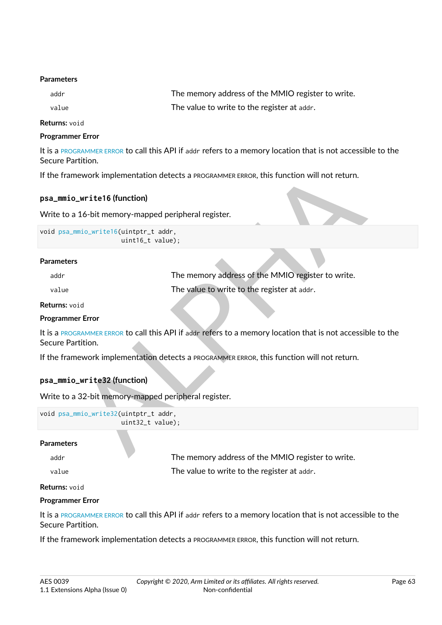#### **Parameters**

| addr  | The memory address of the MMIO register to write. |
|-------|---------------------------------------------------|
| value | The value to write to the register at addr.       |

**Returns:** void

#### **Programmer Error**

It is a [PROGRAMMER ERROR](#page-10-0) to call this API if addr refers to a memory location that is not accessible to the Secure Partition.

#### <span id="page-63-0"></span>**psa\_mmio\_write16 (function)**

```
void psa_mmio_write16(uintptr_t addr,
                      uint16_t value);
```
#### **Parameters**

|                                                           | the framework implementation detects a PROGRAMMER ERROR, this function will not return.                |
|-----------------------------------------------------------|--------------------------------------------------------------------------------------------------------|
| sa_mmio_write16(function)                                 |                                                                                                        |
| rite to a 16-bit memory-mapped peripheral register.       |                                                                                                        |
| id psa_mmio_write16(uintptr_t addr,<br>uint16_t value);   |                                                                                                        |
| arameters                                                 |                                                                                                        |
| addr                                                      | The memory address of the MMIO register to write.                                                      |
| value                                                     | The value to write to the register at addr.                                                            |
| eturns: void                                              |                                                                                                        |
| ogrammer Error                                            |                                                                                                        |
| ecure Partition.                                          | is a PROGRAMMER ERROR to call this API if addr refers to a memory location that is not accessible to t |
|                                                           | the framework implementation detects a PROGRAMMER ERROR, this function will not return.                |
| sa_mmio_write32(function)                                 |                                                                                                        |
| rite to a 32-bit memory-mapped peripheral register.       |                                                                                                        |
| id psa_mmio_write32(uintptr_t addr,<br>$uint32_t value);$ |                                                                                                        |
| arameters                                                 |                                                                                                        |
| addr                                                      | The memory address of the MMIO register to write                                                       |

**Returns:** void

#### **Programmer Error**

It is a PROGRAMMER ERROR to call this API if addr refers to a memory location that is not accessible to the Secure Partition.

#### <span id="page-63-1"></span>**psa\_mmio\_write32 (function)**

```
void psa_mmio_write32(uintptr_t addr,
                      uint32_t value);
```
#### **Parameters**

addr **The memory address of the MMIO register to write.** 

value value The value to write to the register at addr.

#### **Returns:** void

#### **Programmer Error**

It is a [PROGRAMMER ERROR](#page-10-0) to call this API if addr refers to a memory location that is not accessible to the Secure Partition.

If the framework implementation detects a PROGRAMMER ERROR, this function will not return.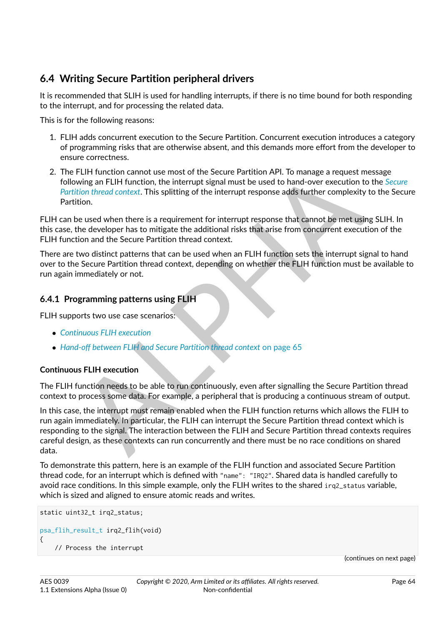# **6.4 Writing Secure Partition peripheral drivers**

It is recommended that SLIH is used for handling interrupts, if there is no time bound for both responding to the interrupt, and for processing the related data.

This is for the following reasons:

- 1. FLIH adds concurrent execution to the Secure Partition. Concurrent execution introduces a category of programming risks that are otherwise absent, and this demands more effort from the developer to ensure correctness.
- 2. The FLIH function cannot use most of the Secure Partition API. To manage a request message following an FLIH function, the interrupt signal must be used to hand-over execution to the *[Secure](#page-12-2) [Partition thread context](#page-12-2)*. This splitting of the interrupt response adds further complexity to the Secure Partition.

FLIH can be used when there is a requirement for interrupt response that cannot be met using SLIH. In this case, the developer has to mitigate the additional risks that arise from concurrent execution of the FLIH function and the Secure Partition thread context.

There are two distinct patterns that can be used when an FLIH function sets the interrupt signal to hand over to the Secure Partition thread context, depending on whether the FLIH function must be available to run again immediately or not.

# <span id="page-64-0"></span>**6.4.1 Programming patterns using FLIH**

FLIH supports two use case scenarios:

- ∙ *[Continuous FLIH execution](#page-64-1)*
- ∙ *Hand-off between FLIH and Secure Partition thread context* on page 65

## <span id="page-64-1"></span>**Continuous FLIH execution**

The FLIH function needs to be able to run continuously, even after signalling the Secure Partition thread context to process some data. For example, a peripheral that is producing a continuous stream of output.

FLIH function cannot use most of the Secure Partition API. To manage a request message<br>wiving an FLIH function, the interrupt signal must be used to hand-over execution to the Secure<br>mitorion thread context. This splitting In this case, the interrupt must remain enabled when the FLIH function returns which allows the FLIH to run again immediately. In particular, the FLIH can interrupt the Secure Partition thread context which is responding to the signal. The interaction between the FLIH and Secure Partition thread contexts requires careful design, as these contexts can run concurrently and there must be no race conditions on shared data.

To demonstrate this pattern, here is an example of the FLIH function and associated Secure Partition thread code, for an interrupt which is defined with "name": "IRQ2". Shared data is handled carefully to avoid race conditions. In this simple example, only the FLIH writes to the shared irq 2 status variable, which is sized and aligned to ensure atomic reads and writes.

```
static uint32_t irq2_status;
psa_flih_result_t irq2_flih(void)
{
    // Process the interrupt
```
(continues on next page)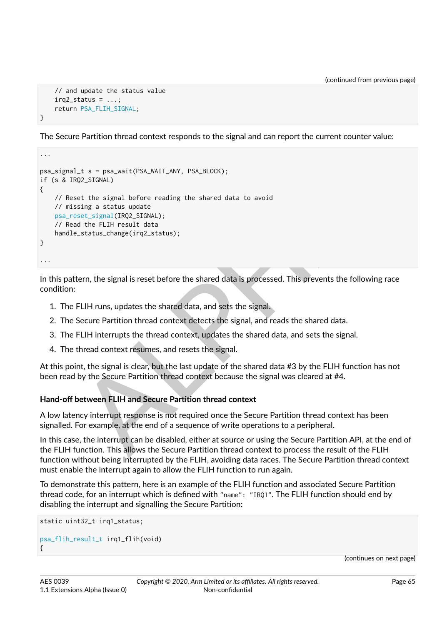```
// and update the status value
irq2_status = \dots;return PSA_FLIH_SIGNAL;
```
}

...

The Secure Partition thread context responds to the signal and can report the current counter value:

```
L.t s = psa.,wait(PSA_WAIT_ANY, PSA_BLOCK);<br>
02_SIGNAL)<br>
segt. signal before reading the shared data to avoid<br>
sising a status update<br>
signal (IRN2_SIGNAL);<br>
d the FLIH result data<br>
denter Fault data<br>
denter Fault data<br>
fo
psa_signal_t s = psa_wait(PSA_WAIT_ANY, PSA_BLOCK);
if (s & IRQ2_SIGNAL)
{
     // Reset the signal before reading the shared data to avoid
      // missing a status update
      psa_reset_signal(IRQ2_SIGNAL);
      // Read the FLIH result data
     handle_status_change(irq2_status);
}
...
```
In this pattern, the signal is reset before the shared data is processed. This prevents the following race condition:

- 1. The FLIH runs, updates the shared data, and sets the signal.
- 2. The Secure Partition thread context detects the signal, and reads the shared data.
- 3. The FLIH interrupts the thread context, updates the shared data, and sets the signal.
- 4. The thread context resumes, and resets the signal.

At this point, the signal is clear, but the last update of the shared data #3 by the FLIH function has not been read by the Secure Partition thread context because the signal was cleared at #4.

## <span id="page-65-0"></span>**Hand-off between FLIH and Secure Partition thread context**

A low latency interrupt response is not required once the Secure Partition thread context has been signalled. For example, at the end of a sequence of write operations to a peripheral.

In this case, the interrupt can be disabled, either at source or using the Secure Partition API, at the end of the FLIH function. This allows the Secure Partition thread context to process the result of the FLIH function without being interrupted by the FLIH, avoiding data races. The Secure Partition thread context must enable the interrupt again to allow the FLIH function to run again.

To demonstrate this pattern, here is an example of the FLIH function and associated Secure Partition thread code, for an interrupt which is defined with "name": "IRQ1". The FLIH function should end by disabling the interrupt and signalling the Secure Partition:

```
static uint32_t irq1_status;
psa_flih_result_t irq1_flih(void)
{
```
(continues on next page)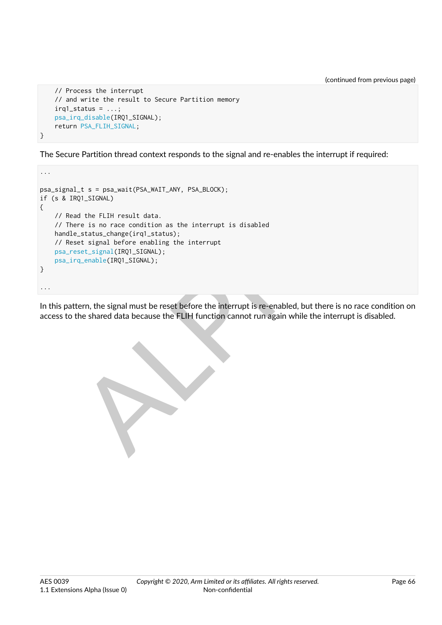(continued from previous page)

```
// Process the interrupt
    // and write the result to Secure Partition memory
   irq1_status = \dots;psa_irq_disable(IRQ1_SIGNAL);
    return PSA_FLIH_SIGNAL;
}
```
The Secure Partition thread context responds to the signal and re-enables the interrupt if required:

```
Lt s = psa_wait(PSA_WAIT_ANY, PSA_BLOCK);<br>ROL_5IGNAL)<br>and the FLIH result data.<br>s_status_chang(irq1_status);<br>ast_status_chang(irq1_status);<br>consider (IRQ1_SIGNAL);<br>for-q_chable(IRQ1_SIGNAL);<br>term, the signal must be reset 
...
psa_signal_t s = psa_wait(PSA_WAIT_ANY, PSA_BLOCK);
if (s & IRQ1_SIGNAL)
{
     // Read the FLIH result data.
     // There is no race condition as the interrupt is disabled
     handle_status_change(irq1_status);
     // Reset signal before enabling the interrupt
     psa_reset_signal(IRQ1_SIGNAL);
     psa_irq_enable(IRQ1_SIGNAL);
}
...
```
In this pattern, the signal must be reset before the interrupt is re-enabled, but there is no race condition on access to the shared data because the FLIH function cannot run again while the interrupt is disabled.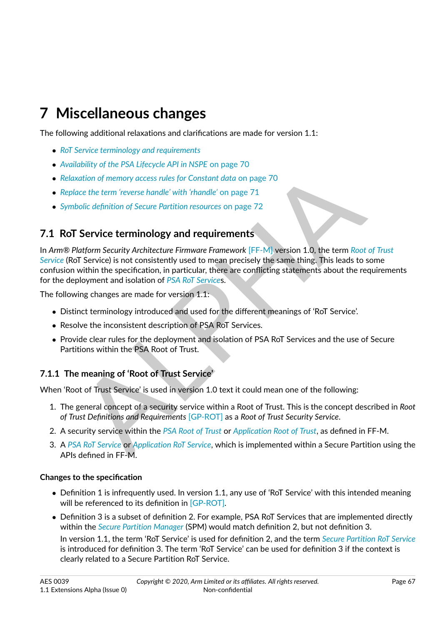# **7 Miscellaneous changes**

The following additional relaxations and clarifications are made for version 1.1:

- ∙ *[RoT Service terminology and requirements](#page-67-0)*
- ∙ *[Availability of the PSA Lifecycle API in NSPE](#page-70-0)* [on page](#page-70-0) [70](#page-70-0)
- ∙ *Relaxation of memory access rules for Constant data* on page 70
- ∙ *Replace the term 'reverse handle' with 'rhandle'* on page 71
- ∙ *Symbolic definition of Secure Partition resources* on page 72

# <span id="page-67-0"></span>**7.1 RoT Service terminology and requirements**

watiny of memory access rules for Constant data on page 70<br>wation of memory access rules for Constant data on page 70<br>ace the term reverse handle' with 'rhandle' on page 71<br>Boblic definition of Secure [P](#page-10-2)artition resources o In *Arm® Platform Security Architecture Firmware Framework* [FF-M] version 1.0, the term *[Root of Trust](#page-11-2) [Service](#page-11-2)* (RoT Service) is not consistently used to mean precisely the same thing. This leads to some confusion within the specification, in particular, there are conflicting statements about the requirements for the deployment and isolation of *PSA RoT Service*s.

The following changes are made for version 1.1:

- ∙ Distinct terminology introduced and used for the different meanings of 'RoT Service'.
- ∙ Resolve the inconsistent description of PSA RoT Services.
- ∙ Provide clear rules for the deployment and isolation of PSA RoT Services and the use of Secure Partitions within the PSA Root of Trust.

# **7.1.1 The meaning of 'Root of Trust Service'**

When 'Root of Trust Service' is used in version 1.0 text it could mean one of the following:

- 1. The general concept of a security service within a Root of Trust. This is the concept described in *Root of Trust Definitions and Requirements* [GP-ROT] as a *Root of Trust Security Service*.
- 2. A security service within the *PSA Root of Trust* or *Application Root of Trust*, as defined in FF-M.
- 3. A *[PSA RoT Service](#page-10-2)* or *Application RoT Service*, which is implemented within a Secure Partition using the APIs defined in FF-M.

## **Changes to the specification**

- ∙ Definition 1 is infrequently used. In version 1.1, any use of 'RoT Service' with this intended meaning will be referenced to its definition in [\[GP-ROT\].](#page-8-4)
- ∙ Definition 3 is a subset of definition 2. For example, PSA RoT Services that are implemented directly within the *[Secure Partition Manager](#page-11-3)* (SPM) would match definition 2, but not definition 3.

In version 1.1, the term 'RoT Service' is used for definition 2, and the term *[Secure Partition RoT Service](#page-12-1)* is introduced for definition 3. The term 'RoT Service' can be used for definition 3 if the context is clearly related to a Secure Partition RoT Service.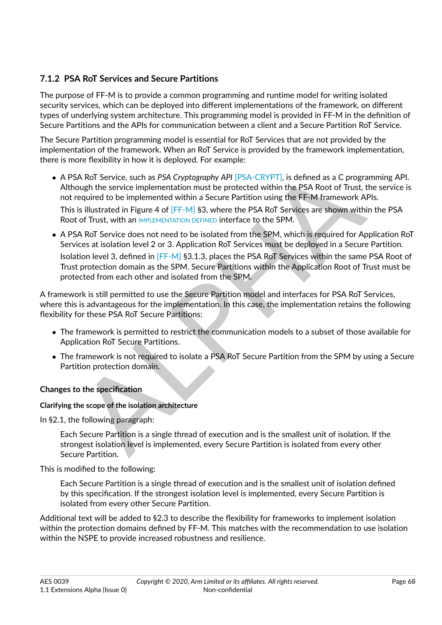# **7.1.2 PSA RoT Services and Secure Partitions**

The purpose of FF-M is to provide a common programming and runtime model for writing isolated security services, which can be deployed into different implementations of the framework, on different types of underlying system architecture. This programming model is provided in FF-M in the definition of Secure Partitions and the APIs for communication between a client and a Secure Partition RoT Service.

The Secure Partition programming model is essential for RoT Services that are not provided by the implementation of the framework. When an RoT Service is provided by the framework implementation, there is more flexibility in how it is deployed. For example:

- ∙ A PSA RoT Service, such as *PSA Cryptography API* [PSA-CRYPT], is defined as a C programming API. Although the service implementation must be protected within the PSA Root of Trust, the service is not required to be implemented within a Secure Partition using the FF-M framework APIs. This is illustrated in Figure 4 of [FF-M] §3, where the PSA RoT Services are shown within the PSA Root of Trust, with an IMPLEMENTATION DEFINED interface to the SPM.
- S[A](#page-8-2) RoT Service, such as PSA Cryptography API [PSA-CRYPT], is defined as a C programmin<br>ough the service implementation must be protected within the PSA Root of Trust, the ser<br>required to be implemented within a Secure Part ∙ A PSA RoT Service does not need to be isolated from the SPM, which is required for Application RoT Services at isolation level 2 or 3. Application RoT Services must be deployed in a Secure Partition. Isolation level 3, defined in [FF-M] §3.1.3, places the PSA RoT Services within the same PSA Root of Trust protection domain as the SPM. Secure Partitions within the Application Root of Trust must be protected from each other and isolated from the SPM.

A framework is still permitted to use the Secure Partition model and interfaces for PSA RoT Services, where this is advantageous for the implementation. In this case, the implementation retains the following flexibility for these PSA RoT Secure Partitions:

- ∙ The framework is permitted to restrict the communication models to a subset of those available for Application RoT Secure Partitions.
- ∙ The framework is not required to isolate a PSA RoT Secure Partition from the SPM by using a Secure Partition protection domain.

## **Changes to the specification**

## **Clarifying the scope of the isolation architecture**

In §2.1, the following paragraph:

Each Secure Partition is a single thread of execution and is the smallest unit of isolation. If the strongest isolation level is implemented, every Secure Partition is isolated from every other Secure Partition.

This is modified to the following:

Each Secure Partition is a single thread of execution and is the smallest unit of isolation defined by this specification. If the strongest isolation level is implemented, every Secure Partition is isolated from every other Secure Partition.

Additional text will be added to §2.3 to describe the flexibility for frameworks to implement isolation within the protection domains defined by FF-M. This matches with the recommendation to use isolation within the NSPE to provide increased robustness and resilience.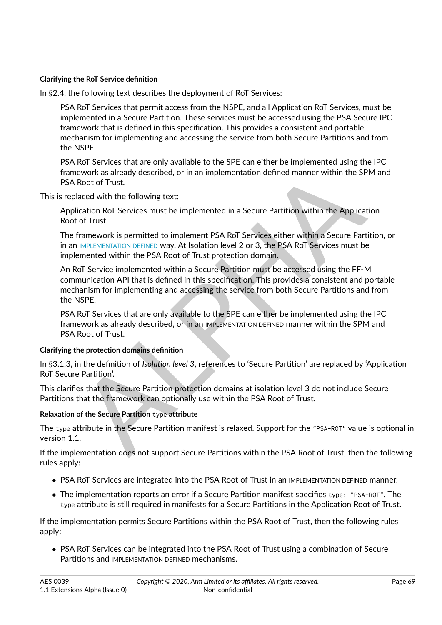## **Clarifying the RoT Service definition**

In §2.4, the following text describes the deployment of RoT Services:

PSA RoT Services that permit access from the NSPE, and all Application RoT Services, must be implemented in a Secure Partition. These services must be accessed using the PSA Secure IPC framework that is defined in this specification. This provides a consistent and portable mechanism for implementing and accessing the service from both Secure Partitions and from the NSPE.

PSA RoT Services that are only available to the SPE can either be implemented using the IPC framework as already described, or in an implementation defined manner within the SPM and PSA Root of Trust.

This is replaced with the following text:

Application RoT Services must be implemented in a Secure Partition within the Application Root of Trust.

The framework is permitted to implement PSA RoT Services either within a Secure Partition, or in an IMPLEMENTATION DEFINED way. At Isolation level 2 or 3, the PSA RoT Services must be implemented within the PSA Root of Trust protection domain.

Revork as already described, or in an implementation defined manner within the SPM and<br>Root of Trust.<br>However, all addicated with the following text:<br>lication RoT Services must be implemented in a Secure Partition within t An RoT Service implemented within a Secure Partition must be accessed using the FF-M communication API that is defined in this specification. This provides a consistent and portable mechanism for implementing and accessing the service from both Secure Partitions and from the NSPE.

PSA RoT Services that are only available to the SPE can either be implemented using the IPC framework as already described, or in an IMPLEMENTATION DEFINED manner within the SPM and PSA Root of Trust.

#### **Clarifying the protection domains definition**

In §3.1.3, in the definition of *Isolation level 3*, references to 'Secure Partition' are replaced by 'Application RoT Secure Partition'.

This clarifies that the Secure Partition protection domains at isolation level 3 do not include Secure Partitions that the framework can optionally use within the PSA Root of Trust.

## **Relaxation of the Secure Partition** type **attribute**

The type attribute in the Secure Partition manifest is relaxed. Support for the "PSA-ROT" value is optional in version 1.1.

If the implementation does not support Secure Partitions within the PSA Root of Trust, then the following rules apply:

- ∙ PSA RoT Services are integrated into the PSA Root of Trust in an IMPLEMENTATION DEFINED manner.
- ∙ The implementation reports an error if a Secure Partition manifest specifies type: "PSA-ROT". The type attribute is still required in manifests for a Secure Partitions in the Application Root of Trust.

If the implementation permits Secure Partitions within the PSA Root of Trust, then the following rules apply:

∙ PSA RoT Services can be integrated into the PSA Root of Trust using a combination of Secure Partitions and IMPLEMENTATION DEFINED mechanisms.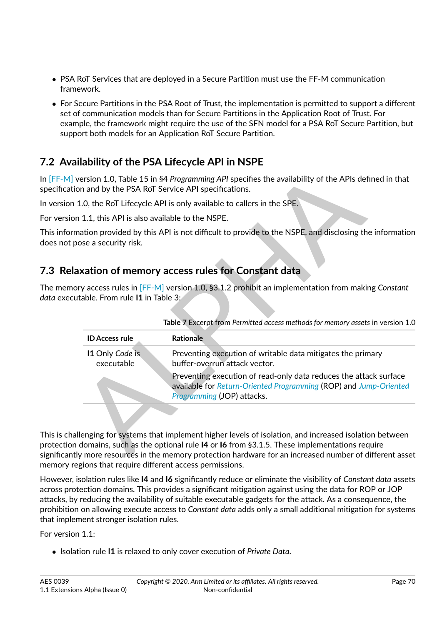- ∙ PSA RoT Services that are deployed in a Secure Partition must use the FF-M communication framework.
- ∙ For Secure Partitions in the PSA Root of Trust, the implementation is permitted to support a different set of communication models than for Secure Partitions in the Application Root of Trust. For example, the framework might require the use of the SFN model for a PSA RoT Secure Partition, but support both models for an Application RoT Secure Partition.

# <span id="page-70-0"></span>**7.2 Availability of the PSA Lifecycle API in NSPE**

In [\[FF-M\]](#page-8-0) version 1.0, Table 15 in §4 *Programming API* specifies the availability of the APIs defined in that specification and by the PSA RoT Service API specifications.

In version 1.0, the RoT Lifecycle API is only available to callers in the SPE.

For version 1.1, this API is also available to the NSPE.

This information provided by this API is not difficult to provide to the NSPE, and disclosing the information does not pose a security risk.

# <span id="page-70-1"></span>**7.3 Relaxation of memory access rules for Constant data**

The memory access rules in [FF-M] version 1.0, §3.1.2 prohibit an implementation from making *Constant data* executable. From rule **I1** in Table 3:

|                                                                                        | version 1.0, Table 15 in §4 Programming API specifies the availability of the APIs defined in that<br>on and by the PSA RoT Service API specifications.              |
|----------------------------------------------------------------------------------------|----------------------------------------------------------------------------------------------------------------------------------------------------------------------|
|                                                                                        | 1.0, the RoT Lifecycle API is only available to callers in the SPE.                                                                                                  |
| n 1.1, this API is also available to the NSPE.                                         |                                                                                                                                                                      |
| oose a security risk.                                                                  | mation provided by this API is not difficult to provide to the NSPE, and disclosing the information                                                                  |
|                                                                                        | axation of memory access rules for Constant data                                                                                                                     |
| utable. From rule $\bm{\mathsf{11}}$ in Table 3:                                       | ory access rules in $[FF-M]$ version 1.0, §3.1.2 prohibit an implementation from making Constant                                                                     |
|                                                                                        | Table 7 Excerpt from Permitted access methods for memory assets in version 1.0                                                                                       |
| <b>ID Access rule</b>                                                                  | <b>Rationale</b>                                                                                                                                                     |
| 11 Only Code is<br>executable                                                          | Preventing execution of writable data mitigates the primary<br>buffer-overrun attack vector.                                                                         |
|                                                                                        | Preventing execution of read-only data reduces the attack surface<br>available for Return-Oriented Programming (ROP) and Jump-Oriented<br>Programming (JOP) attacks. |
|                                                                                        |                                                                                                                                                                      |
| domains, such as the optional rule I4 or I6 from §3.1.5. These implementations require | Illenging for systems that implement higher levels of isolation, and increased isolation between                                                                     |

This is challenging for systems that implement higher levels of isolation, and increased isolation between protection domains, such as the optional rule **I4** or **I6** from §3.1.5. These implementations require significantly more resources in the memory protection hardware for an increased number of different asset memory regions that require different access permissions.

However, isolation rules like **I4** and **I6** significantly reduce or eliminate the visibility of *Constant data* assets across protection domains. This provides a significant mitigation against using the data for ROP or JOP attacks, by reducing the availability of suitable executable gadgets for the attack. As a consequence, the prohibition on allowing execute access to *Constant data* adds only a small additional mitigation for systems that implement stronger isolation rules.

For version 1.1:

∙ Isolation rule **I1** is relaxed to only cover execution of *Private Data*.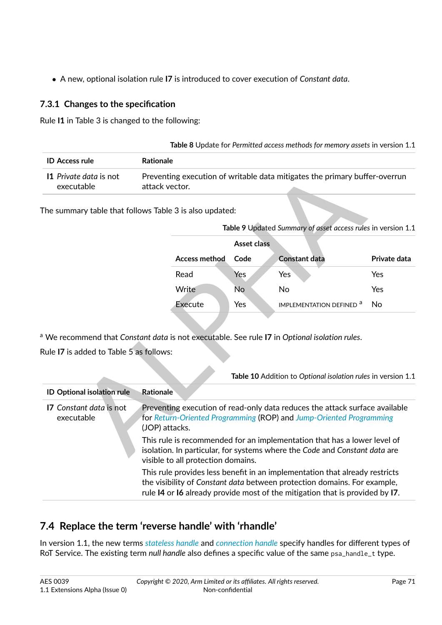∙ A new, optional isolation rule **I7** is introduced to cover execution of *Constant data*.

# **7.3.1 Changes to the specification**

Rule **I1** in Table 3 is changed to the following:

| Preventing execution of writable data mitigates the primary buffer-overrun |
|----------------------------------------------------------------------------|
|                                                                            |

| Table 9 Updated Summary of asset access rules in version 1.1 |             |                                           |              |  |  |  |  |
|--------------------------------------------------------------|-------------|-------------------------------------------|--------------|--|--|--|--|
|                                                              | Asset class |                                           |              |  |  |  |  |
| <b>Access method</b>                                         | Code        | <b>Constant data</b>                      | Private data |  |  |  |  |
| Read                                                         | Yes         | Yes                                       | Yes          |  |  |  |  |
| Write                                                        | No          | No                                        | Yes          |  |  |  |  |
| Execute                                                      | Yes         | <b>IMPLEMENTATION DEFINED<sup>a</sup></b> | N٥           |  |  |  |  |
|                                                              |             |                                           |              |  |  |  |  |

| 11 Private data is not<br>executable    | Preventing execution of writable data mitigates the primary buffer-overrun<br>attack vector.                                                                                                 |                                                                                                                                                                                                                                         |                                                                                                                                                    |              |  |  |
|-----------------------------------------|----------------------------------------------------------------------------------------------------------------------------------------------------------------------------------------------|-----------------------------------------------------------------------------------------------------------------------------------------------------------------------------------------------------------------------------------------|----------------------------------------------------------------------------------------------------------------------------------------------------|--------------|--|--|
|                                         | The summary table that follows Table 3 is also updated:                                                                                                                                      |                                                                                                                                                                                                                                         |                                                                                                                                                    |              |  |  |
|                                         |                                                                                                                                                                                              |                                                                                                                                                                                                                                         | Table 9 Updated Summary of asset access rules in version 1.1                                                                                       |              |  |  |
|                                         |                                                                                                                                                                                              | <b>Asset class</b>                                                                                                                                                                                                                      |                                                                                                                                                    |              |  |  |
|                                         | <b>Access method</b>                                                                                                                                                                         | Code                                                                                                                                                                                                                                    | <b>Constant data</b>                                                                                                                               | Private data |  |  |
|                                         | Read                                                                                                                                                                                         | Yes                                                                                                                                                                                                                                     | Yes                                                                                                                                                | Yes          |  |  |
|                                         | Write                                                                                                                                                                                        | No                                                                                                                                                                                                                                      | No                                                                                                                                                 | Yes          |  |  |
|                                         | <b>Execute</b>                                                                                                                                                                               | Yes                                                                                                                                                                                                                                     | IMPLEMENTATION DEFINED <sup>a</sup>                                                                                                                | <b>No</b>    |  |  |
| Rule I7 is added to Table 5 as follows: |                                                                                                                                                                                              |                                                                                                                                                                                                                                         | Table 10 Addition to Optional isolation rules in version 1.1                                                                                       |              |  |  |
| <b>ID Optional isolation rule</b>       | <b>Rationale</b>                                                                                                                                                                             |                                                                                                                                                                                                                                         |                                                                                                                                                    |              |  |  |
| 17 Constant data is not<br>executable   | (JOP) attacks.                                                                                                                                                                               |                                                                                                                                                                                                                                         | Preventing execution of read-only data reduces the attack surface available<br>for Return-Oriented Programming (ROP) and Jump-Oriented Programming |              |  |  |
|                                         | This rule is recommended for an implementation that has a lower level of<br>isolation. In particular, for systems where the Code and Constant data are<br>visible to all protection domains. |                                                                                                                                                                                                                                         |                                                                                                                                                    |              |  |  |
|                                         |                                                                                                                                                                                              | This rule provides less benefit in an implementation that already restricts<br>the visibility of Constant data between protection domains. For example,<br>rule I4 or I6 already provide most of the mitigation that is provided by I7. |                                                                                                                                                    |              |  |  |

# <span id="page-71-0"></span>**7.4 Replace the term 'reverse handle' with 'rhandle'**

In version 1.1, the new terms *[stateless handle](#page-12-4)* and *[connection handle](#page-9-7)* specify handles for different types of RoT Service. The existing term *null handle* also defines a specific value of the same psa\_handle\_t type.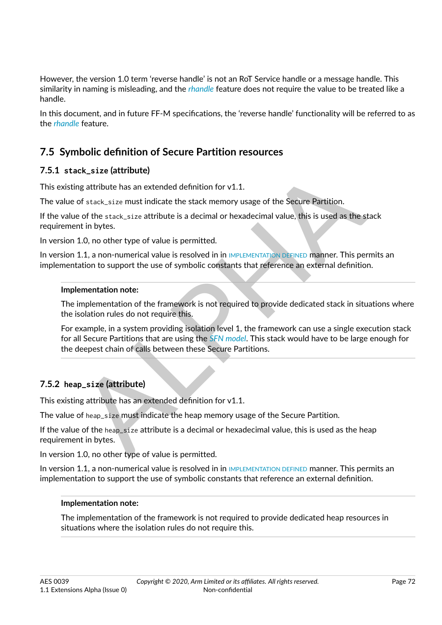However, the version 1.0 term 'reverse handle' is not an RoT Service handle or a message handle. This similarity in naming is misleading, and the *[rhandle](#page-11-0)* feature does not require the value to be treated like a handle.

In this document, and in future FF-M specifications, the 'reverse handle' functionality will be referred to as the *[rhandle](#page-11-0)* feature.

# **7.5 Symbolic definition of Secure Partition resources**

## **7.5.1 stack\_size (attribute)**

This existing attribute has an extended definition for  $v1.1$ .

The value of stack\_size must indicate the stack memory usage of the Secure Partition.

If the value of the stack\_size attribute is a decimal or hexadecimal value, this is used as the stack requirement in bytes.

In version 1.0, no other type of value is permitted.

In version 1.1, a non-numerical value is resolved in in IMPLEMENTATION DEFINED manner. This permits an implementation to support the use of symbolic constants that reference an external definition.

#### **Implementation note:**

The implementation of the framework is not required to provide dedicated stack in situations where the isolation rules do not require this.

ng attribute has an extended definition for v1.1.<br>
of stack, size must indicate the stack memory usage of the Secure Partition.<br>
of stack, size must indicate the stack memory usage of the Secure Partition.<br>
1.0, no other t For example, in a system providing isolation level 1, the framework can use a single execution stack for all Secure Partitions that are using the *SFN model*. This stack would have to be large enough for the deepest chain of calls between these Secure Partitions.

## **7.5.2 heap\_size (attribute)**

This existing attribute has an extended definition for v1.1.

The value of heap\_size must indicate the heap memory usage of the Secure Partition.

If the value of the heap\_size attribute is a decimal or hexadecimal value, this is used as the heap requirement in bytes.

In version 1.0, no other type of value is permitted.

In version 1.1, a non-numerical value is resolved in in [IMPLEMENTATION DEFINED](#page-9-0) manner. This permits an implementation to support the use of symbolic constants that reference an external definition.

#### **Implementation note:**

The implementation of the framework is not required to provide dedicated heap resources in situations where the isolation rules do not require this.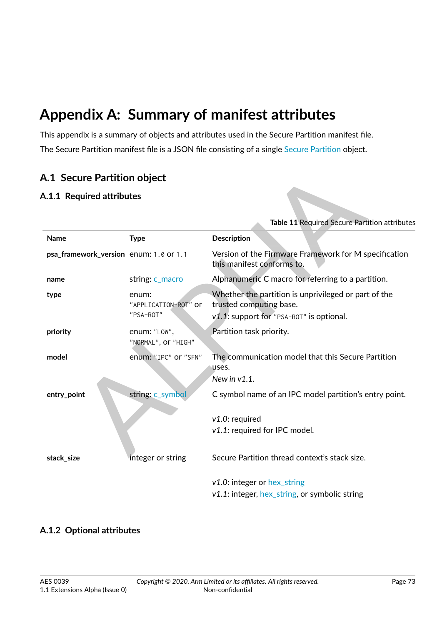# **Appendix A: Summary of manifest attributes**

This appendix is a summary of objects and attributes used in the Secure Partition manifest file. The Secure Partition manifest file is a JSON file consisting of a single [Secure Partition](#page-73-0) object.

## **A.1 Secure Partition object**

## **A.1.1 Required attributes**

<span id="page-73-0"></span>

| <b>Type</b><br>psa_framework_version enum: 1.0 or 1.1 | Description<br>Version of the Firmware Framework for M specification<br>this manifest conforms to.                          |
|-------------------------------------------------------|-----------------------------------------------------------------------------------------------------------------------------|
|                                                       |                                                                                                                             |
|                                                       |                                                                                                                             |
| string: c_macro                                       | Alphanumeric C macro for referring to a partition.                                                                          |
| enum:<br>"APPLICATION-ROT" or<br>"PSA-ROT"            | Whether the partition is unprivileged or part of the<br>trusted computing base.<br>v1.1: support for "PSA-ROT" is optional. |
| enum: "LOW",<br>"NORMAL", Or "HIGH"                   | Partition task priority.                                                                                                    |
| enum: "IPC" or "SFN"                                  | The communication model that this Secure Partition<br>uses.<br>New in $v1.1$ .                                              |
| string: c_symbol                                      | C symbol name of an IPC model partition's entry point.                                                                      |
|                                                       | $v1.0$ : required<br>v1.1: required for IPC model.                                                                          |
| integer or string                                     | Secure Partition thread context's stack size.                                                                               |
|                                                       | $v1.0$ : integer or hex_string<br>$v1.1$ : integer, hex_string, or symbolic string                                          |
|                                                       |                                                                                                                             |

## **A.1.2 Optional attributes**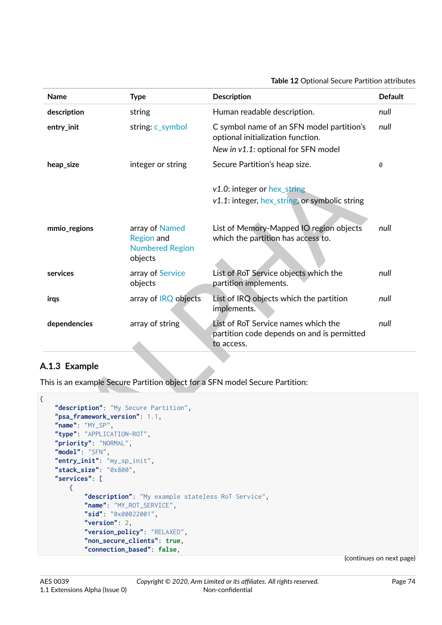#### **Table 12** Optional Secure Partition attributes

| <b>Name</b>                                                                                                                                                          | <b>Type</b>                                                              | <b>Description</b>                                                                                                    | <b>Default</b> |
|----------------------------------------------------------------------------------------------------------------------------------------------------------------------|--------------------------------------------------------------------------|-----------------------------------------------------------------------------------------------------------------------|----------------|
| description                                                                                                                                                          | string                                                                   | Human readable description.                                                                                           | null           |
| entry_init                                                                                                                                                           | string: c_symbol                                                         | C symbol name of an SFN model partition's<br>optional initialization function.<br>New in v1.1: optional for SFN model | null           |
| heap_size                                                                                                                                                            | integer or string                                                        | Secure Partition's heap size.                                                                                         | 0              |
|                                                                                                                                                                      |                                                                          | $v1.0$ : integer or hex string<br>v1.1: integer, hex_string, or symbolic string                                       |                |
| mmio_regions                                                                                                                                                         | array of Named<br><b>Region and</b><br><b>Numbered Region</b><br>objects | List of Memory-Mapped IO region objects<br>which the partition has access to.                                         | null           |
| services                                                                                                                                                             | array of Service<br>objects                                              | List of RoT Service objects which the<br>partition implements.                                                        | null           |
| irgs                                                                                                                                                                 | array of IRQ objects                                                     | List of IRQ objects which the partition<br>implements.                                                                | null           |
| dependencies                                                                                                                                                         | array of string                                                          | List of RoT Service names which the<br>partition code depends on and is permitted<br>to access.                       | null           |
| A.1.3 Example                                                                                                                                                        |                                                                          |                                                                                                                       |                |
|                                                                                                                                                                      |                                                                          | This is an example Secure Partition object for a SFN model Secure Partition:                                          |                |
| "description": "My Secure Partition",<br>"psa_framework_version": 1.1,<br>"name": "MY_SP",<br>"type": "APPLICATION-ROT",<br>"priority": "NORMAL",<br>"model": "SFN", |                                                                          |                                                                                                                       |                |

## **A.1.3 Example**

```
{
    "description": "My Secure Partition",
    "psa_framework_version": 1.1,
    "name": "MY_SP",
    "type": "APPLICATION-ROT",
    "priority": "NORMAL",
    "model": "SFN",
    "entry_init": "my_sp_init",
    "stack_size": "0x800",
    "services": [
        {
            "description": "My example stateless RoT Service",
            "name": "MY_ROT_SERVICE",
            "sid": "0x00022001",
            "version": 2,
            "version_policy": "RELAXED",
            "non_secure_clients": true,
            "connection_based": false,
```
(continues on next page)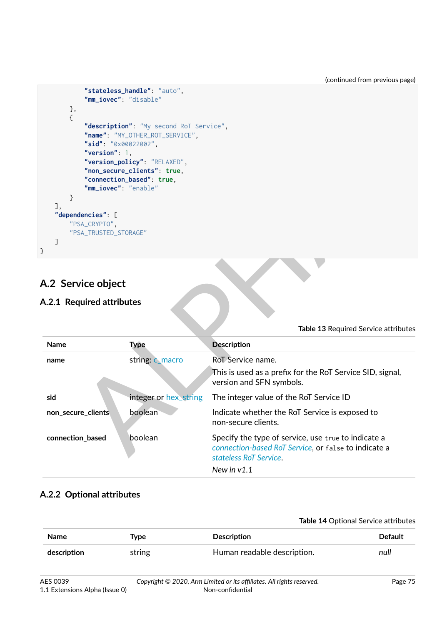```
"stateless_handle": "auto",
            "mm_iovec": "disable"
       },
        {
            "description": "My second RoT Service",
            "name": "MY_OTHER_ROT_SERVICE",
            "sid": "0x00022002",
            "version": 1,
            "version_policy": "RELAXED",
            "non_secure_clients": true,
            "connection_based": true,
            "mm_iovec": "enable"
        }
    ],
    "dependencies": [
        "PSA_CRYPTO",
        "PSA_TRUSTED_STORAGE"
    ]
}
```
# <span id="page-75-0"></span>**A.2 Service object**

## **A.2.1 Required attributes**

| }<br>I,<br>"dependencies": [<br>"PSA_CRYPTO",<br>"PSA_TRUSTED_STORAGE"<br>1 | "non_secure_clients": true,<br>"connection_based": true,<br>"mm_iovec": "enable" |                                                                                                                                       |
|-----------------------------------------------------------------------------|----------------------------------------------------------------------------------|---------------------------------------------------------------------------------------------------------------------------------------|
| <b>A.2 Service object</b><br>A.2.1 Required attributes                      |                                                                                  |                                                                                                                                       |
|                                                                             |                                                                                  | Table 13 Required Service attributes                                                                                                  |
| <b>Name</b>                                                                 | <b>Type</b>                                                                      | <b>Description</b>                                                                                                                    |
| name                                                                        | string: c_macro                                                                  | RoT Service name.<br>This is used as a prefix for the RoT Service SID, signal,<br>version and SFN symbols.                            |
| sid                                                                         | integer or hex_string                                                            | The integer value of the RoT Service ID                                                                                               |
| non_secure_clients                                                          | boolean                                                                          | Indicate whether the RoT Service is exposed to<br>non-secure clients.                                                                 |
| connection_based                                                            | boolean                                                                          | Specify the type of service, use true to indicate a<br>connection-based RoT Service, or false to indicate a<br>stateless RoT Service. |

## **A.2.2 Optional attributes**

#### **Table 14** Optional Service attributes

| <b>Name</b> | Type   | <b>Description</b>          | <b>Default</b> |
|-------------|--------|-----------------------------|----------------|
| description | string | Human readable description. | null           |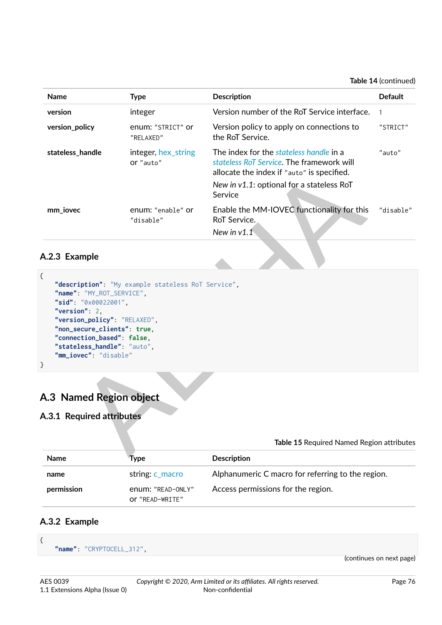**Table 14** (continued)

| <b>Name</b>                                                                                                                                                | <b>Type</b>                                        | Description                                                                                                                                                                                | <b>Default</b> |
|------------------------------------------------------------------------------------------------------------------------------------------------------------|----------------------------------------------------|--------------------------------------------------------------------------------------------------------------------------------------------------------------------------------------------|----------------|
| version                                                                                                                                                    | integer                                            | Version number of the RoT Service interface.                                                                                                                                               | $\mathbf{1}$   |
| version_policy                                                                                                                                             | enum: "STRICT" or<br>"RELAXED"                     | Version policy to apply on connections to<br>the RoT Service.                                                                                                                              | "STRICT"       |
| stateless_handle                                                                                                                                           | integer, hex_string<br>or "auto"                   | The index for the stateless handle in a<br>stateless RoT Service. The framework will<br>allocate the index if "auto" is specified.<br>New in v1.1: optional for a stateless RoT<br>Service | "auto"         |
| mm_iovec                                                                                                                                                   | enum: "enable" or<br>"disable"                     | Enable the MM-IOVEC functionality for this<br>RoT Service.                                                                                                                                 | "disable"      |
|                                                                                                                                                            |                                                    | New in $v1.1$                                                                                                                                                                              |                |
| A.2.3 Example<br>ſ<br>"name": "MY_ROT_SERVICE",<br>"sid": "0x00022001",<br>"version": $2$ ,<br>"version_policy": "RELAXED",<br>"non_secure_clients": true, | "description": "My example stateless RoT Service", |                                                                                                                                                                                            |                |
| "connection_based": false,<br>"stateless_handle": "auto",<br>"mm_iovec": "disable"                                                                         |                                                    |                                                                                                                                                                                            |                |
| A.3 Named Region object<br>A.3.1 Required attributes                                                                                                       |                                                    |                                                                                                                                                                                            |                |
|                                                                                                                                                            |                                                    | Table 15 Required Named Region attributes                                                                                                                                                  |                |
| <b>Names</b>                                                                                                                                               | <b>T.</b> .                                        | $D = -$                                                                                                                                                                                    |                |

## **A.2.3 Example**

```
{
    "description": "My example stateless RoT Service",
    "name": "MY_ROT_SERVICE",
    "sid": "0x00022001",
    "version": 2,
    "version_policy": "RELAXED",
    "non_secure_clients": true,
    "connection_based": false,
    "stateless_handle": "auto",
    "mm_iovec": "disable"
}
```
# <span id="page-76-0"></span>**A.3 Named Region object**

## **A.3.1 Required attributes**

|             | Table 15 Required Named Region attributes |                                                   |
|-------------|-------------------------------------------|---------------------------------------------------|
| <b>Name</b> | Tvpe                                      | <b>Description</b>                                |
| name        | string: c macro                           | Alphanumeric C macro for referring to the region. |
| permission  | enum: "READ-ONLY"<br>Or "READ-WRITE"      | Access permissions for the region.                |

#### **A.3.2 Example**

{

```
"name": "CRYPTOCELL_312",
```
(continues on next page)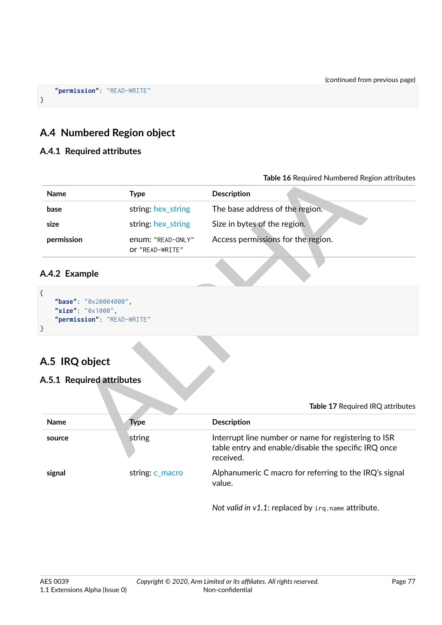**"permission"**: "READ-WRITE"

## <span id="page-77-0"></span>**A.4 Numbered Region object**

#### **A.4.1 Required attributes**

}

|                                                                                    |                                      | Table 16 Required Numbered Region attributes                                                                             |
|------------------------------------------------------------------------------------|--------------------------------------|--------------------------------------------------------------------------------------------------------------------------|
| <b>Name</b>                                                                        | <b>Type</b>                          | <b>Description</b>                                                                                                       |
| base                                                                               | string: hex_string                   | The base address of the region.                                                                                          |
| size                                                                               | string: hex_string                   | Size in bytes of the region.                                                                                             |
| permission                                                                         | enum: "READ-ONLY"<br>Or "READ-WRITE" | Access permissions for the region.                                                                                       |
| A.4.2 Example                                                                      |                                      |                                                                                                                          |
| €<br>"base": "0x20004000",<br>"size": "0x1000",<br>"permission": "READ-WRITE"<br>} |                                      |                                                                                                                          |
| A.5 IRQ object                                                                     |                                      |                                                                                                                          |
| A.5.1 Required attributes                                                          |                                      |                                                                                                                          |
|                                                                                    |                                      | Table 17 Required IRQ attributes                                                                                         |
| Name                                                                               | <b>Type</b>                          | Description                                                                                                              |
| source                                                                             | string                               | Interrupt line number or name for registering to ISR<br>table entry and enable/disable the specific IRQ once<br>rocojyod |

## **A.4.2 Example**

```
{
    "base": "0x20004000",
    "size": "0x1000",
    "permission": "READ-WRITE"
}
```
# <span id="page-77-1"></span>**A.5 IRQ object**

#### **A.5.1 Required attributes**

|             |                 | Table 17 Required IRQ attributes                                                                                          |
|-------------|-----------------|---------------------------------------------------------------------------------------------------------------------------|
| <b>Name</b> | Type            | <b>Description</b>                                                                                                        |
| source      | string          | Interrupt line number or name for registering to ISR<br>table entry and enable/disable the specific IRQ once<br>received. |
| signal      | string: c_macro | Alphanumeric C macro for referring to the IRQ's signal<br>value.                                                          |

*Not valid in v1.1*: replaced by irq.name attribute.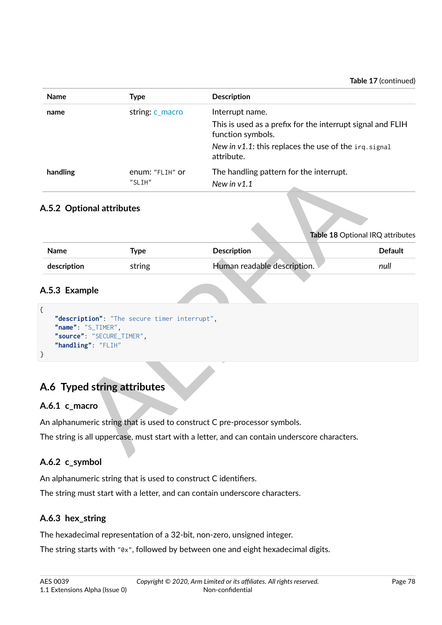| <b>Name</b> | <b>Type</b>               | <b>Description</b>                                                              |
|-------------|---------------------------|---------------------------------------------------------------------------------|
| name        | string: c_macro           | Interrupt name.                                                                 |
|             |                           | This is used as a prefix for the interrupt signal and FLIH<br>function symbols. |
|             |                           | New in $v1.1$ : this replaces the use of the $irq.signal$<br>attribute.         |
| handling    | enum: "FLIH" or<br>"SLIH" | The handling pattern for the interrupt.<br>New in $v1.1$                        |

## **A.5.2 Optional attributes**

| handling                                                                           | enum: "FLIH" or<br>"SLIH"                    | The handling pattern for the interrupt.                                                       |                                  |
|------------------------------------------------------------------------------------|----------------------------------------------|-----------------------------------------------------------------------------------------------|----------------------------------|
| A.5.2 Optional attributes                                                          |                                              | New in $v1.1$                                                                                 |                                  |
|                                                                                    |                                              |                                                                                               | Table 18 Optional IRQ attributes |
| Name                                                                               | <b>Type</b>                                  | Description                                                                                   | <b>Default</b>                   |
| description                                                                        | string                                       | Human readable description.                                                                   | null                             |
| $\{$<br>"name": "S_TIMER",<br>"source": "SECURE_TIMER",<br>"handling": "FLIH"<br>} | "description": "The secure timer interrupt", |                                                                                               |                                  |
| A.6 Typed string attributes                                                        |                                              |                                                                                               |                                  |
| A.6.1 c_macro                                                                      |                                              |                                                                                               |                                  |
|                                                                                    |                                              | An alphanumeric string that is used to construct C pre-processor symbols.                     |                                  |
|                                                                                    |                                              | The string is all uppercase, must start with a letter, and can contain underscore characters. |                                  |

## **A.5.3 Example**

```
{
    "description": "The secure timer interrupt",
    "name": "S_TIMER",
    "source": "SECURE_TIMER",
    "handling": "FLIH"
}
```
# **A.6 Typed string attributes**

#### <span id="page-78-0"></span>**A.6.1 c\_macro**

## <span id="page-78-1"></span>**A.6.2 c\_symbol**

An alphanumeric string that is used to construct C identifiers. The string must start with a letter, and can contain underscore characters.

## <span id="page-78-2"></span>**A.6.3 hex\_string**

The hexadecimal representation of a 32-bit, non-zero, unsigned integer.

The string starts with "0x", followed by between one and eight hexadecimal digits.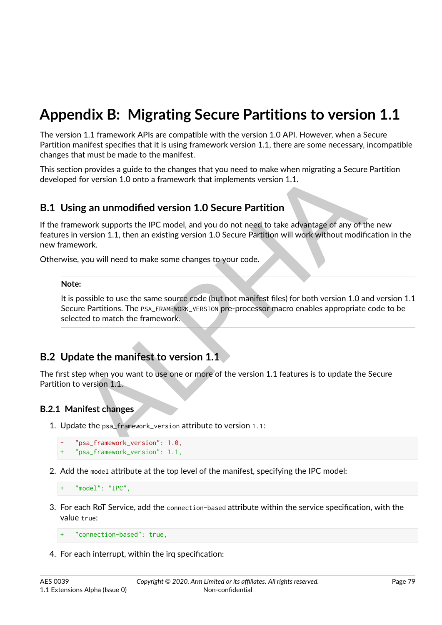# **Appendix B: Migrating Secure Partitions to version 1.1**

The version 1.1 framework APIs are compatible with the version 1.0 API. However, when a Secure Partition manifest specifies that it is using framework version 1.1, there are some necessary, incompatible changes that must be made to the manifest.

This section provides a guide to the changes that you need to make when migrating a Secure Partition developed for version 1.0 onto a framework that implements version 1.1.

## **B.1 Using an unmodified version 1.0 Secure Partition**

on provides a guide to the changes that you need to make when migrating a Secure Partit<br>for version 1.0 onto a framework that implements version 1.1.<br>**ng an unmodified version 1.0 Secure Partition**<br>events supports the IPC If the framework supports the IPC model, and you do not need to take advantage of any of the new features in version 1.1, then an existing version 1.0 Secure Partition will work without modification in the new framework.

Otherwise, you will need to make some changes to your code.

#### **Note:**

It is possible to use the same source code (but not manifest files) for both version 1.0 and version 1.1 Secure Partitions. The PSA\_FRAMEWORK\_VERSION pre-processor macro enables appropriate code to be selected to match the framework.

## **B.2 Update the manifest to version 1.1**

The first step when you want to use one or more of the version 1.1 features is to update the Secure Partition to version 1.1.

#### **B.2.1 Manifest changes**

1. Update the psa\_framework\_version attribute to version 1.1:

```
- "psa_framework_version": 1.0,
+ "psa_framework_version": 1.1,
```
2. Add the model attribute at the top level of the manifest, specifying the IPC model:

"model": "IPC",

3. For each RoT Service, add the connection-based attribute within the service specification, with the value true:

```
" connection-based": true,
```
4. For each interrupt, within the irq specification: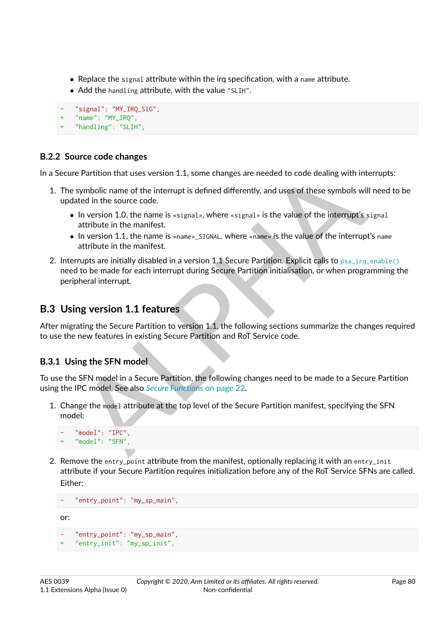- ∙ Replace the signal attribute within the irq specification, with a name attribute.
- ∙ Add the handling attribute, with the value "SLIH".

```
"signal": "MY_IRQ_SIG",
+ "name": "MY_IRQ",
   "handling": "SLIH",
```
## **B.2.2 Source code changes**

In a Secure Partition that uses version 1.1, some changes are needed to code dealing with interrupts:

- 1. The symbolic name of the interrupt is defined differently, and uses of these symbols will need to be updated in the source code.
	- ∙ In version 1.0, the name is «signal», where «signal» is the value of the interrupt's signal attribute in the manifest.
	- ∙ In version 1.1, the name is «name»\_SIGNAL. where «name» is the value of the interrupt's name attribute in the manifest.
- e Partition that uses version 1.1, some changes are needed to code dealing with interrupt<br>symbolic name of the interrupt is defined differently, and uses of these symbols will need<br>ted in the source code.<br>In version 1.0, t 2. Interrupts are initially disabled in a version 1.1 Secure Partition. Explicit calls to  $psa_$ irq enable() need to be made for each interrupt during Secure Partition initialisation, or when programming the peripheral interrupt.

## **B.3 Using version 1.1 features**

After migrating the Secure Partition to version 1.1, the following sections summarize the changes required to use the new features in existing Secure Partition and RoT Service code.

#### **B.3.1 Using the SFN model**

To use the SFN model in a Secure Partition, the following changes need to be made to a Secure Partition using the IPC model. See also *Secure Functions* on page 22.

1. Change the model attribute at the top level of the Secure Partition manifest, specifying the SFN model:

```
- "model": "IPC",
    "model": "SFN",
```
2. Remove the entry<sub>point</sub> attribute from the manifest, optionally replacing it with an entry-init attribute if your Secure Partition requires initialization before any of the RoT Service SFNs are called. Either:

```
"entry_point": "my_sp_main",
```
or:

```
- "entry_point": "my_sp_main",
"entry_init": "my_sp_init",
```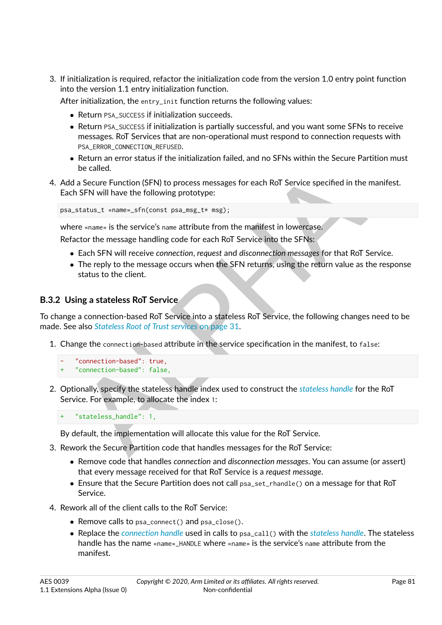3. If initialization is required, refactor the initialization code from the version 1.0 entry point function into the version 1.1 entry initialization function.

After initialization, the entry\_init function returns the following values:

- ∙ Return PSA\_SUCCESS if initialization succeeds.
- ∙ Return PSA\_SUCCESS if initialization is partially successful, and you want some SFNs to receive messages. RoT Services that are non-operational must respond to connection requests with PSA\_ERROR\_CONNECTION\_REFUSED.
- ∙ Return an error status if the initialization failed, and no SFNs within the Secure Partition must be called.
- be called.<br>
a Secure Function (SFN) to process messages for each RoT Service specified in the maniform SFN will have the following prototype:<br>
status\_t «name»\_sfn(const psa\_msg\_t \* msg);<br>
re «name» is the service's name at 4. Add a Secure Function (SFN) to process messages for each RoT Service specified in the manifest. Each SFN will have the following prototype:

psa\_status\_t «name»\_sfn(const psa\_msg\_t\* msg);

where «name» is the service's name attribute from the manifest in lowercase.

Refactor the message handling code for each RoT Service into the SFNs:

- ∙ Each SFN will receive *connection*, *request* and *disconnection messages* for that RoT Service.
- ∙ The reply to the message occurs when the SFN returns, using the return value as the response status to the client.

#### **B.3.2 Using a stateless RoT Service**

To change a connection-based RoT Service into a stateless RoT Service, the following changes need to be made. See also *Stateless Root of Trust services* on page 31.

- 1. Change the connection-based attribute in the service specification in the manifest, to false:
	- "connection-based": true,
	- " connection-based": false.
- 2. Optionally, specify the stateless handle index used to construct the *stateless handle* for the RoT Service. For example, to allocate the index 1:

"stateless\_handle": 1,

By default, the implementation will allocate this value for the RoT Service.

- 3. Rework the Secure Partition code that handles messages for the RoT Service:
	- ∙ Remove code that handles *connection* and *disconnection messages*. You can assume (or assert) that every message received for that RoT Service is a *request message*.
	- ∙ Ensure that the Secure Partition does not call psa\_set\_rhandle() on a message for that RoT Service.
- 4. Rework all of the client calls to the RoT Service:
	- ∙ Remove calls to psa\_connect() and psa\_close().
	- ∙ Replace the *[connection handle](#page-9-1)* used in calls to psa\_call() with the *[stateless handle](#page-12-2)*. The stateless handle has the name «name»\_HANDLE where «name» is the service's name attribute from the manifest.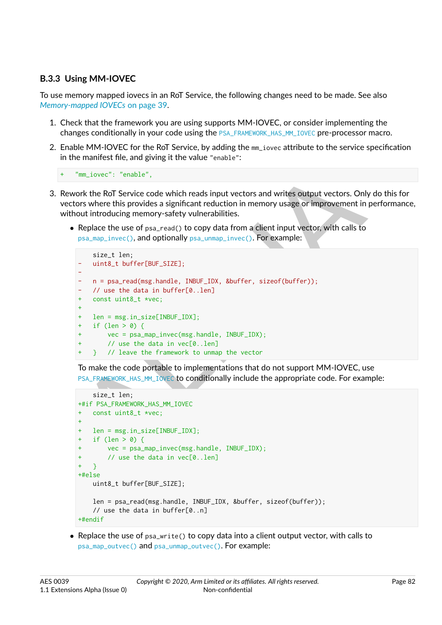## **B.3.3 Using MM-IOVEC**

To use memory mapped iovecs in an RoT Service, the following changes need to be made. See also *[Memory-mapped IOVECs](#page-39-0)* [on page](#page-39-0) [39.](#page-39-0)

- 1. Check that the framework you are using supports MM-IOVEC, or consider implementing the changes conditionally in your code using the [PSA\\_FRAMEWORK\\_HAS\\_MM\\_IOVEC](#page-20-0) pre-processor macro.
- 2. Enable MM-IOVEC for the RoT Service, by adding the mm\_iovec attribute to the service specification in the manifest file, and giving it the value "enable":

```
+ "mm_iovec": "enable",
```
- 3. Rework the RoT Service code which reads input vectors and writes output vectors. Only do this for vectors where this provides a significant reduction in memory usage or improvement in performance, without introducing memory-safety vulnerabilities.
	- ∙ Replace the use of psa\_read() to copy data from a client input vector, with calls to psa\_map\_invec(), and optionally psa\_unmap\_invec(). For example:

```
"mm_iovec": "enable",<br>
"mm_iovec": "enable",<br>
ork the RoT Service code which reads input vectors and writes output vectors. Only do the<br>
nors where this provides a significant reduction in memory usage or improvement in pe
      size_t len;
- uint8_t buffer[BUF_SIZE];
-
   - n = psa_read(msg.handle, INBUF_IDX, &buffer, sizeof(buffer));
     // use the data in buffer[0..len]
+ const uint8_t *vec;
 +
+ len = msg.in_size[INBUF_IDX];
+ if (len > 0) {
          vec = psa_map_invec(msg.handle, INBUF_IDX);// use the data in vec[0..len]+ } // leave the framework to unmap the vector
```
To make the code portable to implementations that do not support MM-IOVEC, use PSA\_FRAMEWORK\_HAS\_MM\_IOVEC to conditionally include the appropriate code. For example:

```
size_t len;
+#if PSA_FRAMEWORK_HAS_MM_IOVEC
+ const uint8_t *vec;
+
+ len = msg.in_size[INBUF_IDX];
  if (len > 0) {
       vec = psa_map_invec(msg.handle, INBUF_IDX);
+ // use the data in vec[0..len]
  + }
+#else
   uint8_t buffer[BUF_SIZE];
   len = psa_read(msg.handle, INBUF_IDX, &buffer, sizeof(buffer));
   // use the data in buffer[0..n]
+#endif
```
∙ Replace the use of psa\_write() to copy data into a client output vector, with calls to [psa\\_map\\_outvec\(\)](#page-45-0) and [psa\\_unmap\\_outvec\(\)](#page-46-0). For example: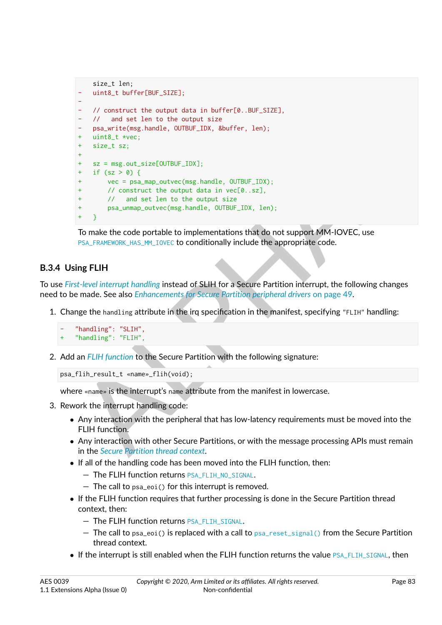```
<sup>1</sup> If (sz > 0)<br>
<sup>1</sup> vec = psa<sub>map</sub>_outvec(ngg, handle, OUTBUF_IDX);<br>
<sup>1</sup> vec = psa<sub>map</sub>_outvec(ngg, handle, OUTBUF_IDX);<br>
<sup>1</sup> van dest len to the output data in vec[0..sz],<br>
<sup>1</sup> / and set len to the output data in vec[0..
      size_t len;
      uint8_t buffer[BUF_SIZE];
-
    - // construct the output data in buffer[0..BUF_SIZE],
    // and set len to the output size
      psa_write(msg.handle, OUTBUF_IDX, &buffer, len);
     uint8_t *vec;
     size_t sz;
 +
+ sz = msg.out_size[OUTBUF_IDX];
      if (sz > 0) {
            vec = psa_map_outvec(msg.handle, OUTBUF_IDX);
            // construct the output data in vec[0..sz],
            // and set len to the output size
            psa_unmap_outvec(msg.handle, OUTBUF_IDX, len);
      \mathcal{F}
```
To make the code portable to implementations that do not support MM-IOVEC, use PSA\_FRAMEWORK\_HAS\_MM\_IOVEC to conditionally include the appropriate code.

## **B.3.4 Using FLIH**

To use *[First-level interrupt handling](#page-9-2)* instead of SLIH for a Secure Partition interrupt, the following changes need to be made. See also *Enhancements for Secure Partition peripheral drivers* on page 49.

1. Change the handling attribute in the irq specification in the manifest, specifying "FLIH" handling:

```
"handling": "SLIH",
+ "handling": "FLIH",
```
2. Add an *FLIH function* to the Secure Partition with the following signature:

```
psa_flih_result_t «name»_flih(void);
```
where «name» is the interrupt's name attribute from the manifest in lowercase.

- 3. Rework the interrupt handling code:
	- ∙ Any interaction with the peripheral that has low-latency requirements must be moved into the FLIH function.
	- ∙ Any interaction with other Secure Partitions, or with the message processing APIs must remain in the *Secure Partition thread context*.
	- ∙ If all of the handling code has been moved into the FLIH function, then:
		- The FLIH function returns [PSA\\_FLIH\\_NO\\_SIGNAL](#page-57-0).
		- $-$  The call to  $psa_eo_i()$  for this interrupt is removed.
	- ∙ If the FLIH function requires that further processing is done in the Secure Partition thread context, then:
		- The FLIH function returns [PSA\\_FLIH\\_SIGNAL](#page-57-1).
		- $-$  The call to psa\_eoi() is replaced with a call to  $psa$  reset\_signal() from the Secure Partition thread context.
	- If the interrupt is still enabled when the FLIH function returns the value [PSA\\_FLIH\\_SIGNAL](#page-57-1), then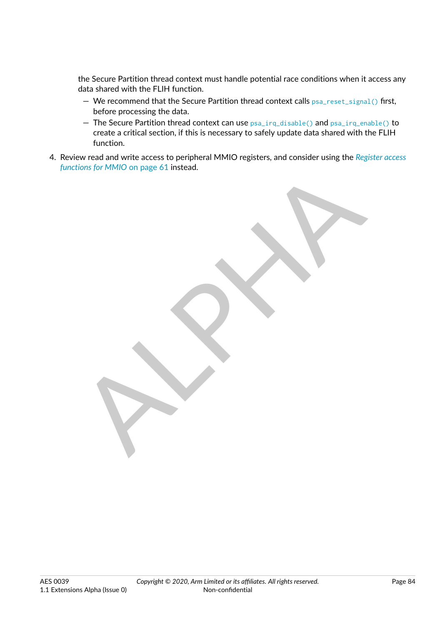the Secure Partition thread context must handle potential race conditions when it access any data shared with the FLIH function.

- We recommend that the Secure Partition thread context calls [psa\\_reset\\_signal\(\)](#page-57-2) first, before processing the data.
- The Secure Partition thread context can use [psa\\_irq\\_disable\(\)](#page-59-1) and [psa\\_irq\\_enable\(\)](#page-59-0) to create a critical section, if this is necessary to safely update data shared with the FLIH function.
- 4. Review read and write access to peripheral MMIO registers, and consider using the *[Register access](#page-61-0) functions for MMIO* on page 61 instead.

ALPHA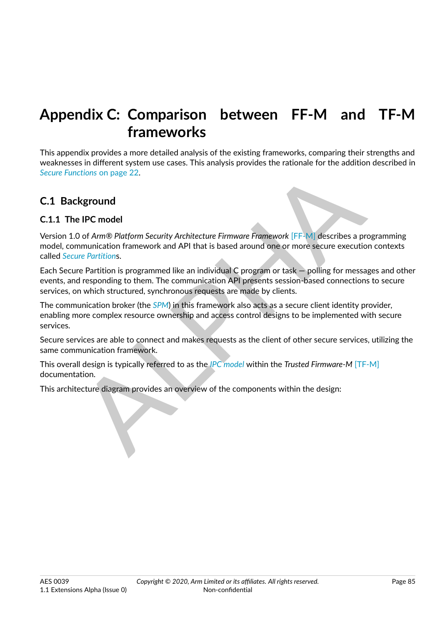# **Appendix C: Comparison between FF-M and TF-M frameworks**

This appendix provides a more detailed analysis of the existing frameworks, comparing their strengths and weaknesses in different system use cases. This analysis provides the rationale for the addition described in *Secure Functions* on page 22.

## **C.1 Background**

#### **C.1.1 The IPC model**

Example and Particular Security Architecture Firmware Framework [FF-M] describes a programmation framework and API that is based around one or more secure execution contrare use CHE and API that is based around one or more Version 1.0 of *Arm® Platform Security Architecture Firmware Framework* [FF-M] describes a programming model, communication framework and API that is based around one or more secure execution contexts called *[Secure Partition](#page-11-1)*s.

Each Secure Partition is programmed like an individual C program or task — polling for messages and other events, and responding to them. The communication API presents session-based connections to secure services, on which structured, synchronous requests are made by clients.

The communication broker (the *SPM*) in this framework also acts as a secure client identity provider, enabling more complex resource ownership and access control designs to be implemented with secure services.

Secure services are able to connect and makes requests as the client of other secure services, utilizing the same communication framework.

This overall design is typically referred to as the *IPC model* within the *Trusted Firmware-M* [\[TF-M\]](#page-8-2) documentation.

This architecture diagram provides an overview of the components within the design: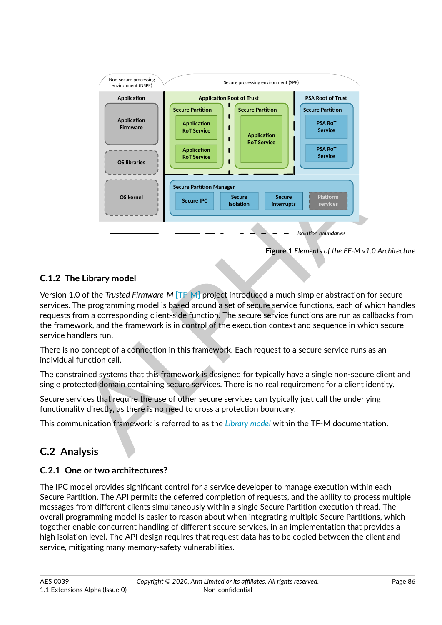

**Figure 1** *Elements of the FF-M v1.0 Architecture*

## **C.1.2 The Library model**

Version 1.0 of the *Trusted Firmware-M* [TF-M] project introduced a much simpler abstraction for secure services. The programming model is based around a set of secure service functions, each of which handles requests from a corresponding client-side function. The secure service functions are run as callbacks from the framework, and the framework is in control of the execution context and sequence in which secure service handlers run.

There is no concept of a connection in this framework. Each request to a secure service runs as an individual function call.

The constrained systems that this framework is designed for typically have a single non-secure client and single protected domain containing secure services. There is no real requirement for a client identity.

Secure services that require the use of other secure services can typically just call the underlying functionality directly, as there is no need to cross a protection boundary.

This communication framework is referred to as the *Library model* within the TF-M documentation.

# **C.2 Analysis**

## **C.2.1 One or two architectures?**

The IPC model provides significant control for a service developer to manage execution within each Secure Partition. The API permits the deferred completion of requests, and the ability to process multiple messages from different clients simultaneously within a single Secure Partition execution thread. The overall programming model is easier to reason about when integrating multiple Secure Partitions, which together enable concurrent handling of different secure services, in an implementation that provides a high isolation level. The API design requires that request data has to be copied between the client and service, mitigating many memory-safety vulnerabilities.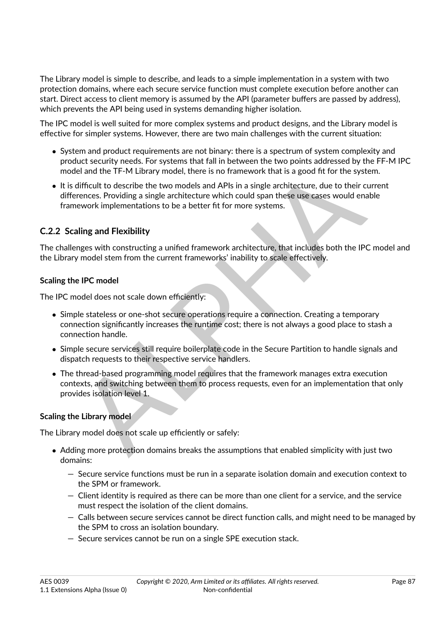The Library model is simple to describe, and leads to a simple implementation in a system with two protection domains, where each secure service function must complete execution before another can start. Direct access to client memory is assumed by the API (parameter buffers are passed by address), which prevents the API being used in systems demanding higher isolation.

The IPC model is well suited for more complex systems and product designs, and the Library model is effective for simpler systems. However, there are two main challenges with the current situation:

- ∙ System and product requirements are not binary: there is a spectrum of system complexity and product security needs. For systems that fall in between the two points addressed by the FF-M IPC model and the TF-M Library model, there is no framework that is a good fit for the system.
- ∙ It is difficult to describe the two models and APIs in a single architecture, due to their current differences. Providing a single architecture which could span these use cases would enable framework implementations to be a better fit for more systems.

#### **C.2.2 Scaling and Flexibility**

The challenges with constructing a unified framework architecture, that includes both the IPC model and the Library model stem from the current frameworks' inability to scale effectively.

#### **Scaling the IPC model**

The IPC model does not scale down efficiently:

- iel and the TF-M Library model, there is no framework that is a good fit for the system.<br>difficult to describe the two models and APIs in a single arritiecture, due to their current<br>erences. Providing a single architecture ∙ Simple stateless or one-shot secure operations require a connection. Creating a temporary connection significantly increases the runtime cost; there is not always a good place to stash a connection handle.
- ∙ Simple secure services still require boilerplate code in the Secure Partition to handle signals and dispatch requests to their respective service handlers.
- ∙ The thread-based programming model requires that the framework manages extra execution contexts, and switching between them to process requests, even for an implementation that only provides isolation level 1.

#### **Scaling the Library model**

The Library model does not scale up efficiently or safely:

- ∙ Adding more protection domains breaks the assumptions that enabled simplicity with just two domains:
	- Secure service functions must be run in a separate isolation domain and execution context to the SPM or framework.
	- Client identity is required as there can be more than one client for a service, and the service must respect the isolation of the client domains.
	- Calls between secure services cannot be direct function calls, and might need to be managed by the SPM to cross an isolation boundary.
	- Secure services cannot be run on a single SPE execution stack.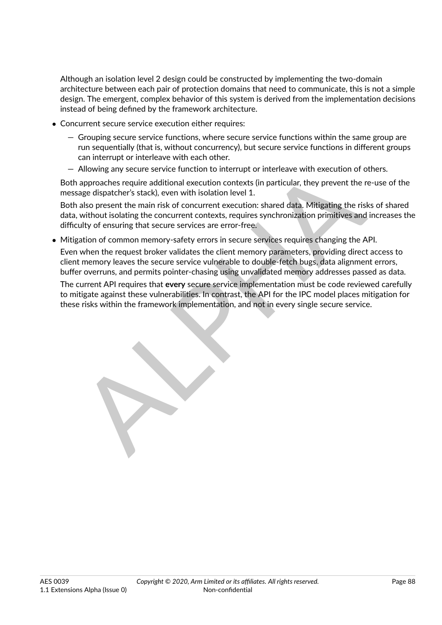Although an isolation level 2 design could be constructed by implementing the two-domain architecture between each pair of protection domains that need to communicate, this is not a simple design. The emergent, complex behavior of this system is derived from the implementation decisions instead of being defined by the framework architecture.

- ∙ Concurrent secure service execution either requires:
	- Grouping secure service functions, where secure service functions within the same group are run sequentially (that is, without concurrency), but secure service functions in different groups can interrupt or interleave with each other.
	- Allowing any secure service function to interrupt or interleave with execution of others.

Both approaches require additional execution contexts (in particular, they prevent the re-use of the message dispatcher's stack), even with isolation level 1.

Allowing any secure service function to interrupt or interleave with execution of others.<br>approaches require additional execution contexts (in particular, they prevent the re-use<br>age dispatcher's stack), even with isolatio Both also present the main risk of concurrent execution: shared data. Mitigating the risks of shared data, without isolating the concurrent contexts, requires synchronization primitives and increases the difficulty of ensuring that secure services are error-free.

∙ Mitigation of common memory-safety errors in secure services requires changing the API.

Even when the request broker validates the client memory parameters, providing direct access to client memory leaves the secure service vulnerable to double-fetch bugs, data alignment errors, buffer overruns, and permits pointer-chasing using unvalidated memory addresses passed as data.

The current API requires that **every** secure service implementation must be code reviewed carefully to mitigate against these vulnerabilities. In contrast, the API for the IPC model places mitigation for these risks within the framework implementation, and not in every single secure service.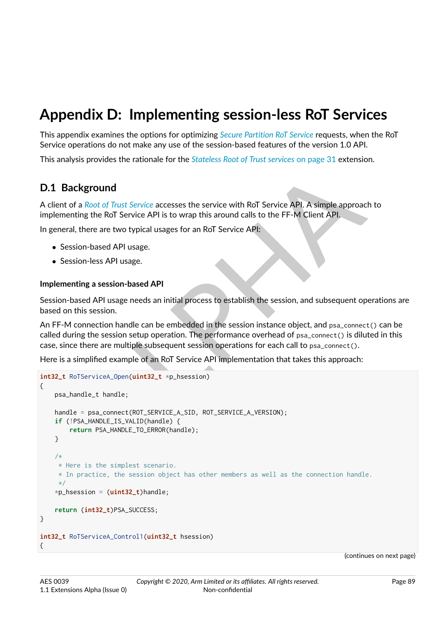# **Appendix D: Implementing session-less RoT Services**

This appendix examines the options for optimizing *[Secure Partition RoT Service](#page-12-5)* requests, when the RoT Service operations do not make any use of the session-based features of the version 1.0 API.

This analysis provides the rationale for the *[Stateless Root of Trust services](#page-31-0)* [on page](#page-31-0) [31](#page-31-0) extension.

## **D.1 Background**

A client of a *Root of Trust Service* accesses the service with RoT Service API. A simple approach to implementing the RoT Service API is to wrap this around calls to the FF-M Client API.

In general, there are two typical usages for an RoT Service API:

- ∙ Session-based API usage.
- ∙ Session-less API usage.

#### **Implementing a session-based API**

Session-based API usage needs an initial process to establish the session, and subsequent operations are based on this session.

An FF-M connection handle can be embedded in the session instance object, and psa\_connect() can be called during the session setup operation. The performance overhead of psa\_connect() is diluted in this case, since there are multiple subsequent session operations for each call to psa\_connect().

Here is a simplified example of an RoT Service API implementation that takes this approach:

```
Example 18 And Thuster Service accesses the service with RoT Service API. A simple approach to thig the RoT Service API is to wrap this around calls to the FF-M Client API<br>ting the RoT Service API is to wap this around ca
int32_t RoTServiceA_Open(uint32_t *p_hsession)
{
     psa_handle_t handle;
     handle = psa_connect(ROT_SERVICE_A_SID, ROT_SERVICE_A_VERSION);
     if (!PSA_HANDLE_IS_VALID(handle) {
          return PSA_HANDLE_TO_ERROR(handle);
     }
     /*
      * Here is the simplest scenario.
      * In practice, the session object has other members as well as the connection handle.
      */
     *p_hsession = (uint32_t)handle;
     return (int32_t)PSA_SUCCESS;
}
int32_t RoTServiceA_Control1(uint32_t hsession)
{
```
(continues on next page)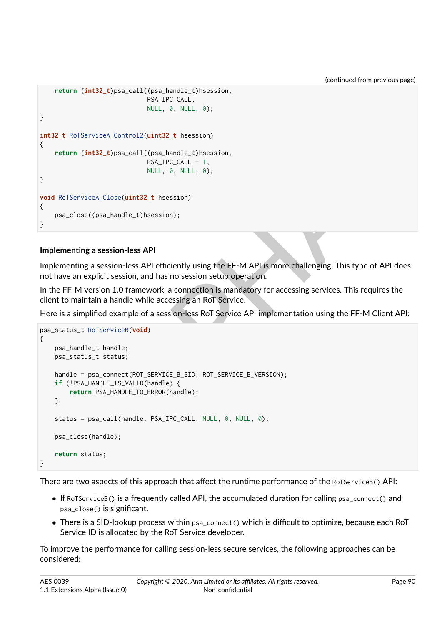(continued from previous page)

```
return (int32_t)psa_call((psa_handle_t)hsession,
                             PSA_IPC_CALL,
                             NULL, 0, NULL, 0);
}
int32_t RoTServiceA_Control2(uint32_t hsession)
{
    return (int32_t)psa_call((psa_handle_t)hsession,
                             PSA_IPC_CALL + 1,
                             NULL, 0, NULL, 0);
}
void RoTServiceA_Close(uint32_t hsession)
{
    psa_close((psa_handle_t)hsession);
}
```
#### **Implementing a session-less API**

Implementing a session-less API efficiently using the FF-M API is more challenging. This type of API does not have an explicit session, and has no session setup operation.

In the FF-M version 1.0 framework, a connection is mandatory for accessing services. This requires the client to maintain a handle while accessing an RoT Service.

<span id="page-90-0"></span>Here is a simplified example of a session-less RoT Service API implementation using the FF-M Client API:

```
NULL, 0, NULL, 0);<br>
NULL, 0, NULL, 0);<br>
Riview Class (unit 32_t hassion)<br>
Ning a session-less API<br>
Hing a session-less API<br>
Hing a session-less API<br>
API<br>
In explicit session, and has no session setup operation.<br>
M version 
psa_status_t RoTServiceB(void)
{
     psa_handle_t handle;
     psa_status_t status;
     handle = psa_connect(ROT_SERVICE_B_SID, ROT_SERVICE_B_VERSION);
     if (!PSA_HANDLE_IS_VALID(handle) {
           return PSA_HANDLE_TO_ERROR(handle);
     }
     status = psa_call(handle, PSA_IPC_CALL, NULL, 0, NULL, 0);
     psa_close(handle);
     return status;
}
```
There are two aspects of this approach that affect the runtime performance of the RoTServiceB() API:

- ∙ If RoTServiceB() is a frequently called API, the accumulated duration for calling psa\_connect() and psa\_close() is significant.
- ∙ There is a SID-lookup process within psa\_connect() which is difficult to optimize, because each RoT Service ID is allocated by the RoT Service developer.

To improve the performance for calling session-less secure services, the following approaches can be considered: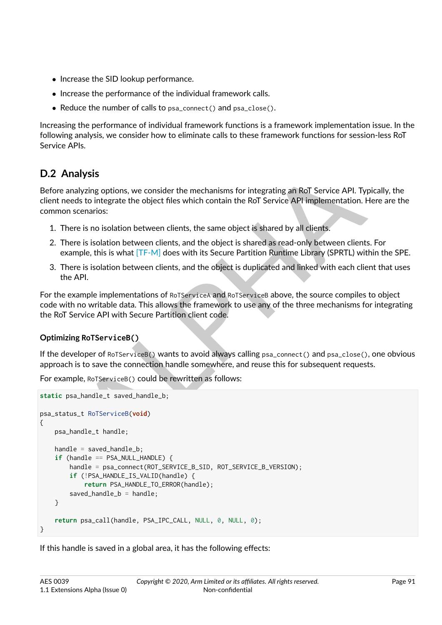- ∙ Increase the SID lookup performance.
- ∙ Increase the performance of the individual framework calls.
- ∙ Reduce the number of calls to psa\_connect() and psa\_close().

Increasing the performance of individual framework functions is a framework implementation issue. In the following analysis, we consider how to eliminate calls to these framework functions for session-less RoT Service APIs.

# **D.2 Analysis**

Before analyzing options, we consider the mechanisms for integrating an RoT Service API. Typically, the client needs to integrate the object files which contain the RoT Service API implementation. Here are the common scenarios:

- 1. There is no isolation between clients, the same object is shared by all clients.
- 2. There is isolation between clients, and the object is shared as read-only between clients. For example, this is what [TF-M] does with its Secure Partition Runtime Library (SPRTL) within the SPE.
- 3. There is isolation between clients, and the object is duplicated and linked with each client that uses the API.

For the example implementations of RoTServiceA and RoTServiceB above, the source compiles to object code with no writable data. This allows the framework to use any of the three mechanisms for integrating the RoT Service API with Secure Partition client code.

#### **Optimizing RoTServiceB()**

If the developer of RoTServiceB() wants to avoid always calling psa\_connect() and psa\_close(), one obvious approach is to save the connection handle somewhere, and reuse this for subsequent requests.

For example, RoTServiceB() could be rewritten as follows:

```
alysis<br>
alyzing options, we consider the mechanisms for integrating an RoT Service API. Typically<br>
also to integrate the object files which contain the RoT Service API implementation. Here a<br>
cenarios:<br>
re is no isolatio
static psa_handle_t saved_handle_b;
psa_status_t RoTServiceB(void)
{
     psa_handle_t handle;
     handle = saved_handle_b;
     if (handle == PSA_NULL_HANDLE) {
          handle = psa_connect(ROT_SERVICE_B_SID, ROT_SERVICE_B_VERSION);
          if (!PSA_HANDLE_IS_VALID(handle) {
                return PSA_HANDLE_TO_ERROR(handle);
          saved_handle_b =handle;
     }
     return psa_call(handle, PSA_IPC_CALL, NULL, 0, NULL, 0);
}
```
If this handle is saved in a global area, it has the following effects: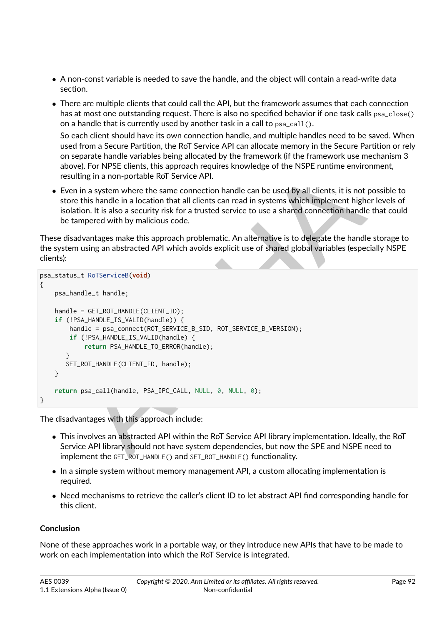- ∙ A non-const variable is needed to save the handle, and the object will contain a read-write data section.
- ∙ There are multiple clients that could call the API, but the framework assumes that each connection has at most one outstanding request. There is also no specified behavior if one task calls psa\_close() on a handle that is currently used by another task in a call to psa\_call().

So each client should have its own connection handle, and multiple handles need to be saved. When used from a Secure Partition, the RoT Service API can allocate memory in the Secure Partition or rely on separate handle variables being allocated by the framework (if the framework use mechanism 3 above). For NPSE clients, this approach requires knowledge of the NSPE runtime environment, resulting in a non-portable RoT Service API.

∙ Even in a system where the same connection handle can be used by all clients, it is not possible to store this handle in a location that all clients can read in systems which implement higher levels of isolation. It is also a security risk for a trusted service to use a shared connection handle that could be tampered with by malicious code.

These disadvantages make this approach problematic. An alternative is to delegate the handle storage to the system using an abstracted API which avoids explicit use of shared global variables (especially NSPE clients):

```
ie), ror werse clients, this approach requires knowledge of the NSPE routinne environmen<br>
bina a system where the same connection handle can be used by all clients, it is not possible<br>
it in a system where the same conne
psa_status_t RoTServiceB(void)
{
     psa_handle_t handle;
     handle = GET_ROT_HANDLE(CLIENT_ID);
     if (!PSA_HANDLE_IS_VALID(handle)) {
          handle = psa_connect(ROT_SERVICE_B_SID, ROT_SERVICE_B_VERSION);
          if (!PSA_HANDLE_IS_VALID(handle) {
                return PSA_HANDLE_TO_ERROR(handle);
         }
         SET_ROT_HANDLE(CLIENT_ID, handle);
     }
     return psa_call(handle, PSA_IPC_CALL, NULL, 0, NULL, 0);
}
```
The disadvantages with this approach include:

- ∙ This involves an abstracted API within the RoT Service API library implementation. Ideally, the RoT Service API library should not have system dependencies, but now the SPE and NSPE need to implement the GET\_ROT\_HANDLE() and SET\_ROT\_HANDLE() functionality.
- ∙ In a simple system without memory management API, a custom allocating implementation is required.
- ∙ Need mechanisms to retrieve the caller's client ID to let abstract API find corresponding handle for this client.

#### **Conclusion**

None of these approaches work in a portable way, or they introduce new APIs that have to be made to work on each implementation into which the RoT Service is integrated.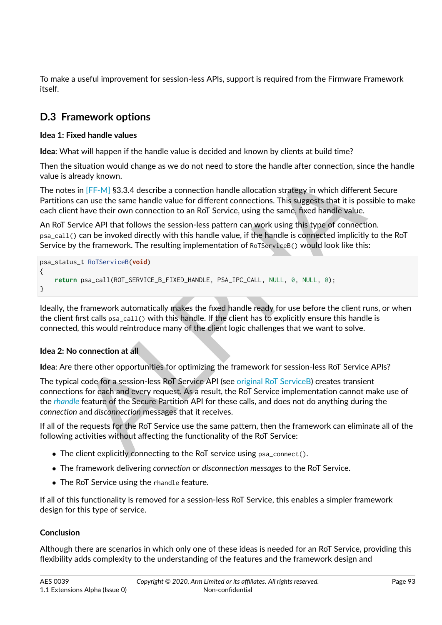To make a useful improvement for session-less APIs, support is required from the Firmware Framework itself.

# **D.3 Framework options**

#### **Idea 1: Fixed handle values**

**Idea**: What will happen if the handle value is decided and known by clients at build time?

Then the situation would change as we do not need to store the handle after connection, since the handle value is already known.

The notes in [FF-M] §3.3.4 describe a connection handle allocation strategy in which different Secure Partitions can use the same handle value for different connections. This suggests that it is possible to make each client have their own connection to an RoT Service, using the same, fixed handle value.

An RoT Service API that follows the session-less pattern can work using this type of connection. psa\_call() can be invoked directly with this handle value, if the handle is connected implicitly to the RoT Service by the framework. The resulting implementation of RoTServiceB() would look like this:

```
psa_status_t RoTServiceB(void)
{
    return psa_call(ROT_SERVICE_B_FIXED_HANDLE, PSA_IPC_CALL, NULL, 0, NULL, 0);
}
```
Ideally, the framework automatically makes the fixed handle ready for use before the client runs, or when the client first calls psa\_call() with this handle. If the client has to explicitly ensure this handle is connected, this would reintroduce many of the client logic challenges that we want to solve.

#### **Idea 2: No connection at all**

**Idea**: Are there other opportunities for optimizing the framework for session-less RoT Service APIs?

structure who change as we do not need to store the nandle after connection, since the<br>line [FF-M] \$3.3.4 describe a connection handle allocation strategy in which different Sect.<br>can use the same handle value for differen The typical code for a session-less RoT Service API (see original RoT ServiceB) creates transient connections for each and every request. As a result, the RoT Service implementation cannot make use of the *[rhandle](#page-11-0)* feature of the Secure Partition API for these calls, and does not do anything during the *connection* and *disconnection* messages that it receives.

If all of the requests for the RoT Service use the same pattern, then the framework can eliminate all of the following activities without affecting the functionality of the RoT Service:

- ∙ The client explicitly connecting to the RoT service using psa\_connect().
- ∙ The framework delivering *connection* or *disconnection messages* to the RoT Service.
- ∙ The RoT Service using the rhandle feature.

If all of this functionality is removed for a session-less RoT Service, this enables a simpler framework design for this type of service.

#### **Conclusion**

Although there are scenarios in which only one of these ideas is needed for an RoT Service, providing this flexibility adds complexity to the understanding of the features and the framework design and